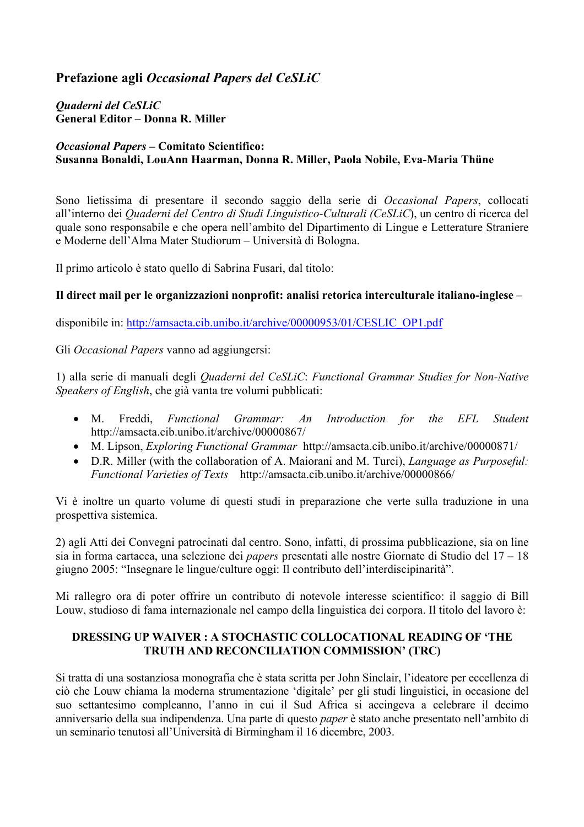# **Prefazione agli** *Occasional Papers del CeSLiC*

## *Quaderni del CeSLiC*  **General Editor – Donna R. Miller**

# *Occasional Papers* **– Comitato Scientifico: Susanna Bonaldi, LouAnn Haarman, Donna R. Miller, Paola Nobile, Eva-Maria Thüne**

Sono lietissima di presentare il secondo saggio della serie di *Occasional Papers*, collocati all'interno dei *Quaderni del Centro di Studi Linguistico-Culturali (CeSLiC*), un centro di ricerca del quale sono responsabile e che opera nell'ambito del Dipartimento di Lingue e Letterature Straniere e Moderne dell'Alma Mater Studiorum – Università di Bologna.

Il primo articolo è stato quello di Sabrina Fusari, dal titolo:

# **Il direct mail per le organizzazioni nonprofit: analisi retorica interculturale italiano-inglese** –

disponibile in: http://amsacta.cib.unibo.it/archive/00000953/01/CESLIC\_OP1.pdf

Gli *Occasional Papers* vanno ad aggiungersi:

1) alla serie di manuali degli *Quaderni del CeSLiC*: *Functional Grammar Studies for Non-Native Speakers of English*, che già vanta tre volumi pubblicati:

- M. Freddi, *Functional Grammar: An Introduction for the EFL Student* http://amsacta.cib.unibo.it/archive/00000867/
- M. Lipson, *Exploring Functional Grammar* http://amsacta.cib.unibo.it/archive/00000871/
- D.R. Miller (with the collaboration of A. Maiorani and M. Turci), *Language as Purposeful: Functional Varieties of Texts* http://amsacta.cib.unibo.it/archive/00000866/

Vi è inoltre un quarto volume di questi studi in preparazione che verte sulla traduzione in una prospettiva sistemica.

2) agli Atti dei Convegni patrocinati dal centro. Sono, infatti, di prossima pubblicazione, sia on line sia in forma cartacea, una selezione dei *papers* presentati alle nostre Giornate di Studio del 17 – 18 giugno 2005: "Insegnare le lingue/culture oggi: Il contributo dell'interdiscipinarità".

Mi rallegro ora di poter offrire un contributo di notevole interesse scientifico: il saggio di Bill Louw, studioso di fama internazionale nel campo della linguistica dei corpora. Il titolo del lavoro è:

# **DRESSING UP WAIVER : A STOCHASTIC COLLOCATIONAL READING OF 'THE TRUTH AND RECONCILIATION COMMISSION' (TRC)**

Si tratta di una sostanziosa monografia che è stata scritta per John Sinclair, l'ideatore per eccellenza di ciò che Louw chiama la moderna strumentazione 'digitale' per gli studi linguistici, in occasione del suo settantesimo compleanno, l'anno in cui il Sud Africa si accingeva a celebrare il decimo anniversario della sua indipendenza. Una parte di questo *paper* è stato anche presentato nell'ambito di un seminario tenutosi all'Università di Birmingham il 16 dicembre, 2003.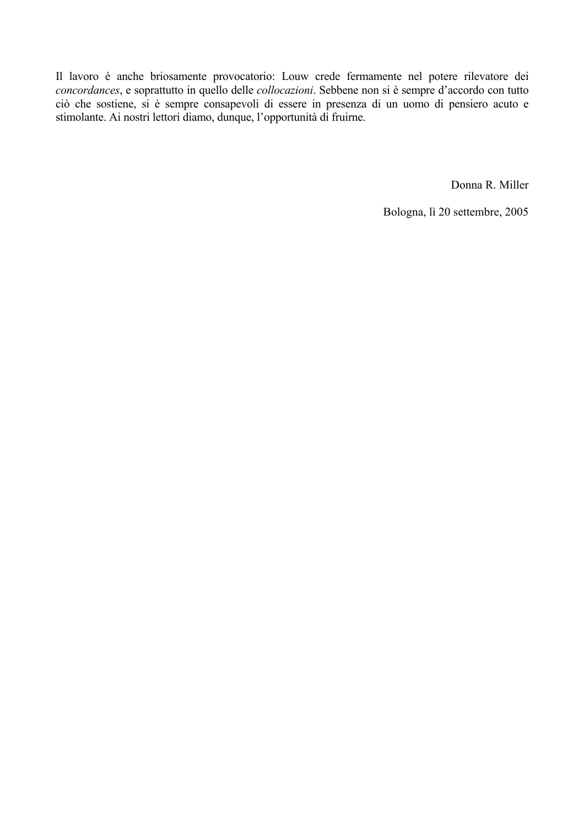Il lavoro è anche briosamente provocatorio: Louw crede fermamente nel potere rilevatore dei *concordances*, e soprattutto in quello delle *collocazioni*. Sebbene non si è sempre d'accordo con tutto ciò che sostiene, si è sempre consapevoli di essere in presenza di un uomo di pensiero acuto e stimolante. Ai nostri lettori diamo, dunque, l'opportunità di fruirne.

Donna R. Miller

Bologna, lì 20 settembre, 2005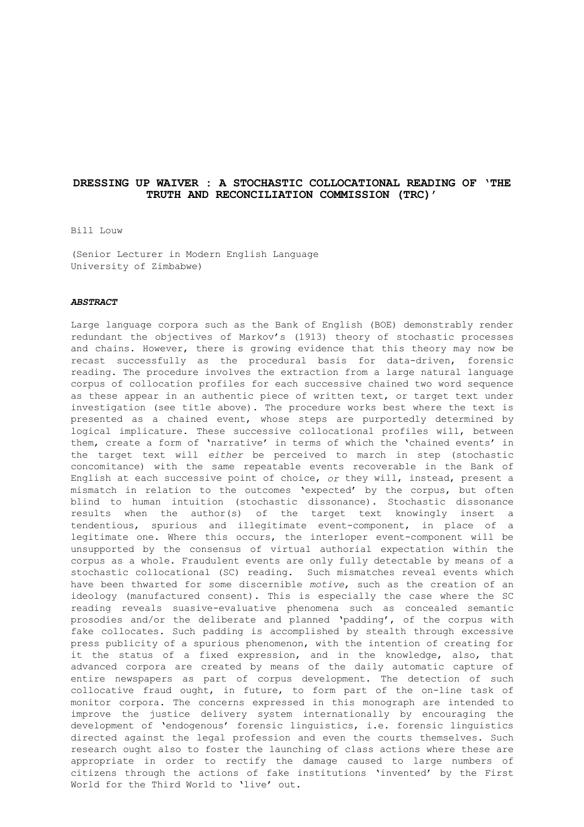## **DRESSING UP WAIVER : A STOCHASTIC COLLOCATIONAL READING OF 'THE TRUTH AND RECONCILIATION COMMISSION (TRC)'**

Bill Louw

(Senior Lecturer in Modern English Language University of Zimbabwe)

## *ABSTRACT*

Large language corpora such as the Bank of English (BOE) demonstrably render redundant the objectives of Markov's (1913) theory of stochastic processes and chains. However, there is growing evidence that this theory may now be recast successfully as the procedural basis for data-driven, forensic reading. The procedure involves the extraction from a large natural language corpus of collocation profiles for each successive chained two word sequence as these appear in an authentic piece of written text, or target text under investigation (see title above). The procedure works best where the text is presented as a chained event, whose steps are purportedly determined by logical implicature. These successive collocational profiles will, between them, create a form of 'narrative' in terms of which the 'chained events' in the target text will *either* be perceived to march in step (stochastic concomitance) with the same repeatable events recoverable in the Bank of English at each successive point of choice, *or* they will, instead, present a mismatch in relation to the outcomes 'expected' by the corpus, but often blind to human intuition (stochastic dissonance). Stochastic dissonance results when the author(s) of the target text knowingly insert a tendentious, spurious and illegitimate event-component, in place of a legitimate one. Where this occurs, the interloper event-component will be unsupported by the consensus of virtual authorial expectation within the corpus as a whole. Fraudulent events are only fully detectable by means of a stochastic collocational (SC) reading. Such mismatches reveal events which have been thwarted for some discernible *motive*, such as the creation of an ideology (manufactured consent). This is especially the case where the SC reading reveals suasive-evaluative phenomena such as concealed semantic prosodies and/or the deliberate and planned 'padding', of the corpus with fake collocates. Such padding is accomplished by stealth through excessive press publicity of a spurious phenomenon, with the intention of creating for it the status of a fixed expression, and in the knowledge, also, that advanced corpora are created by means of the daily automatic capture of entire newspapers as part of corpus development. The detection of such collocative fraud ought, in future, to form part of the on-line task of monitor corpora. The concerns expressed in this monograph are intended to improve the justice delivery system internationally by encouraging the development of 'endogenous' forensic linguistics, i.e. forensic linguistics directed against the legal profession and even the courts themselves. Such research ought also to foster the launching of class actions where these are appropriate in order to rectify the damage caused to large numbers of citizens through the actions of fake institutions 'invented' by the First World for the Third World to 'live' out.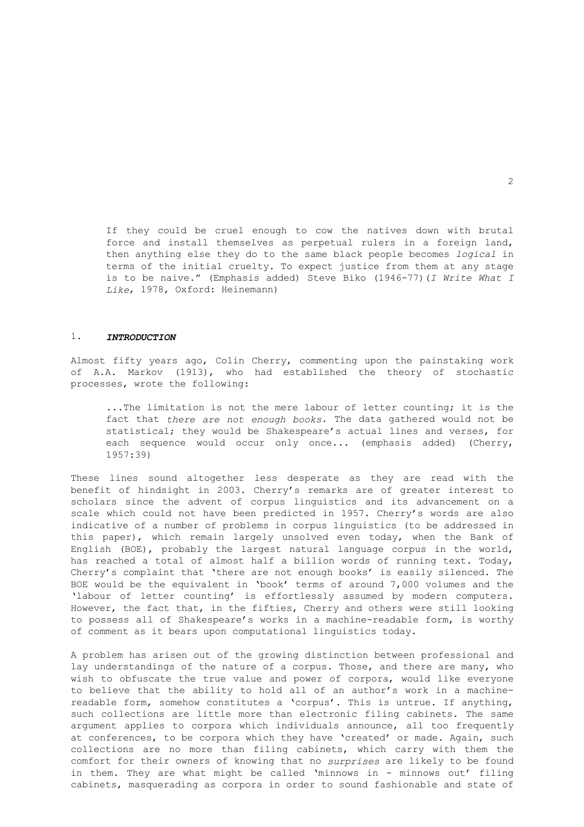If they could be cruel enough to cow the natives down with brutal force and install themselves as perpetual rulers in a foreign land, then anything else they do to the same black people becomes *logical* in terms of the initial cruelty. To expect justice from them at any stage is to be naive." (Emphasis added) Steve Biko (1946-77)(*I Write What I Like*, 1978, Oxford: Heinemann)

#### 1. *INTRODUCTION*

Almost fifty years ago, Colin Cherry, commenting upon the painstaking work of A.A. Markov (1913), who had established the theory of stochastic processes, wrote the following:

 ...The limitation is not the mere labour of letter counting; it is the fact that *there are not enough books*. The data gathered would not be statistical; they would be Shakespeare's actual lines and verses, for each sequence would occur only once... (emphasis added) (Cherry, 1957:39)

These lines sound altogether less desperate as they are read with the benefit of hindsight in 2003. Cherry's remarks are of greater interest to scholars since the advent of corpus linguistics and its advancement on a scale which could not have been predicted in 1957. Cherry's words are also indicative of a number of problems in corpus linguistics (to be addressed in this paper), which remain largely unsolved even today, when the Bank of English (BOE), probably the largest natural language corpus in the world, has reached a total of almost half a billion words of running text. Today, Cherry's complaint that 'there are not enough books' is easily silenced. The BOE would be the equivalent in 'book' terms of around 7,000 volumes and the 'labour of letter counting' is effortlessly assumed by modern computers. However, the fact that, in the fifties, Cherry and others were still looking to possess all of Shakespeare's works in a machine-readable form, is worthy of comment as it bears upon computational linguistics today.

A problem has arisen out of the growing distinction between professional and lay understandings of the nature of a corpus. Those, and there are many, who wish to obfuscate the true value and power of corpora, would like everyone to believe that the ability to hold all of an author's work in a machinereadable form, somehow constitutes a 'corpus'. This is untrue. If anything, such collections are little more than electronic filing cabinets. The same argument applies to corpora which individuals announce, all too frequently at conferences, to be corpora which they have 'created' or made. Again, such collections are no more than filing cabinets, which carry with them the comfort for their owners of knowing that no *surprises* are likely to be found in them. They are what might be called 'minnows in - minnows out' filing cabinets, masquerading as corpora in order to sound fashionable and state of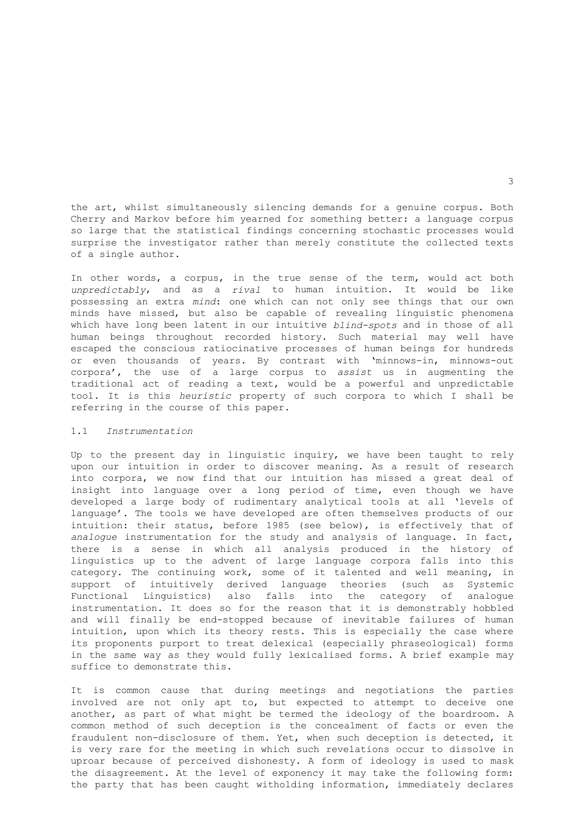the art, whilst simultaneously silencing demands for a genuine corpus. Both Cherry and Markov before him yearned for something better: a language corpus so large that the statistical findings concerning stochastic processes would surprise the investigator rather than merely constitute the collected texts of a single author.

In other words, a corpus, in the true sense of the term, would act both *unpredictably*, and as a *rival* to human intuition. It would be like possessing an extra *mind*: one which can not only see things that our own minds have missed, but also be capable of revealing linguistic phenomena which have long been latent in our intuitive *blind-spots* and in those of all human beings throughout recorded history. Such material may well have escaped the conscious ratiocinative processes of human beings for hundreds or even thousands of years. By contrast with 'minnows-in, minnows-out corpora', the use of a large corpus to *assist* us in augmenting the traditional act of reading a text, would be a powerful and unpredictable tool. It is this *heuristic* property of such corpora to which I shall be referring in the course of this paper.

## 1.1 *Instrumentation*

Up to the present day in linguistic inquiry, we have been taught to rely upon our intuition in order to discover meaning. As a result of research into corpora, we now find that our intuition has missed a great deal of insight into language over a long period of time, even though we have developed a large body of rudimentary analytical tools at all 'levels of language'. The tools we have developed are often themselves products of our intuition: their status, before 1985 (see below), is effectively that of *analogue* instrumentation for the study and analysis of language. In fact, there is a sense in which all analysis produced in the history of linguistics up to the advent of large language corpora falls into this category. The continuing work, some of it talented and well meaning, in support of intuitively derived language theories (such as Systemic Functional Linguistics) also falls into the category of analogue instrumentation. It does so for the reason that it is demonstrably hobbled and will finally be end-stopped because of inevitable failures of human intuition, upon which its theory rests. This is especially the case where its proponents purport to treat delexical (especially phraseological) forms in the same way as they would fully lexicalised forms. A brief example may suffice to demonstrate this.

It is common cause that during meetings and negotiations the parties involved are not only apt to, but expected to attempt to deceive one another, as part of what might be termed the ideology of the boardroom. A common method of such deception is the concealment of facts or even the fraudulent non-disclosure of them. Yet, when such deception is detected, it is very rare for the meeting in which such revelations occur to dissolve in uproar because of perceived dishonesty. A form of ideology is used to mask the disagreement. At the level of exponency it may take the following form: the party that has been caught witholding information, immediately declares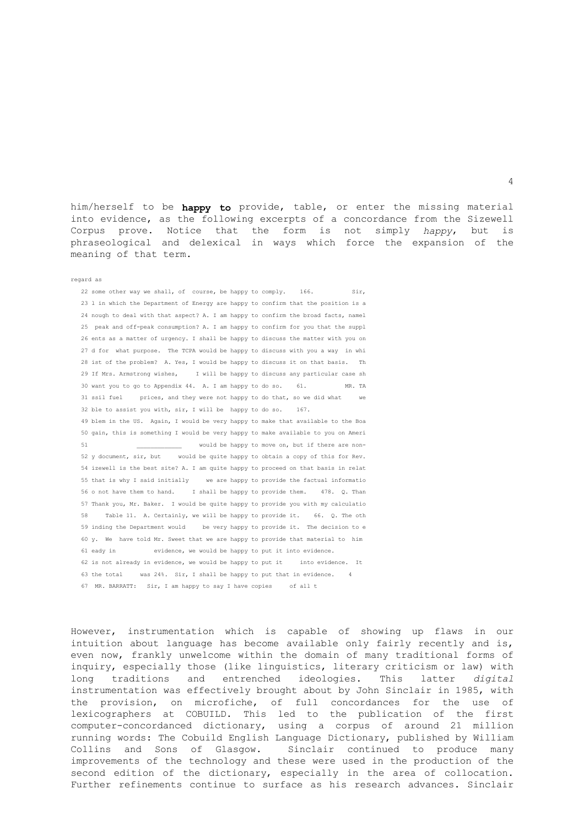him/herself to be **happy to** provide, table, or enter the missing material into evidence, as the following excerpts of a concordance from the Sizewell Corpus prove. Notice that the form is not simply *happy*, but is phraseological and delexical in ways which force the expansion of the meaning of that term.

#### regard as

22 some other way we shall, of course, be happy to comply. 166. Sir, 23 l in which the Department of Energy are happy to confirm that the position is a 24 nough to deal with that aspect? A. I am happy to confirm the broad facts, namel 25 peak and off-peak consumption? A. I am happy to confirm for you that the suppl 26 ents as a matter of urgency. I shall be happy to discuss the matter with you on 27 d for what purpose. The TCPA would be happy to discuss with you a way in whi 28 ist of the problem? A. Yes, I would be happy to discuss it on that basis. Th 29 If Mrs. Armstrong wishes, I will be happy to discuss any particular case sh 30 want you to go to Appendix 44. A. I am happy to do so. 61. MR. TA 31 ssil fuel prices, and they were not happy to do that, so we did what we 32 ble to assist you with, sir, I will be happy to do so. 167. 49 blem in the US. Again, I would be very happy to make that available to the Boa 50 gain, this is something I would be very happy to make available to you on Ameri 51 would be happy to move on, but if there are non- 52 y document, sir, but would be quite happy to obtain a copy of this for Rev. 54 izewell is the best site? A. I am quite happy to proceed on that basis in relat 55 that is why I said initially we are happy to provide the factual informatio 56 o not have them to hand. I shall be happy to provide them. 478. Q. Than 57 Thank you, Mr. Baker. I would be quite happy to provide you with my calculatio 58 Table 11. A. Certainly, we will be happy to provide it. 66. Q. The oth 59 inding the Department would be very happy to provide it. The decision to e 60 y. We have told Mr. Sweet that we are happy to provide that material to him 61 eady in evidence, we would be happy to put it into evidence. 62 is not already in evidence, we would be happy to put it into evidence. It 63 the total was 24%. Sir, I shall be happy to put that in evidence. 4 67 MR. BARRATT: Sir, I am happy to say I have copies of all t

However, instrumentation which is capable of showing up flaws in our intuition about language has become available only fairly recently and is, even now, frankly unwelcome within the domain of many traditional forms of inquiry, especially those (like linguistics, literary criticism or law) with long traditions and entrenched ideologies. This latter *digital* instrumentation was effectively brought about by John Sinclair in 1985, with the provision, on microfiche, of full concordances for the use of lexicographers at COBUILD. This led to the publication of the first computer-concordanced dictionary, using a corpus of around 21 million running words: The Cobuild English Language Dictionary, published by William Collins and Sons of Glasgow. Sinclair continued to produce many improvements of the technology and these were used in the production of the second edition of the dictionary, especially in the area of collocation. Further refinements continue to surface as his research advances. Sinclair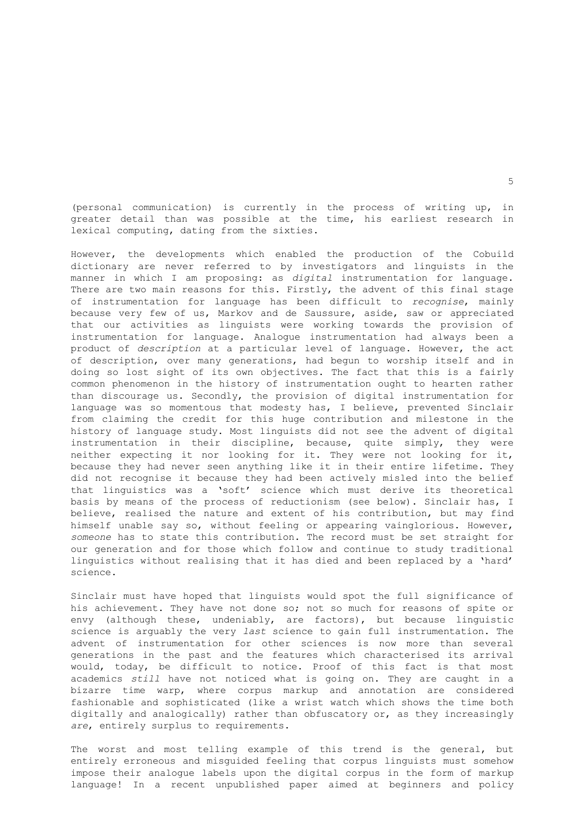(personal communication) is currently in the process of writing up, in greater detail than was possible at the time, his earliest research in lexical computing, dating from the sixties.

However, the developments which enabled the production of the Cobuild dictionary are never referred to by investigators and linguists in the manner in which I am proposing: as *digital* instrumentation for language. There are two main reasons for this. Firstly, the advent of this final stage of instrumentation for language has been difficult to *recognise*, mainly because very few of us, Markov and de Saussure, aside, saw or appreciated that our activities as linguists were working towards the provision of instrumentation for language. Analogue instrumentation had always been a product of *description* at a particular level of language. However, the act of description, over many generations, had begun to worship itself and in doing so lost sight of its own objectives. The fact that this is a fairly common phenomenon in the history of instrumentation ought to hearten rather than discourage us. Secondly, the provision of digital instrumentation for language was so momentous that modesty has, I believe, prevented Sinclair from claiming the credit for this huge contribution and milestone in the history of language study. Most linguists did not see the advent of digital instrumentation in their discipline, because, quite simply, they were neither expecting it nor looking for it. They were not looking for it, because they had never seen anything like it in their entire lifetime. They did not recognise it because they had been actively misled into the belief that linguistics was a 'soft' science which must derive its theoretical basis by means of the process of reductionism (see below). Sinclair has, I believe, realised the nature and extent of his contribution, but may find himself unable say so, without feeling or appearing vainglorious. However, *someone* has to state this contribution. The record must be set straight for our generation and for those which follow and continue to study traditional linguistics without realising that it has died and been replaced by a 'hard' science.

Sinclair must have hoped that linguists would spot the full significance of his achievement. They have not done so; not so much for reasons of spite or envy (although these, undeniably, are factors), but because linguistic science is arguably the very *last* science to gain full instrumentation. The advent of instrumentation for other sciences is now more than several generations in the past and the features which characterised its arrival would, today, be difficult to notice. Proof of this fact is that most academics *still* have not noticed what is going on. They are caught in a bizarre time warp, where corpus markup and annotation are considered fashionable and sophisticated (like a wrist watch which shows the time both digitally and analogically) rather than obfuscatory or, as they increasingly *are*, entirely surplus to requirements.

The worst and most telling example of this trend is the general, but entirely erroneous and misguided feeling that corpus linguists must somehow impose their analogue labels upon the digital corpus in the form of markup language! In a recent unpublished paper aimed at beginners and policy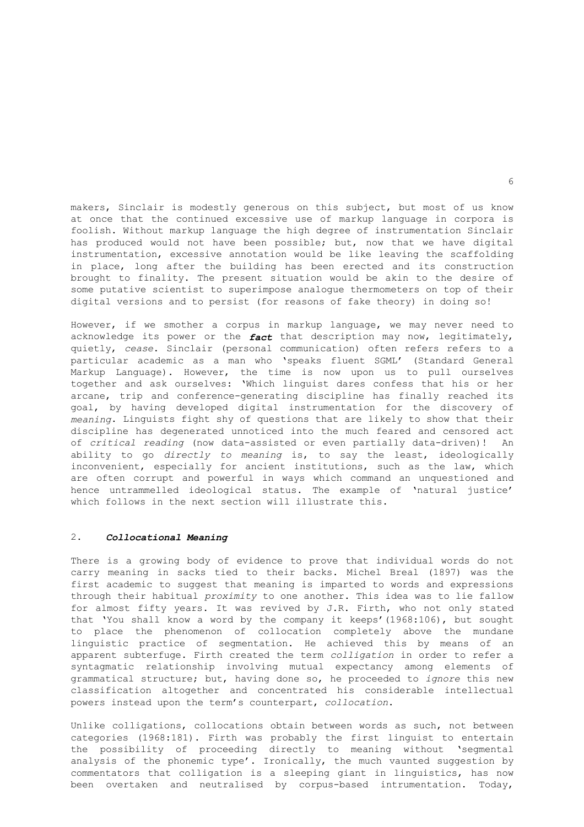makers, Sinclair is modestly generous on this subject, but most of us know at once that the continued excessive use of markup language in corpora is foolish. Without markup language the high degree of instrumentation Sinclair has produced would not have been possible; but, now that we have digital instrumentation, excessive annotation would be like leaving the scaffolding in place, long after the building has been erected and its construction brought to finality. The present situation would be akin to the desire of some putative scientist to superimpose analogue thermometers on top of their digital versions and to persist (for reasons of fake theory) in doing so!

However, if we smother a corpus in markup language, we may never need to acknowledge its power or the *fact* that description may now, legitimately, quietly, *cease*. Sinclair (personal communication) often refers refers to a particular academic as a man who 'speaks fluent SGML' (Standard General Markup Language). However, the time is now upon us to pull ourselves together and ask ourselves: 'Which linguist dares confess that his or her arcane, trip and conference-generating discipline has finally reached its goal, by having developed digital instrumentation for the discovery of *meaning*. Linguists fight shy of questions that are likely to show that their discipline has degenerated unnoticed into the much feared and censored act of *critical reading* (now data-assisted or even partially data-driven)! An ability to go *directly to meaning* is, to say the least, ideologically inconvenient, especially for ancient institutions, such as the law, which are often corrupt and powerful in ways which command an unquestioned and hence untrammelled ideological status. The example of 'natural justice' which follows in the next section will illustrate this.

## 2. *Collocational Meaning*

There is a growing body of evidence to prove that individual words do not carry meaning in sacks tied to their backs. Michel Breal (1897) was the first academic to suggest that meaning is imparted to words and expressions through their habitual *proximity* to one another. This idea was to lie fallow for almost fifty years. It was revived by J.R. Firth, who not only stated that 'You shall know a word by the company it keeps'(1968:106), but sought to place the phenomenon of collocation completely above the mundane linguistic practice of segmentation. He achieved this by means of an apparent subterfuge. Firth created the term *colligation* in order to refer a syntagmatic relationship involving mutual expectancy among elements of grammatical structure; but, having done so, he proceeded to *ignore* this new classification altogether and concentrated his considerable intellectual powers instead upon the term's counterpart, *collocation*.

Unlike colligations, collocations obtain between words as such, not between categories (1968:181). Firth was probably the first linguist to entertain the possibility of proceeding directly to meaning without 'segmental analysis of the phonemic type'. Ironically, the much vaunted suggestion by commentators that colligation is a sleeping giant in linguistics, has now been overtaken and neutralised by corpus-based intrumentation. Today,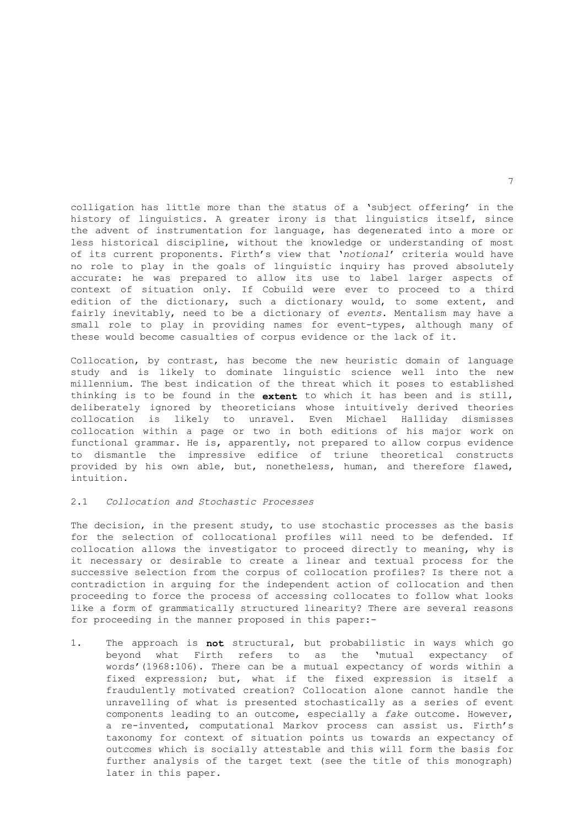colligation has little more than the status of a 'subject offering' in the history of linguistics. A greater irony is that linguistics itself, since the advent of instrumentation for language, has degenerated into a more or less historical discipline, without the knowledge or understanding of most of its current proponents. Firth's view that '*notional*' criteria would have no role to play in the goals of linguistic inquiry has proved absolutely accurate: he was prepared to allow its use to label larger aspects of context of situation only. If Cobuild were ever to proceed to a third edition of the dictionary, such a dictionary would, to some extent, and fairly inevitably, need to be a dictionary of *events*. Mentalism may have a small role to play in providing names for event-types, although many of these would become casualties of corpus evidence or the lack of it.

Collocation, by contrast, has become the new heuristic domain of language study and is likely to dominate linguistic science well into the new millennium. The best indication of the threat which it poses to established thinking is to be found in the **extent** to which it has been and is still, deliberately ignored by theoreticians whose intuitively derived theories collocation is likely to unravel. Even Michael Halliday dismisses collocation within a page or two in both editions of his major work on functional grammar. He is, apparently, not prepared to allow corpus evidence to dismantle the impressive edifice of triune theoretical constructs provided by his own able, but, nonetheless, human, and therefore flawed, intuition.

#### 2.1 *Collocation and Stochastic Processes*

The decision, in the present study, to use stochastic processes as the basis for the selection of collocational profiles will need to be defended. If collocation allows the investigator to proceed directly to meaning, why is it necessary or desirable to create a linear and textual process for the successive selection from the corpus of collocation profiles? Is there not a contradiction in arguing for the independent action of collocation and then proceeding to force the process of accessing collocates to follow what looks like a form of grammatically structured linearity? There are several reasons for proceeding in the manner proposed in this paper:-

1. The approach is **not** structural, but probabilistic in ways which go beyond what Firth refers to as the 'mutual expectancy of words'(1968:106). There can be a mutual expectancy of words within a fixed expression; but, what if the fixed expression is itself a fraudulently motivated creation? Collocation alone cannot handle the unravelling of what is presented stochastically as a series of event components leading to an outcome, especially a *fake* outcome. However, a re-invented, computational Markov process can assist us. Firth's taxonomy for context of situation points us towards an expectancy of outcomes which is socially attestable and this will form the basis for further analysis of the target text (see the title of this monograph) later in this paper.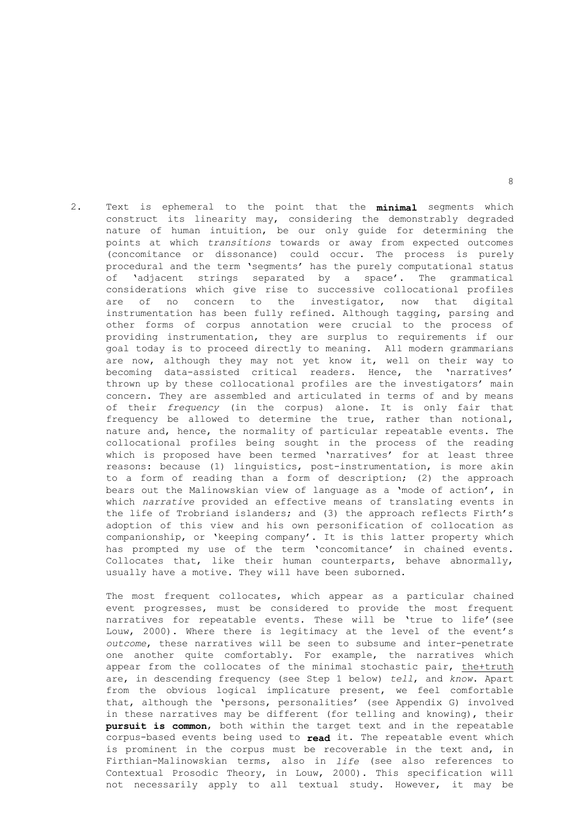2. Text is ephemeral to the point that the **minimal** segments which construct its linearity may, considering the demonstrably degraded nature of human intuition, be our only guide for determining the points at which *transitions* towards or away from expected outcomes (concomitance or dissonance) could occur. The process is purely procedural and the term 'segments' has the purely computational status of 'adjacent strings separated by a space'. The grammatical considerations which give rise to successive collocational profiles are of no concern to the investigator, now that digital instrumentation has been fully refined. Although tagging, parsing and other forms of corpus annotation were crucial to the process of providing instrumentation, they are surplus to requirements if our goal today is to proceed directly to meaning. All modern grammarians are now, although they may not yet know it, well on their way to becoming data-assisted critical readers. Hence, the 'narratives' thrown up by these collocational profiles are the investigators' main concern. They are assembled and articulated in terms of and by means of their *frequency* (in the corpus) alone. It is only fair that frequency be allowed to determine the true, rather than notional, nature and, hence, the normality of particular repeatable events. The collocational profiles being sought in the process of the reading which is proposed have been termed 'narratives' for at least three reasons: because (1) linguistics, post-instrumentation, is more akin to a form of reading than a form of description; (2) the approach bears out the Malinowskian view of language as a 'mode of action', in which *narrative* provided an effective means of translating events in the life of Trobriand islanders; and (3) the approach reflects Firth's adoption of this view and his own personification of collocation as companionship, or 'keeping company'. It is this latter property which has prompted my use of the term 'concomitance' in chained events. Collocates that, like their human counterparts, behave abnormally, usually have a motive. They will have been suborned.

 The most frequent collocates, which appear as a particular chained event progresses, must be considered to provide the most frequent narratives for repeatable events. These will be 'true to life'(see Louw, 2000). Where there is legitimacy at the level of the event's *outcome*, these narratives will be seen to subsume and inter-penetrate one another quite comfortably. For example, the narratives which appear from the collocates of the minimal stochastic pair, the+truth are, in descending frequency (see Step 1 below) *tell*, and *know*. Apart from the obvious logical implicature present, we feel comfortable that, although the 'persons, personalities' (see Appendix G) involved in these narratives may be different (for telling and knowing), their **pursuit is common**, both within the target text and in the repeatable corpus-based events being used to **read** it. The repeatable event which is prominent in the corpus must be recoverable in the text and, in Firthian-Malinowskian terms, also in *life* (see also references to Contextual Prosodic Theory, in Louw, 2000). This specification will not necessarily apply to all textual study. However, it may be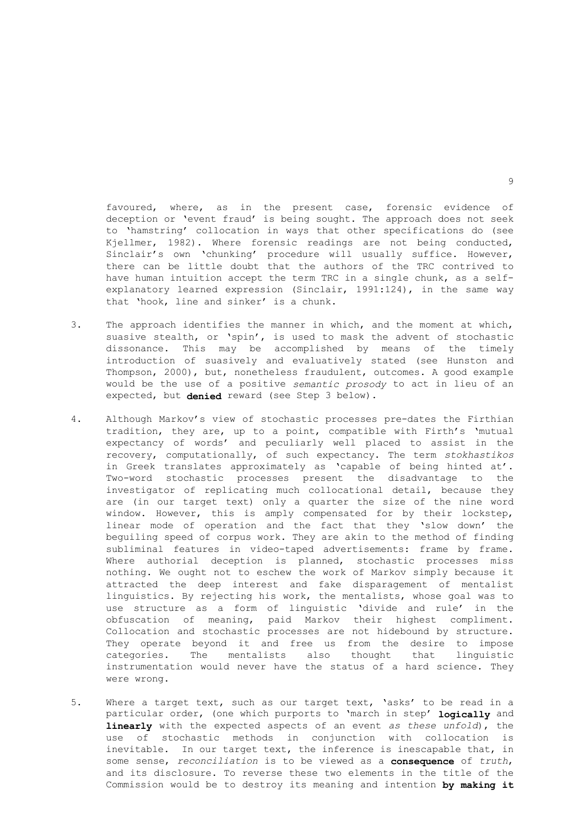favoured, where, as in the present case, forensic evidence of deception or 'event fraud' is being sought. The approach does not seek to 'hamstring' collocation in ways that other specifications do (see Kjellmer, 1982). Where forensic readings are not being conducted, Sinclair's own 'chunking' procedure will usually suffice. However, there can be little doubt that the authors of the TRC contrived to have human intuition accept the term TRC in a single chunk, as a selfexplanatory learned expression (Sinclair, 1991:124), in the same way that 'hook, line and sinker' is a chunk.

- 3. The approach identifies the manner in which, and the moment at which, suasive stealth, or 'spin', is used to mask the advent of stochastic dissonance. This may be accomplished by means of the timely introduction of suasively and evaluatively stated (see Hunston and Thompson, 2000), but, nonetheless fraudulent, outcomes. A good example would be the use of a positive *semantic prosody* to act in lieu of an expected, but **denied** reward (see Step 3 below).
- 4. Although Markov's view of stochastic processes pre-dates the Firthian tradition, they are, up to a point, compatible with Firth's 'mutual expectancy of words' and peculiarly well placed to assist in the recovery, computationally, of such expectancy. The term *stokhastikos* in Greek translates approximately as 'capable of being hinted at'. Two-word stochastic processes present the disadvantage to the investigator of replicating much collocational detail, because they are (in our target text) only a quarter the size of the nine word window. However, this is amply compensated for by their lockstep, linear mode of operation and the fact that they 'slow down' the beguiling speed of corpus work. They are akin to the method of finding subliminal features in video-taped advertisements: frame by frame. Where authorial deception is planned, stochastic processes miss nothing. We ought not to eschew the work of Markov simply because it attracted the deep interest and fake disparagement of mentalist linguistics. By rejecting his work, the mentalists, whose goal was to use structure as a form of linguistic 'divide and rule' in the obfuscation of meaning, paid Markov their highest compliment. Collocation and stochastic processes are not hidebound by structure. They operate beyond it and free us from the desire to impose<br>categories. The mentalists also thought that linguistic categories. The mentalists also thought instrumentation would never have the status of a hard science. They were wrong.
- 5. Where a target text, such as our target text, 'asks' to be read in a particular order, (one which purports to 'march in step' **logically** and **linearly** with the expected aspects of an event *as these unfold*), the use of stochastic methods in conjunction with collocation is inevitable. In our target text, the inference is inescapable that, in some sense, *reconciliation* is to be viewed as a **consequence** of *truth*, and its disclosure. To reverse these two elements in the title of the Commission would be to destroy its meaning and intention **by making it**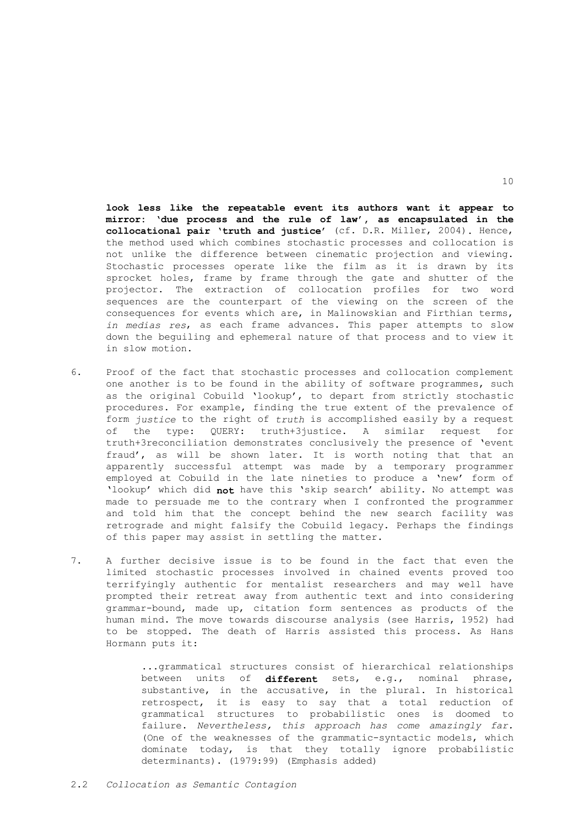**look less like the repeatable event its authors want it appear to mirror: 'due process and the rule of law', as encapsulated in the collocational pair 'truth and justice'** (cf. D.R. Miller, 2004)**.** Hence, the method used which combines stochastic processes and collocation is not unlike the difference between cinematic projection and viewing. Stochastic processes operate like the film as it is drawn by its sprocket holes, frame by frame through the gate and shutter of the projector. The extraction of collocation profiles for two word sequences are the counterpart of the viewing on the screen of the consequences for events which are, in Malinowskian and Firthian terms, *in medias res*, as each frame advances. This paper attempts to slow down the beguiling and ephemeral nature of that process and to view it in slow motion.

- 6. Proof of the fact that stochastic processes and collocation complement one another is to be found in the ability of software programmes, such as the original Cobuild 'lookup', to depart from strictly stochastic procedures. For example, finding the true extent of the prevalence of form *justice* to the right of *truth* is accomplished easily by a request of the type: QUERY: truth+3justice. A similar request for truth+3reconciliation demonstrates conclusively the presence of 'event fraud', as will be shown later. It is worth noting that that an apparently successful attempt was made by a temporary programmer employed at Cobuild in the late nineties to produce a 'new' form of 'lookup' which did **not** have this 'skip search' ability. No attempt was made to persuade me to the contrary when I confronted the programmer and told him that the concept behind the new search facility was retrograde and might falsify the Cobuild legacy. Perhaps the findings of this paper may assist in settling the matter.
- 7. A further decisive issue is to be found in the fact that even the limited stochastic processes involved in chained events proved too terrifyingly authentic for mentalist researchers and may well have prompted their retreat away from authentic text and into considering grammar-bound, made up, citation form sentences as products of the human mind. The move towards discourse analysis (see Harris, 1952) had to be stopped. The death of Harris assisted this process. As Hans Hormann puts it:

 ...grammatical structures consist of hierarchical relationships between units of **different** sets, e.g., nominal phrase, substantive, in the accusative, in the plural. In historical retrospect, it is easy to say that a total reduction of grammatical structures to probabilistic ones is doomed to failure. *Nevertheless, this approach has come amazingly far.* (One of the weaknesses of the grammatic-syntactic models, which dominate today, is that they totally ignore probabilistic determinants). (1979:99) (Emphasis added)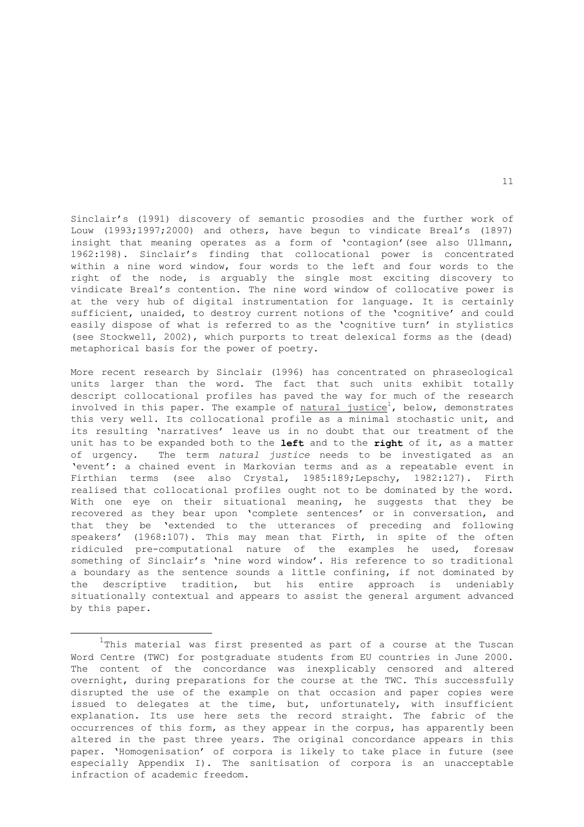Sinclair's (1991) discovery of semantic prosodies and the further work of Louw (1993;1997;2000) and others, have begun to vindicate Breal's (1897) insight that meaning operates as a form of 'contagion' (see also Ullmann, 1962:198). Sinclair's finding that collocational power is concentrated within a nine word window, four words to the left and four words to the right of the node, is arguably the single most exciting discovery to vindicate Breal's contention. The nine word window of collocative power is at the very hub of digital instrumentation for language. It is certainly sufficient, unaided, to destroy current notions of the 'cognitive' and could easily dispose of what is referred to as the 'cognitive turn' in stylistics (see Stockwell, 2002), which purports to treat delexical forms as the (dead) metaphorical basis for the power of poetry.

More recent research by Sinclair (1996) has concentrated on phraseological units larger than the word. The fact that such units exhibit totally descript collocational profiles has paved the way for much of the research involved in this paper. The example of  $\frac{1}{2}$  natural justice<sup>1</sup>, below, demonstrates this very well. Its collocational profile as a minimal stochastic unit, and its resulting 'narratives' leave us in no doubt that our treatment of the unit has to be expanded both to the **left** and to the **right** of it, as a matter of urgency. The term *natural justice* needs to be investigated as an 'event': a chained event in Markovian terms and as a repeatable event in Firthian terms (see also Crystal, 1985:189;Lepschy, 1982:127). Firth realised that collocational profiles ought not to be dominated by the word. With one eye on their situational meaning, he suggests that they be recovered as they bear upon 'complete sentences' or in conversation, and that they be 'extended to the utterances of preceding and following speakers' (1968:107). This may mean that Firth, in spite of the often ridiculed pre-computational nature of the examples he used, foresaw something of Sinclair's 'nine word window'. His reference to so traditional a boundary as the sentence sounds a little confining, if not dominated by the descriptive tradition, but his entire approach is undeniably situationally contextual and appears to assist the general argument advanced by this paper.

i

 $^{1}$ This material was first presented as part of a course at the Tuscan Word Centre (TWC) for postgraduate students from EU countries in June 2000. The content of the concordance was inexplicably censored and altered overnight, during preparations for the course at the TWC. This successfully disrupted the use of the example on that occasion and paper copies were issued to delegates at the time, but, unfortunately, with insufficient explanation. Its use here sets the record straight. The fabric of the occurrences of this form, as they appear in the corpus, has apparently been altered in the past three years. The original concordance appears in this paper. 'Homogenisation' of corpora is likely to take place in future (see especially Appendix I). The sanitisation of corpora is an unacceptable infraction of academic freedom.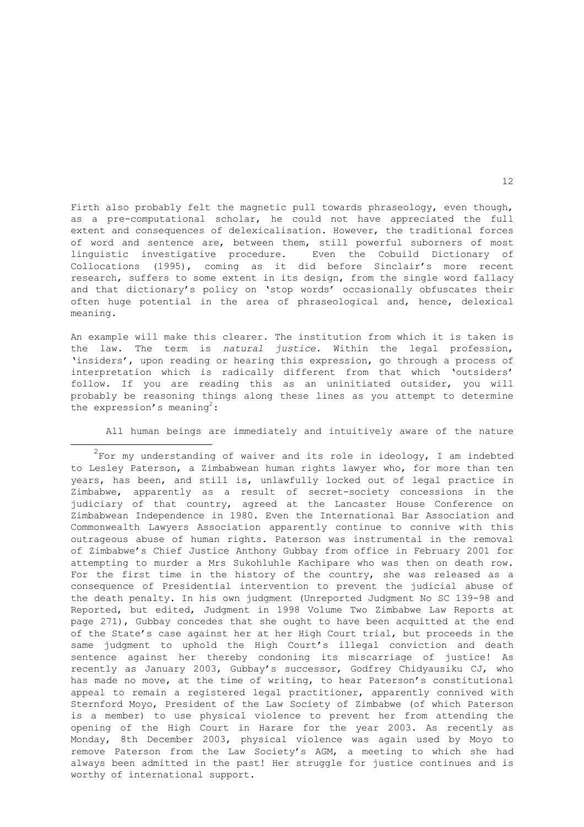Firth also probably felt the magnetic pull towards phraseology, even though, as a pre-computational scholar, he could not have appreciated the full extent and consequences of delexicalisation. However, the traditional forces of word and sentence are, between them, still powerful suborners of most linguistic investigative procedure. Even the Cobuild Dictionary of Collocations (1995), coming as it did before Sinclair's more recent research, suffers to some extent in its design, from the single word fallacy and that dictionary's policy on 'stop words' occasionally obfuscates their often huge potential in the area of phraseological and, hence, delexical meaning.

An example will make this clearer. The institution from which it is taken is the law. The term is *natural justice*. Within the legal profession, 'insiders', upon reading or hearing this expression, go through a process of interpretation which is radically different from that which 'outsiders' follow. If you are reading this as an uninitiated outsider, you will probably be reasoning things along these lines as you attempt to determine the expression's meaning<sup>2</sup>:

All human beings are immediately and intuitively aware of the nature

i  $^{2}$ For my understanding of waiver and its role in ideology, I am indebted to Lesley Paterson, a Zimbabwean human rights lawyer who, for more than ten years, has been, and still is, unlawfully locked out of legal practice in Zimbabwe, apparently as a result of secret-society concessions in the judiciary of that country, agreed at the Lancaster House Conference on Zimbabwean Independence in 1980. Even the International Bar Association and Commonwealth Lawyers Association apparently continue to connive with this outrageous abuse of human rights. Paterson was instrumental in the removal of Zimbabwe's Chief Justice Anthony Gubbay from office in February 2001 for attempting to murder a Mrs Sukohluhle Kachipare who was then on death row. For the first time in the history of the country, she was released as a consequence of Presidential intervention to prevent the judicial abuse of the death penalty. In his own judgment (Unreported Judgment No SC 139-98 and Reported, but edited, Judgment in 1998 Volume Two Zimbabwe Law Reports at page 271), Gubbay concedes that she ought to have been acquitted at the end of the State's case against her at her High Court trial, but proceeds in the same judgment to uphold the High Court's illegal conviction and death sentence against her thereby condoning its miscarriage of justice! As recently as January 2003, Gubbay's successor, Godfrey Chidyausiku CJ, who has made no move, at the time of writing, to hear Paterson's constitutional appeal to remain a registered legal practitioner, apparently connived with Sternford Moyo, President of the Law Society of Zimbabwe (of which Paterson is a member) to use physical violence to prevent her from attending the opening of the High Court in Harare for the year 2003. As recently as Monday, 8th December 2003, physical violence was again used by Moyo to remove Paterson from the Law Society's AGM, a meeting to which she had always been admitted in the past! Her struggle for justice continues and is worthy of international support.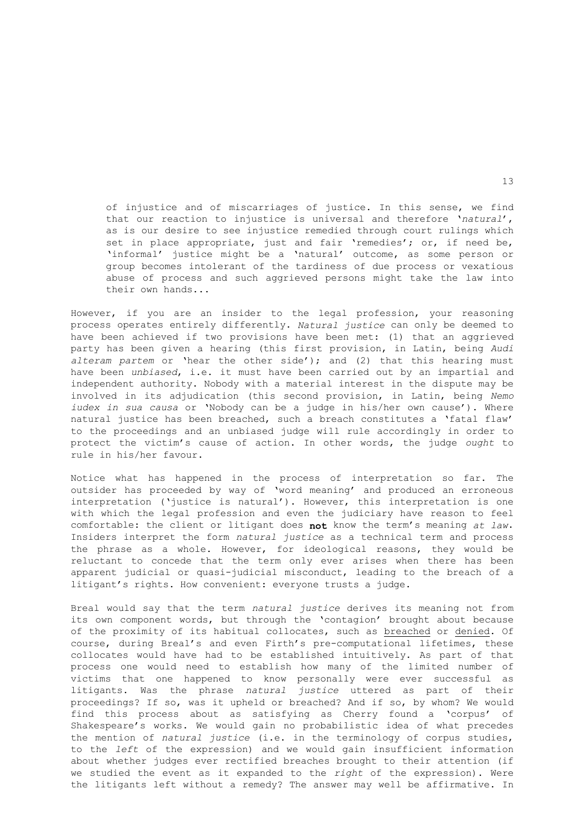of injustice and of miscarriages of justice. In this sense, we find that our reaction to injustice is universal and therefore '*natural*', as is our desire to see injustice remedied through court rulings which set in place appropriate, just and fair 'remedies'; or, if need be, 'informal' justice might be a 'natural' outcome, as some person or group becomes intolerant of the tardiness of due process or vexatious abuse of process and such aggrieved persons might take the law into their own hands...

However, if you are an insider to the legal profession, your reasoning process operates entirely differently. *Natural justice* can only be deemed to have been achieved if two provisions have been met: (1) that an aggrieved party has been given a hearing (this first provision, in Latin, being *Audi alteram partem* or 'hear the other side'); and (2) that this hearing must have been *unbiased*, i.e. it must have been carried out by an impartial and independent authority. Nobody with a material interest in the dispute may be involved in its adjudication (this second provision, in Latin, being *Nemo iudex in sua causa* or 'Nobody can be a judge in his/her own cause'). Where natural justice has been breached, such a breach constitutes a 'fatal flaw' to the proceedings and an unbiased judge will rule accordingly in order to protect the victim's cause of action. In other words, the judge *ought* to rule in his/her favour.

Notice what has happened in the process of interpretation so far. The outsider has proceeded by way of 'word meaning' and produced an erroneous interpretation ('justice is natural'). However, this interpretation is one with which the legal profession and even the judiciary have reason to feel comfortable: the client or litigant does **not** know the term's meaning *at law*. Insiders interpret the form *natural justice* as a technical term and process the phrase as a whole. However, for ideological reasons, they would be reluctant to concede that the term only ever arises when there has been apparent judicial or quasi-judicial misconduct, leading to the breach of a litigant's rights. How convenient: everyone trusts a judge.

Breal would say that the term *natural justice* derives its meaning not from its own component words, but through the 'contagion' brought about because of the proximity of its habitual collocates, such as breached or denied. Of course, during Breal's and even Firth's pre-computational lifetimes, these collocates would have had to be established intuitively. As part of that process one would need to establish how many of the limited number of victims that one happened to know personally were ever successful as litigants. Was the phrase *natural justice* uttered as part of their proceedings? If so, was it upheld or breached? And if so, by whom? We would find this process about as satisfying as Cherry found a 'corpus' of Shakespeare's works. We would gain no probabilistic idea of what precedes the mention of *natural justice* (i.e. in the terminology of corpus studies, to the *left* of the expression) and we would gain insufficient information about whether judges ever rectified breaches brought to their attention (if we studied the event as it expanded to the *right* of the expression). Were the litigants left without a remedy? The answer may well be affirmative. In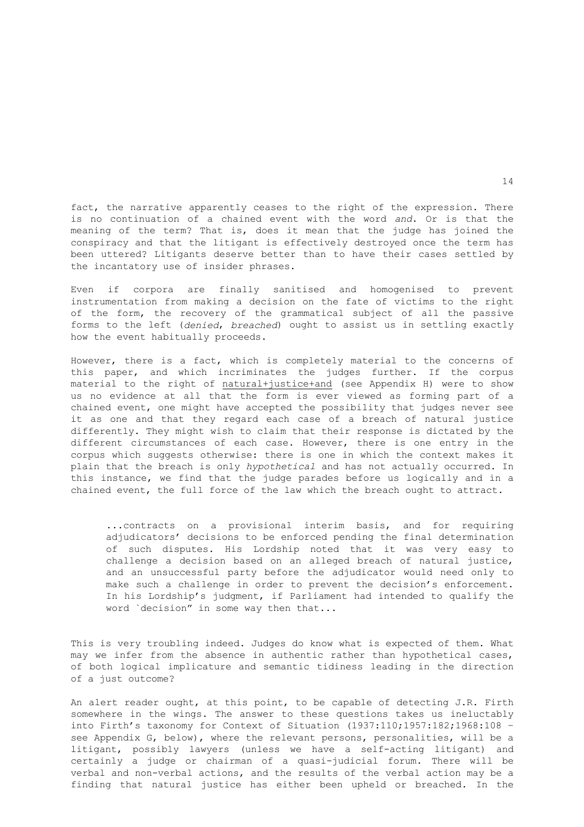fact, the narrative apparently ceases to the right of the expression. There is no continuation of a chained event with the word *and*. Or is that the meaning of the term? That is, does it mean that the judge has joined the conspiracy and that the litigant is effectively destroyed once the term has been uttered? Litigants deserve better than to have their cases settled by the incantatory use of insider phrases.

Even if corpora are finally sanitised and homogenised to prevent instrumentation from making a decision on the fate of victims to the right of the form, the recovery of the grammatical subject of all the passive forms to the left (*denied*, *breached*) ought to assist us in settling exactly how the event habitually proceeds.

However, there is a fact, which is completely material to the concerns of this paper, and which incriminates the judges further. If the corpus material to the right of natural+justice+and (see Appendix H) were to show us no evidence at all that the form is ever viewed as forming part of a chained event, one might have accepted the possibility that judges never see it as one and that they regard each case of a breach of natural justice differently. They might wish to claim that their response is dictated by the different circumstances of each case. However, there is one entry in the corpus which suggests otherwise: there is one in which the context makes it plain that the breach is only *hypothetical* and has not actually occurred. In this instance, we find that the judge parades before us logically and in a chained event, the full force of the law which the breach ought to attract.

 ...contracts on a provisional interim basis, and for requiring adjudicators' decisions to be enforced pending the final determination of such disputes. His Lordship noted that it was very easy to challenge a decision based on an alleged breach of natural justice, and an unsuccessful party before the adjudicator would need only to make such a challenge in order to prevent the decision's enforcement. In his Lordship's judgment, if Parliament had intended to qualify the word `decision" in some way then that...

This is very troubling indeed. Judges do know what is expected of them. What may we infer from the absence in authentic rather than hypothetical cases, of both logical implicature and semantic tidiness leading in the direction of a just outcome?

An alert reader ought, at this point, to be capable of detecting J.R. Firth somewhere in the wings. The answer to these questions takes us ineluctably into Firth's taxonomy for Context of Situation (1937:110;1957:182;1968:108 – see Appendix G, below), where the relevant persons, personalities, will be a litigant, possibly lawyers (unless we have a self-acting litigant) and certainly a judge or chairman of a quasi-judicial forum. There will be verbal and non-verbal actions, and the results of the verbal action may be a finding that natural justice has either been upheld or breached. In the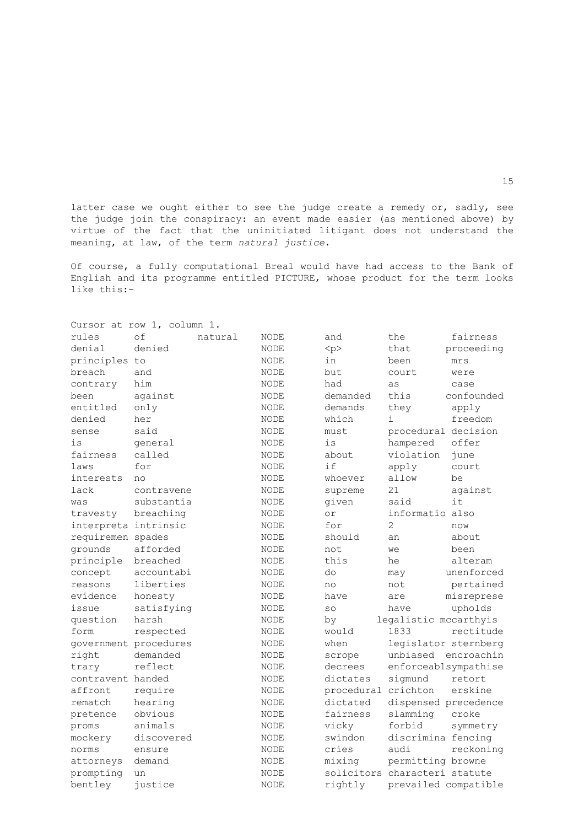latter case we ought either to see the judge create a remedy or, sadly, see the judge join the conspiracy: an event made easier (as mentioned above) by virtue of the fact that the uninitiated litigant does not understand the meaning, at law, of the term *natural justice*.

Of course, a fully computational Breal would have had access to the Bank of English and its programme entitled PICTURE, whose product for the term looks like this:-

|                       | Cursor at row 1, column 1. |         |             |                               |                       |            |
|-----------------------|----------------------------|---------|-------------|-------------------------------|-----------------------|------------|
| rules                 | of                         | natural | <b>NODE</b> | and                           | the                   | fairness   |
| denial                | denied                     |         | <b>NODE</b> | < p >                         | that                  | proceeding |
| principles to         |                            |         | <b>NODE</b> | in                            | been                  | mrs        |
| breach                | and                        |         | <b>NODE</b> | but                           | court                 | were       |
| contrary              | him                        |         | NODE        | had                           | as                    | case       |
| been                  | against                    |         | <b>NODE</b> | demanded                      | this                  | confounded |
| entitled              | only                       |         | NODE        | demands                       | they                  | apply      |
| denied                | her                        |         | NODE        | which                         | i                     | freedom    |
| sense                 | said                       |         | NODE        | must                          | procedural decision   |            |
| is                    | qeneral                    |         | NODE        | is                            | hampered              | offer      |
| fairness              | called                     |         | <b>NODE</b> | about.                        | violation             | june       |
| laws                  | for                        |         | <b>NODE</b> | if                            | apply                 | court      |
| interests             | no                         |         | NODE        | whoever                       | allow                 | be         |
| lack                  | contravene                 |         | NODE        | supreme                       | 21                    | against    |
| was                   | substantia                 |         | <b>NODE</b> | given                         | said                  | it.        |
| travesty              | breaching                  |         | NODE        | or                            | informatio also       |            |
| interpreta intrinsic  |                            |         | NODE        | for                           | 2                     | now        |
| requiremen spades     |                            |         | <b>NODE</b> | should                        | an                    | about      |
| grounds               | afforded                   |         | <b>NODE</b> | not.                          | we                    | been       |
| principle             | breached                   |         | <b>NODE</b> | this                          | he                    | alteram    |
| concept               | accountabi                 |         | NODE        | do                            | may                   | unenforced |
| reasons               | liberties                  |         | NODE        | no                            | not                   | pertained  |
| evidence              | honesty                    |         | NODE        | have                          | are                   | misreprese |
| issue                 | satisfying                 |         | NODE        | SO                            | have                  | upholds    |
| question              | harsh                      |         | NODE        | by                            | legalistic mccarthyis |            |
| form                  | respected                  |         | NODE        | would                         | 1833                  | rectitude  |
| government procedures |                            |         | <b>NODE</b> | when                          | legislator sternberg  |            |
| right                 | demanded                   |         | $\rm NODE$  | scrope                        | unbiased              | encroachin |
| trary                 | reflect                    |         | <b>NODE</b> | decrees                       | enforceablsympathise  |            |
| contravent handed     |                            |         | NODE        | dictates                      | sigmund               | retort     |
| affront               | require                    |         | NODE        | procedural crichton           |                       | erskine    |
| rematch               | hearing                    |         | <b>NODE</b> | dictated                      | dispensed precedence  |            |
| pretence              | obvious                    |         | <b>NODE</b> | fairness                      | slamming              | croke      |
| proms                 | animals                    |         | NODE        | vicky                         | forbid                | symmetry   |
| mockery               | discovered                 |         | NODE        | swindon                       | discrimina fencing    |            |
| norms                 | ensure                     |         | <b>NODE</b> | cries                         | audi                  | reckoning  |
| attorneys             | demand                     |         | NODE        | mixing                        | permitting browne     |            |
| prompting             | un                         |         | NODE        | solicitors characteri statute |                       |            |
| bentley               | justice                    |         | NODE        | rightly                       | prevailed compatible  |            |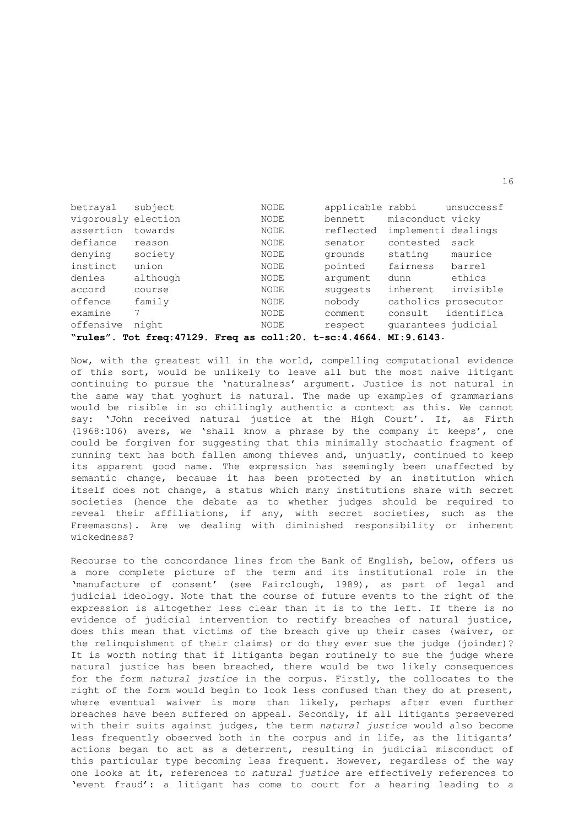| betrayal            | subject                                                                        | <b>NODE</b> | applicable rabbi |                      | unsuccessf |  |  |
|---------------------|--------------------------------------------------------------------------------|-------------|------------------|----------------------|------------|--|--|
| vigorously election |                                                                                | NODE        | bennett          | misconduct vicky     |            |  |  |
| assertion           | towards                                                                        | NODE        | reflected        | implementi dealings  |            |  |  |
| defiance            | reason                                                                         | NODE        | senator          | contested            | sack       |  |  |
| denying             | society                                                                        | NODE        | grounds          | stating              | maurice    |  |  |
| instinct            | union                                                                          | NODE        | pointed          | fairness             | barrel     |  |  |
| denies              | although                                                                       | NODE        | arqument         | dunn                 | ethics     |  |  |
| accord              | course                                                                         | NODE        | suggests         | inherent             | invisible  |  |  |
| offence             | family                                                                         | NODE        | nobody           | catholics prosecutor |            |  |  |
| examine             |                                                                                | NODE        | comment          | consult              | identifica |  |  |
| offensive           | night                                                                          | <b>NODE</b> | respect          | quarantees judicial  |            |  |  |
|                     | "rules". Tot freq: 47129. Freq as $\text{coll}:20$ . t-sc: 4.4664. MI: 9.6143. |             |                  |                      |            |  |  |

Now, with the greatest will in the world, compelling computational evidence of this sort, would be unlikely to leave all but the most naive litigant continuing to pursue the 'naturalness' argument. Justice is not natural in the same way that yoghurt is natural. The made up examples of grammarians would be risible in so chillingly authentic a context as this. We cannot say: 'John received natural justice at the High Court'. If, as Firth (1968:106) avers, we 'shall know a phrase by the company it keeps', one could be forgiven for suggesting that this minimally stochastic fragment of running text has both fallen among thieves and, unjustly, continued to keep its apparent good name. The expression has seemingly been unaffected by semantic change, because it has been protected by an institution which itself does not change, a status which many institutions share with secret societies (hence the debate as to whether judges should be required to reveal their affiliations, if any, with secret societies, such as the Freemasons). Are we dealing with diminished responsibility or inherent wickedness?

Recourse to the concordance lines from the Bank of English, below, offers us a more complete picture of the term and its institutional role in the 'manufacture of consent' (see Fairclough, 1989), as part of legal and judicial ideology. Note that the course of future events to the right of the expression is altogether less clear than it is to the left. If there is no evidence of judicial intervention to rectify breaches of natural justice, does this mean that victims of the breach give up their cases (waiver, or the relinquishment of their claims) or do they ever sue the judge (joinder)? It is worth noting that if litigants began routinely to sue the judge where natural justice has been breached, there would be two likely consequences for the form *natural justice* in the corpus. Firstly, the collocates to the right of the form would begin to look less confused than they do at present, where eventual waiver is more than likely, perhaps after even further breaches have been suffered on appeal. Secondly, if all litigants persevered with their suits against judges, the term *natural justice* would also become less frequently observed both in the corpus and in life, as the litigants' actions began to act as a deterrent, resulting in judicial misconduct of this particular type becoming less frequent. However, regardless of the way one looks at it, references to *natural justice* are effectively references to 'event fraud': a litigant has come to court for a hearing leading to a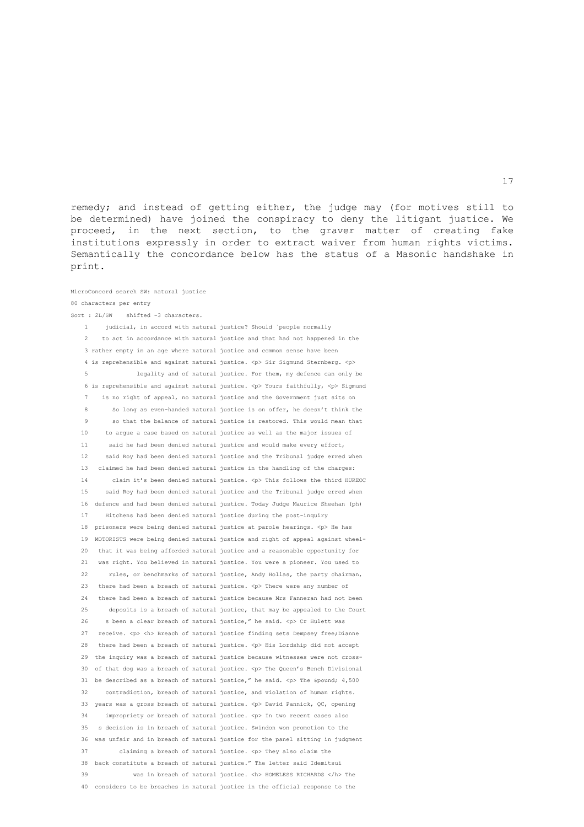remedy; and instead of getting either, the judge may (for motives still to be determined) have joined the conspiracy to deny the litigant justice. We proceed, in the next section, to the graver matter of creating fake institutions expressly in order to extract waiver from human rights victims. Semantically the concordance below has the status of a Masonic handshake in print.

## MicroConcord search SW: natural justice 80 characters per entry

Sort : 2L/SW shifted -3 characters.

 1 judicial, in accord with natural justice? Should `people normally 2 to act in accordance with natural justice and that had not happened in the 3 rather empty in an age where natural justice and common sense have been 4 is reprehensible and against natural justice.  $\langle p \rangle$  Sir Sigmund Sternberg.  $\langle p \rangle$  5 legality and of natural justice. For them, my defence can only be 6 is reprehensible and against natural justice. <p> Yours faithfully, <p> Sigmund 7 is no right of appeal, no natural justice and the Government just sits on 8 So long as even-handed natural justice is on offer, he doesn't think the 9 so that the balance of natural justice is restored. This would mean that 10 to argue a case based on natural justice as well as the major issues of 11 said he had been denied natural justice and would make every effort, 12 said Roy had been denied natural justice and the Tribunal judge erred when 13 claimed he had been denied natural justice in the handling of the charges: 14 claim it's been denied natural justice. <p> This follows the third HUREOC 15 said Roy had been denied natural justice and the Tribunal judge erred when 16 defence and had been denied natural justice. Today Judge Maurice Sheehan (ph) 17 Hitchens had been denied natural justice during the post-inquiry 18 prisoners were being denied natural justice at parole hearings. <p> He has 19 MOTORISTS were being denied natural justice and right of appeal against wheel- 20 that it was being afforded natural justice and a reasonable opportunity for 21 was right. You believed in natural justice. You were a pioneer. You used to 22 rules, or benchmarks of natural justice, Andy Hollas, the party chairman, 23 there had been a breach of natural justice. <p> There were any number of 24 there had been a breach of natural justice because Mrs Fanneran had not been 25 deposits is a breach of natural justice, that may be appealed to the Court 26 s been a clear breach of natural justice," he said. < p> Cr Hulett was 27 receive. <p> <h> Breach of natural justice finding sets Dempsey free;Dianne 28 there had been a breach of natural justice. <p> His Lordship did not accept 29 the inquiry was a breach of natural justice because witnesses were not cross- 30 of that dog was a breach of natural justice. <p> The Queen's Bench Divisional 31 be described as a breach of natural justice," he said.  $\langle p \rangle$  The £ 4,500 32 contradiction, breach of natural justice, and violation of human rights. 33 years was a gross breach of natural justice. <p> David Pannick, QC, opening 34 impropriety or breach of natural justice. <p> In two recent cases also 35 s decision is in breach of natural justice. Swindon won promotion to the 36 was unfair and in breach of natural justice for the panel sitting in judgment 37 claiming a breach of natural justice. <p> They also claim the 38 back constitute a breach of natural justice." The letter said Idemitsui 39 was in breach of natural justice. <h> HOMELESS RICHARDS </h> The 40 considers to be breaches in natural justice in the official response to the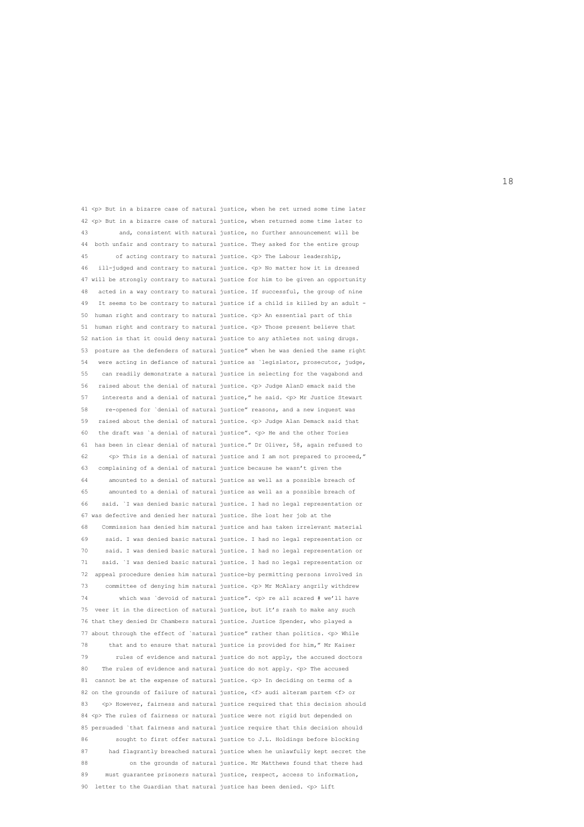41 <p> But in a bizarre case of natural justice, when he ret urned some time later 42 <p> But in a bizarre case of natural justice, when returned some time later to 43 and, consistent with natural justice, no further announcement will be 44 both unfair and contrary to natural justice. They asked for the entire group 45 of acting contrary to natural justice.  $\langle p \rangle$  The Labour leadership, 46 ill-judged and contrary to natural justice. <p> No matter how it is dressed 47 will be strongly contrary to natural justice for him to be given an opportunity 48 acted in a way contrary to natural justice. If successful, the group of nine 49 It seems to be contrary to natural justice if a child is killed by an adult - 50 human right and contrary to natural justice. <p> An essential part of this 51 human right and contrary to natural justice. <p> Those present believe that 52 nation is that it could deny natural justice to any athletes not using drugs. 53 posture as the defenders of natural justice" when he was denied the same right 54 were acting in defiance of natural justice as `legislator, prosecutor, judge, 55 can readily demonstrate a natural justice in selecting for the vagabond and 56 raised about the denial of natural justice. <p> Judge AlanD emack said the 57 interests and a denial of natural justice," he said. <p> Mr Justice Stewart 58 re-opened for `denial of natural justice" reasons, and a new inquest was 59 raised about the denial of natural justice. <p> Judge Alan Demack said that 60 the draft was `a denial of natural justice". <p> He and the other Tories 61 has been in clear denial of natural justice." Dr Oliver, 58, again refused to 62 <p> This is a denial of natural justice and I am not prepared to proceed," 63 complaining of a denial of natural justice because he wasn't given the 64 amounted to a denial of natural justice as well as a possible breach of 65 amounted to a denial of natural justice as well as a possible breach of 66 said. `I was denied basic natural justice. I had no legal representation or 67 was defective and denied her natural justice. She lost her job at the 68 Commission has denied him natural justice and has taken irrelevant material 69 said. I was denied basic natural justice. I had no legal representation or 70 said. I was denied basic natural justice. I had no legal representation or 71 said. `I was denied basic natural justice. I had no legal representation or 72 appeal procedure denies him natural justice-by permitting persons involved in 73 committee of denying him natural justice. <p> Mr McAlary angrily withdrew 74 which was `devoid of natural justice". <p> re all scared # we'll have 75 veer it in the direction of natural justice, but it's rash to make any such 76 that they denied Dr Chambers natural justice. Justice Spender, who played a 77 about through the effect of `natural justice" rather than politics. <p> While 78 that and to ensure that natural justice is provided for him," Mr Kaiser 79 rules of evidence and natural justice do not apply, the accused doctors 80 The rules of evidence and natural justice do not apply. <p> The accused 81 cannot be at the expense of natural justice. <p> In deciding on terms of a 82 on the grounds of failure of natural justice,  $\langle f \rangle$  audi alteram partem  $\langle f \rangle$  or 83 <p> However, fairness and natural justice required that this decision should 84 <p> The rules of fairness or natural justice were not rigid but depended on 85 persuaded `that fairness and natural justice require that this decision should 86 sought to first offer natural justice to J.L. Holdings before blocking 87 had flagrantly breached natural justice when he unlawfully kept secret the 88 on the grounds of natural justice. Mr Matthews found that there had 89 must guarantee prisoners natural justice, respect, access to information, 90 letter to the Guardian that natural justice has been denied.  $\langle$  p> Lift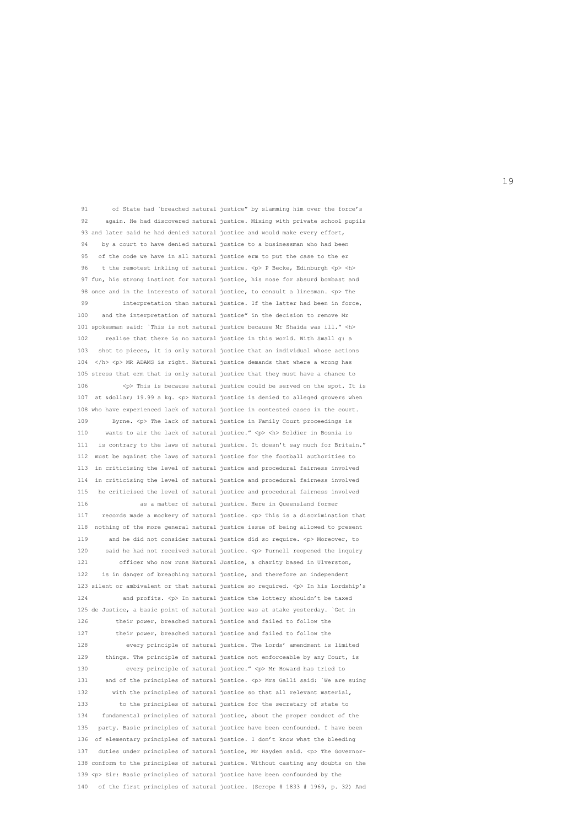91 of State had `breached natural justice" by slamming him over the force's 92 again. He had discovered natural justice. Mixing with private school pupils 93 and later said he had denied natural justice and would make every effort, 94 by a court to have denied natural justice to a businessman who had been 95 of the code we have in all natural justice erm to put the case to the er 96 t the remotest inkling of natural justice.  $\langle p \rangle$  P Becke, Edinburgh  $\langle p \rangle$   $\langle h \rangle$  97 fun, his strong instinct for natural justice, his nose for absurd bombast and 98 once and in the interests of natural justice, to consult a linesman. <p> The 99 interpretation than natural justice. If the latter had been in force, 100 and the interpretation of natural justice" in the decision to remove Mr 101 spokesman said: `This is not natural justice because Mr Shaida was ill." <h> 102 realise that there is no natural justice in this world. With Small g: a 103 shot to pieces, it is only natural justice that an individual whose actions 104  $\langle$ /h>  $\langle$ p> MR ADAMS is right. Natural justice demands that where a wrong has 105 stress that erm that is only natural justice that they must have a chance to 106 <p> This is because natural justice could be served on the spot. It is 107 at \$ 19.99 a kg. <p> Natural justice is denied to alleged growers when 108 who have experienced lack of natural justice in contested cases in the court. 109 Byrne. <p> The lack of natural justice in Family Court proceedings is 110 wants to air the lack of natural justice." <p> <h> Soldier in Bosnia is 111 is contrary to the laws of natural justice. It doesn't say much for Britain." 112 must be against the laws of natural justice for the football authorities to 113 in criticising the level of natural justice and procedural fairness involved 114 in criticising the level of natural justice and procedural fairness involved 115 he criticised the level of natural justice and procedural fairness involved 116 as a matter of natural justice. Here in Queensland former 117 records made a mockery of natural justice. <p> This is a discrimination that 118 nothing of the more general natural justice issue of being allowed to present 119 and he did not consider natural justice did so require.  $\langle p \rangle$  Moreover, to 120 said he had not received natural justice. <p> Purnell reopened the inquiry 121 officer who now runs Natural Justice, a charity based in Ulverston, 122 is in danger of breaching natural justice, and therefore an independent 123 silent or ambivalent or that natural justice so required.  $\langle p \rangle$  In his Lordship's 124 and profits. <p> In natural justice the lottery shouldn't be taxed 125 de Justice, a basic point of natural justice was at stake yesterday. `Get in 126 their power, breached natural justice and failed to follow the 127 their power, breached natural justice and failed to follow the 128 every principle of natural justice. The Lords' amendment is limited 129 things. The principle of natural justice not enforceable by any Court, is 130 every principle of natural justice." <p> Mr Howard has tried to 131 and of the principles of natural justice. <p> Mrs Galli said: `We are suing 132 with the principles of natural justice so that all relevant material, 133 to the principles of natural justice for the secretary of state to 134 fundamental principles of natural justice, about the proper conduct of the 135 party. Basic principles of natural justice have been confounded. I have been 136 of elementary principles of natural justice. I don't know what the bleeding 137 duties under principles of natural justice, Mr Hayden said. <p> The Governor- 138 conform to the principles of natural justice. Without casting any doubts on the 139 <p> Sir: Basic principles of natural justice have been confounded by the 140 of the first principles of natural justice. (Scrope # 1833 # 1969, p. 32) And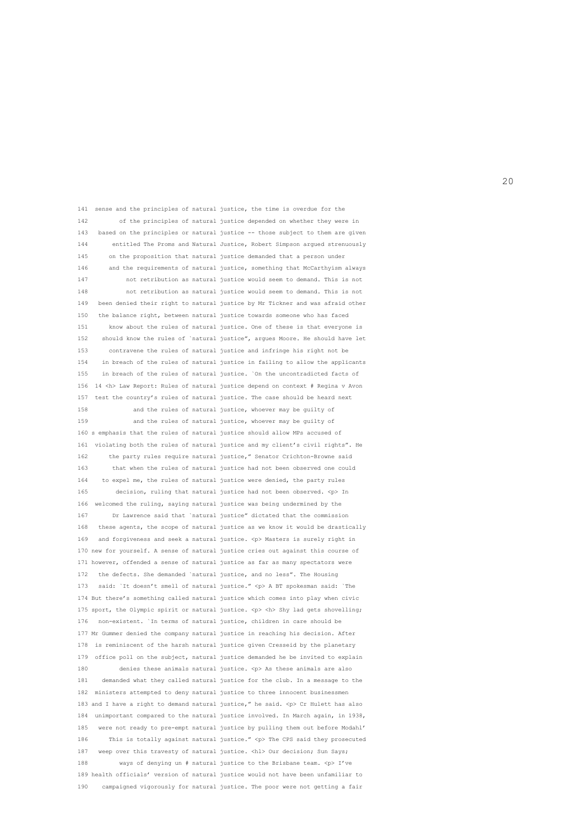141 sense and the principles of natural justice, the time is overdue for the 142 of the principles of natural justice depended on whether they were in 143 based on the principles or natural justice -- those subject to them are given 144 entitled The Proms and Natural Justice, Robert Simpson argued strenuously 145 on the proposition that natural justice demanded that a person under 146 and the requirements of natural justice, something that McCarthyism always 147 not retribution as natural justice would seem to demand. This is not 148 not retribution as natural justice would seem to demand. This is not 149 been denied their right to natural justice by Mr Tickner and was afraid other 150 the balance right, between natural justice towards someone who has faced 151 know about the rules of natural justice. One of these is that everyone is 152 should know the rules of `natural justice", argues Moore. He should have let 153 contravene the rules of natural justice and infringe his right not be 154 in breach of the rules of natural justice in failing to allow the applicants 155 in breach of the rules of natural justice. `On the uncontradicted facts of 156 14 <h> Law Report: Rules of natural justice depend on context # Regina v Avon 157 test the country's rules of natural justice. The case should be heard next 158 and the rules of natural justice, whoever may be guilty of 159 and the rules of natural justice, whoever may be guilty of 160 s emphasis that the rules of natural justice should allow MPs accused of 161 violating both the rules of natural justice and my client's civil rights". He 162 the party rules require natural justice," Senator Crichton-Browne said 163 that when the rules of natural justice had not been observed one could 164 to expel me, the rules of natural justice were denied, the party rules 165 decision, ruling that natural justice had not been observed. <p> In 166 welcomed the ruling, saying natural justice was being undermined by the 167 Dr Lawrence said that `natural justice" dictated that the commission 168 these agents, the scope of natural justice as we know it would be drastically 169 and forgiveness and seek a natural justice. <p> Masters is surely right in 170 new for yourself. A sense of natural justice cries out against this course of 171 however, offended a sense of natural justice as far as many spectators were 172 the defects. She demanded `natural justice, and no less". The Housing 173 said: `It doesn't smell of natural justice." <p> A BT spokesman said: `The 174 But there's something called natural justice which comes into play when civic 175 sport, the Olympic spirit or natural justice.  $\langle p \rangle$   $\langle h \rangle$  Shy lad gets shovelling; 176 non-existent. `In terms of natural justice, children in care should be 177 Mr Gummer denied the company natural justice in reaching his decision. After 178 is reminiscent of the harsh natural justice given Cresseid by the planetary 179 office poll on the subject, natural justice demanded he be invited to explain 180 denies these animals natural justice. <p> As these animals are also 181 demanded what they called natural justice for the club. In a message to the 182 ministers attempted to deny natural justice to three innocent businessmen 183 and I have a right to demand natural justice," he said. < p> Cr Hulett has also 184 unimportant compared to the natural justice involved. In March again, in 1938, 185 were not ready to pre-empt natural justice by pulling them out before Modahl' 186 This is totally against natural justice." <p> The CPS said they prosecuted 187 weep over this travesty of natural justice. <hl> Our decision; Sun Says; 188 ways of denying un # natural justice to the Brisbane team. <p> I've 189 health officials' version of natural justice would not have been unfamiliar to 190 campaigned vigorously for natural justice. The poor were not getting a fair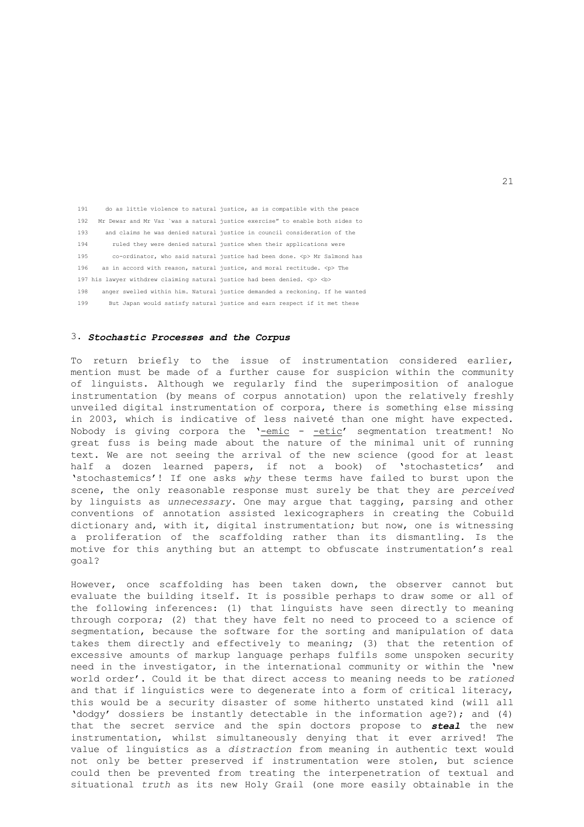191 do as little violence to natural justice, as is compatible with the peace 192 Mr Dewar and Mr Vaz `was a natural justice exercise" to enable both sides to 193 and claims he was denied natural justice in council consideration of the 194 ruled they were denied natural justice when their applications were 195 co-ordinator, who said natural justice had been done. <p> Mr Salmond has 196 as in accord with reason, natural justice, and moral rectitude.  $\langle p \rangle$  The 197 his lawyer withdrew claiming natural justice had been denied.  $p > 2$  198 anger swelled within him. Natural justice demanded a reckoning. If he wanted 199 But Japan would satisfy natural justice and earn respect if it met these

#### 3. *Stochastic Processes and the Corpus*

To return briefly to the issue of instrumentation considered earlier, mention must be made of a further cause for suspicion within the community of linguists. Although we regularly find the superimposition of analogue instrumentation (by means of corpus annotation) upon the relatively freshly unveiled digital instrumentation of corpora, there is something else missing in 2003, which is indicative of less naiveté than one might have expected. Nobody is giving corpora the '-emic - -etic' segmentation treatment! No great fuss is being made about the nature of the minimal unit of running text. We are not seeing the arrival of the new science (good for at least half a dozen learned papers, if not a book) of 'stochastetics' and 'stochastemics'! If one asks *why* these terms have failed to burst upon the scene, the only reasonable response must surely be that they are *perceived* by linguists as *unnecessary*. One may argue that tagging, parsing and other conventions of annotation assisted lexicographers in creating the Cobuild dictionary and, with it, digital instrumentation; but now, one is witnessing a proliferation of the scaffolding rather than its dismantling. Is the motive for this anything but an attempt to obfuscate instrumentation's real goal?

However, once scaffolding has been taken down, the observer cannot but evaluate the building itself. It is possible perhaps to draw some or all of the following inferences: (1) that linguists have seen directly to meaning through corpora; (2) that they have felt no need to proceed to a science of segmentation, because the software for the sorting and manipulation of data takes them directly and effectively to meaning; (3) that the retention of excessive amounts of markup language perhaps fulfils some unspoken security need in the investigator, in the international community or within the 'new world order'. Could it be that direct access to meaning needs to be *rationed* and that if linguistics were to degenerate into a form of critical literacy, this would be a security disaster of some hitherto unstated kind (will all 'dodgy' dossiers be instantly detectable in the information age?); and (4) that the secret service and the spin doctors propose to *steal* the new instrumentation, whilst simultaneously denying that it ever arrived! The value of linguistics as a *distraction* from meaning in authentic text would not only be better preserved if instrumentation were stolen, but science could then be prevented from treating the interpenetration of textual and situational *truth* as its new Holy Grail (one more easily obtainable in the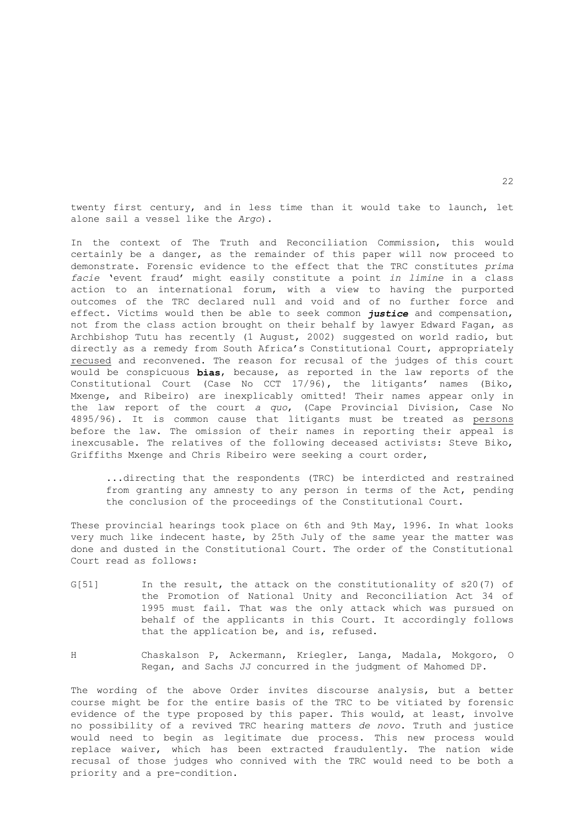twenty first century, and in less time than it would take to launch, let alone sail a vessel like the *Argo*).

In the context of The Truth and Reconciliation Commission, this would certainly be a danger, as the remainder of this paper will now proceed to demonstrate. Forensic evidence to the effect that the TRC constitutes *prima facie* 'event fraud' might easily constitute a point *in limine* in a class action to an international forum, with a view to having the purported outcomes of the TRC declared null and void and of no further force and effect. Victims would then be able to seek common *justice* and compensation, not from the class action brought on their behalf by lawyer Edward Fagan, as Archbishop Tutu has recently (1 August, 2002) suggested on world radio, but directly as a remedy from South Africa's Constitutional Court, appropriately recused and reconvened. The reason for recusal of the judges of this court would be conspicuous **bias**, because, as reported in the law reports of the Constitutional Court (Case No CCT 17/96), the litigants' names (Biko, Mxenge, and Ribeiro) are inexplicably omitted! Their names appear only in the law report of the court *a quo*, (Cape Provincial Division, Case No 4895/96). It is common cause that litigants must be treated as persons before the law. The omission of their names in reporting their appeal is inexcusable. The relatives of the following deceased activists: Steve Biko, Griffiths Mxenge and Chris Ribeiro were seeking a court order,

 ...directing that the respondents (TRC) be interdicted and restrained from granting any amnesty to any person in terms of the Act, pending the conclusion of the proceedings of the Constitutional Court.

These provincial hearings took place on 6th and 9th May, 1996. In what looks very much like indecent haste, by 25th July of the same year the matter was done and dusted in the Constitutional Court. The order of the Constitutional Court read as follows:

- G[51] In the result, the attack on the constitutionality of s20(7) of the Promotion of National Unity and Reconciliation Act 34 of 1995 must fail. That was the only attack which was pursued on behalf of the applicants in this Court. It accordingly follows that the application be, and is, refused.
- H Chaskalson P, Ackermann, Kriegler, Langa, Madala, Mokgoro, O Regan, and Sachs JJ concurred in the judgment of Mahomed DP.

The wording of the above Order invites discourse analysis, but a better course might be for the entire basis of the TRC to be vitiated by forensic evidence of the type proposed by this paper. This would, at least, involve no possibility of a revived TRC hearing matters *de novo*. Truth and justice would need to begin as legitimate due process. This new process would replace waiver, which has been extracted fraudulently. The nation wide recusal of those judges who connived with the TRC would need to be both a priority and a pre-condition.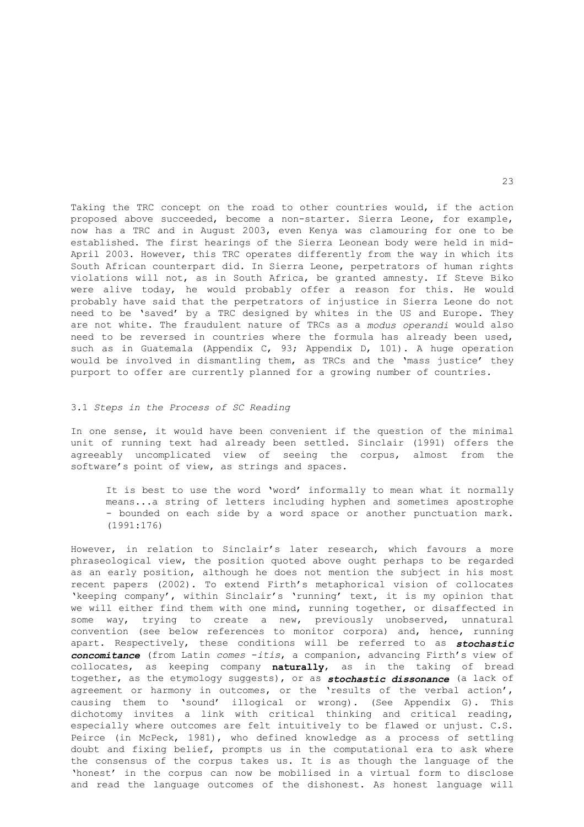Taking the TRC concept on the road to other countries would, if the action proposed above succeeded, become a non-starter. Sierra Leone, for example, now has a TRC and in August 2003, even Kenya was clamouring for one to be established. The first hearings of the Sierra Leonean body were held in mid-April 2003. However, this TRC operates differently from the way in which its South African counterpart did. In Sierra Leone, perpetrators of human rights violations will not, as in South Africa, be granted amnesty. If Steve Biko were alive today, he would probably offer a reason for this. He would probably have said that the perpetrators of injustice in Sierra Leone do not need to be 'saved' by a TRC designed by whites in the US and Europe. They are not white. The fraudulent nature of TRCs as a *modus operandi* would also need to be reversed in countries where the formula has already been used, such as in Guatemala (Appendix C, 93; Appendix D, 101). A huge operation would be involved in dismantling them, as TRCs and the 'mass justice' they purport to offer are currently planned for a growing number of countries.

#### 3.1 *Steps in the Process of SC Reading*

In one sense, it would have been convenient if the question of the minimal unit of running text had already been settled. Sinclair (1991) offers the agreeably uncomplicated view of seeing the corpus, almost from the software's point of view, as strings and spaces.

 It is best to use the word 'word' informally to mean what it normally means...a string of letters including hyphen and sometimes apostrophe - bounded on each side by a word space or another punctuation mark. (1991:176)

However, in relation to Sinclair's later research, which favours a more phraseological view, the position quoted above ought perhaps to be regarded as an early position, although he does not mention the subject in his most recent papers (2002). To extend Firth's metaphorical vision of collocates 'keeping company', within Sinclair's 'running' text, it is my opinion that we will either find them with one mind, running together, or disaffected in some way, trying to create a new, previously unobserved, unnatural convention (see below references to monitor corpora) and, hence, running apart. Respectively, these conditions will be referred to as *stochastic concomitance* (from Latin *comes* -*itis*, a companion, advancing Firth's view of collocates, as keeping company **naturally**, as in the taking of bread together, as the etymology suggests), or as *stochastic dissonance* (a lack of agreement or harmony in outcomes, or the 'results of the verbal action', causing them to 'sound' illogical or wrong). (See Appendix G). This dichotomy invites a link with critical thinking and critical reading, especially where outcomes are felt intuitively to be flawed or unjust. C.S. Peirce (in McPeck, 1981), who defined knowledge as a process of settling doubt and fixing belief, prompts us in the computational era to ask where the consensus of the corpus takes us. It is as though the language of the 'honest' in the corpus can now be mobilised in a virtual form to disclose and read the language outcomes of the dishonest. As honest language will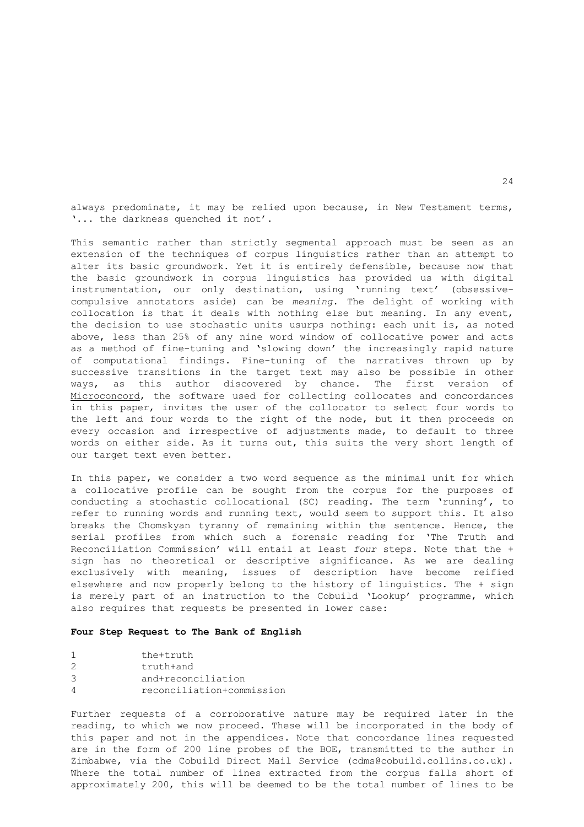always predominate, it may be relied upon because, in New Testament terms, '... the darkness quenched it not'.

This semantic rather than strictly segmental approach must be seen as an extension of the techniques of corpus linguistics rather than an attempt to alter its basic groundwork. Yet it is entirely defensible, because now that the basic groundwork in corpus linguistics has provided us with digital instrumentation, our only destination, using 'running text' (obsessivecompulsive annotators aside) can be *meaning*. The delight of working with collocation is that it deals with nothing else but meaning. In any event, the decision to use stochastic units usurps nothing: each unit is, as noted above, less than 25% of any nine word window of collocative power and acts as a method of fine-tuning and 'slowing down' the increasingly rapid nature of computational findings. Fine-tuning of the narratives thrown up by successive transitions in the target text may also be possible in other ways, as this author discovered by chance. The first version of Microconcord, the software used for collecting collocates and concordances in this paper, invites the user of the collocator to select four words to the left and four words to the right of the node, but it then proceeds on every occasion and irrespective of adjustments made, to default to three words on either side. As it turns out, this suits the very short length of our target text even better.

In this paper, we consider a two word sequence as the minimal unit for which a collocative profile can be sought from the corpus for the purposes of conducting a stochastic collocational (SC) reading. The term 'running', to refer to running words and running text, would seem to support this. It also breaks the Chomskyan tyranny of remaining within the sentence. Hence, the serial profiles from which such a forensic reading for 'The Truth and Reconciliation Commission' will entail at least *four* steps. Note that the + sign has no theoretical or descriptive significance. As we are dealing exclusively with meaning, issues of description have become reified elsewhere and now properly belong to the history of linguistics. The + sign is merely part of an instruction to the Cobuild 'Lookup' programme, which also requires that requests be presented in lower case:

#### **Four Step Request to The Bank of English**

|   | the+truth                 |
|---|---------------------------|
| 2 | truth+and                 |
| 3 | and+reconciliation        |
| Δ | reconciliation+commission |

Further requests of a corroborative nature may be required later in the reading, to which we now proceed. These will be incorporated in the body of this paper and not in the appendices. Note that concordance lines requested are in the form of 200 line probes of the BOE, transmitted to the author in Zimbabwe, via the Cobuild Direct Mail Service (cdms@cobuild.collins.co.uk). Where the total number of lines extracted from the corpus falls short of approximately 200, this will be deemed to be the total number of lines to be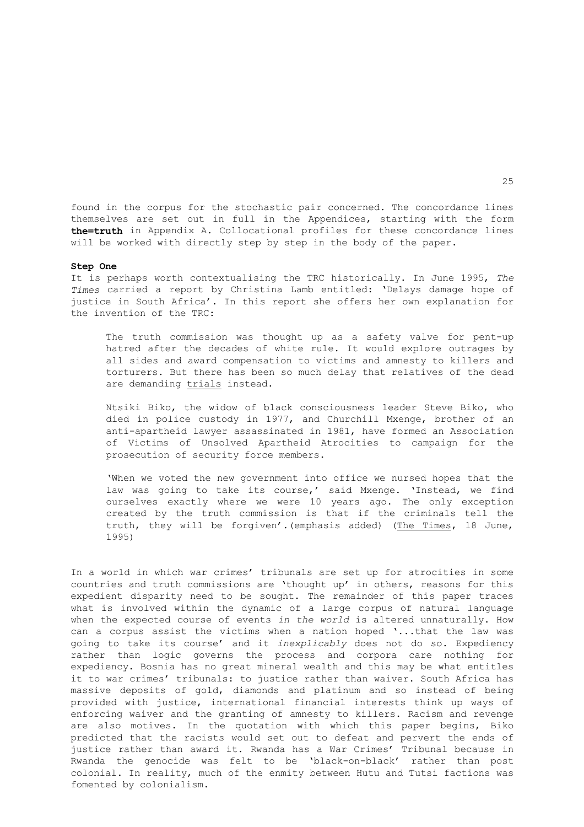found in the corpus for the stochastic pair concerned. The concordance lines themselves are set out in full in the Appendices, starting with the form **the=truth** in Appendix A. Collocational profiles for these concordance lines will be worked with directly step by step in the body of the paper.

#### **Step One**

It is perhaps worth contextualising the TRC historically. In June 1995, *The Times* carried a report by Christina Lamb entitled: 'Delays damage hope of justice in South Africa'. In this report she offers her own explanation for the invention of the TRC:

 The truth commission was thought up as a safety valve for pent-up hatred after the decades of white rule. It would explore outrages by all sides and award compensation to victims and amnesty to killers and torturers. But there has been so much delay that relatives of the dead are demanding trials instead.

 Ntsiki Biko, the widow of black consciousness leader Steve Biko, who died in police custody in 1977, and Churchill Mxenge, brother of an anti-apartheid lawyer assassinated in 1981, have formed an Association of Victims of Unsolved Apartheid Atrocities to campaign for the prosecution of security force members.

 'When we voted the new government into office we nursed hopes that the law was going to take its course,' said Mxenge. 'Instead, we find ourselves exactly where we were 10 years ago. The only exception created by the truth commission is that if the criminals tell the truth, they will be forgiven'.(emphasis added) (The Times, 18 June, 1995)

In a world in which war crimes' tribunals are set up for atrocities in some countries and truth commissions are 'thought up' in others, reasons for this expedient disparity need to be sought. The remainder of this paper traces what is involved within the dynamic of a large corpus of natural language when the expected course of events *in the world* is altered unnaturally. How can a corpus assist the victims when a nation hoped '...that the law was going to take its course' and it *inexplicably* does not do so. Expediency rather than logic governs the process and corpora care nothing for expediency. Bosnia has no great mineral wealth and this may be what entitles it to war crimes' tribunals: to justice rather than waiver. South Africa has massive deposits of gold, diamonds and platinum and so instead of being provided with justice, international financial interests think up ways of enforcing waiver and the granting of amnesty to killers. Racism and revenge are also motives. In the quotation with which this paper begins, Biko predicted that the racists would set out to defeat and pervert the ends of justice rather than award it. Rwanda has a War Crimes' Tribunal because in Rwanda the genocide was felt to be 'black-on-black' rather than post colonial. In reality, much of the enmity between Hutu and Tutsi factions was fomented by colonialism.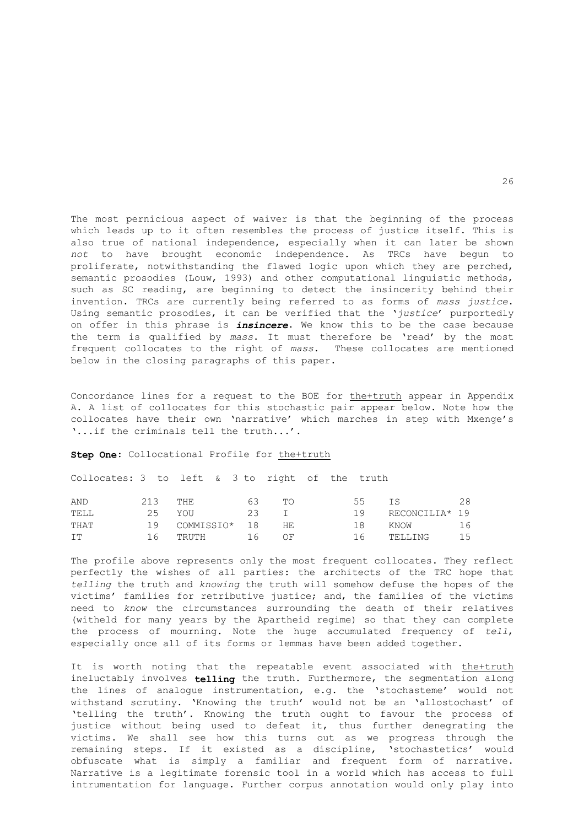The most pernicious aspect of waiver is that the beginning of the process which leads up to it often resembles the process of justice itself. This is also true of national independence, especially when it can later be shown *not* to have brought economic independence. As TRCs have begun to proliferate, notwithstanding the flawed logic upon which they are perched, semantic prosodies (Louw, 1993) and other computational linguistic methods, such as SC reading, are beginning to detect the insincerity behind their invention. TRCs are currently being referred to as forms of *mass justice*. Using semantic prosodies, it can be verified that the '*justice*' purportedly on offer in this phrase is *insincere*. We know this to be the case because the term is qualified by *mass*. It must therefore be 'read' by the most frequent collocates to the right of *mass*. These collocates are mentioned below in the closing paragraphs of this paper.

Concordance lines for a request to the BOE for the+truth appear in Appendix A. A list of collocates for this stochastic pair appear below. Note how the collocates have their own 'narrative' which marches in step with Mxenge's '...if the criminals tell the truth...'.

**Step One**: Collocational Profile for the+truth

Collocates: 3 to left & 3 to right of the truth

| AND  | 213 | THE.             | 63   | TΩ | 55  | T S            | 28 |
|------|-----|------------------|------|----|-----|----------------|----|
| TELL | 25  | YOU              | - 23 |    | 19  | RECONCILIA* 19 |    |
| THAT |     | 19 COMMISSIO* 18 |      | HЕ | 18. | KNOW           | 16 |
| IT   | 16  | TRUTH 16         |      | ΟF | 16  | TELLING        | 15 |

The profile above represents only the most frequent collocates. They reflect perfectly the wishes of all parties: the architects of the TRC hope that *telling* the truth and *knowing* the truth will somehow defuse the hopes of the victims' families for retributive justice; and, the families of the victims need to *know* the circumstances surrounding the death of their relatives (witheld for many years by the Apartheid regime) so that they can complete the process of mourning. Note the huge accumulated frequency of *tell*, especially once all of its forms or lemmas have been added together.

It is worth noting that the repeatable event associated with the+truth ineluctably involves **telling** the truth. Furthermore, the segmentation along the lines of analogue instrumentation, e.g. the 'stochasteme' would not withstand scrutiny. 'Knowing the truth' would not be an 'allostochast' of 'telling the truth'. Knowing the truth ought to favour the process of justice without being used to defeat it, thus further denegrating the victims. We shall see how this turns out as we progress through the remaining steps. If it existed as a discipline, 'stochastetics' would obfuscate what is simply a familiar and frequent form of narrative. Narrative is a legitimate forensic tool in a world which has access to full intrumentation for language. Further corpus annotation would only play into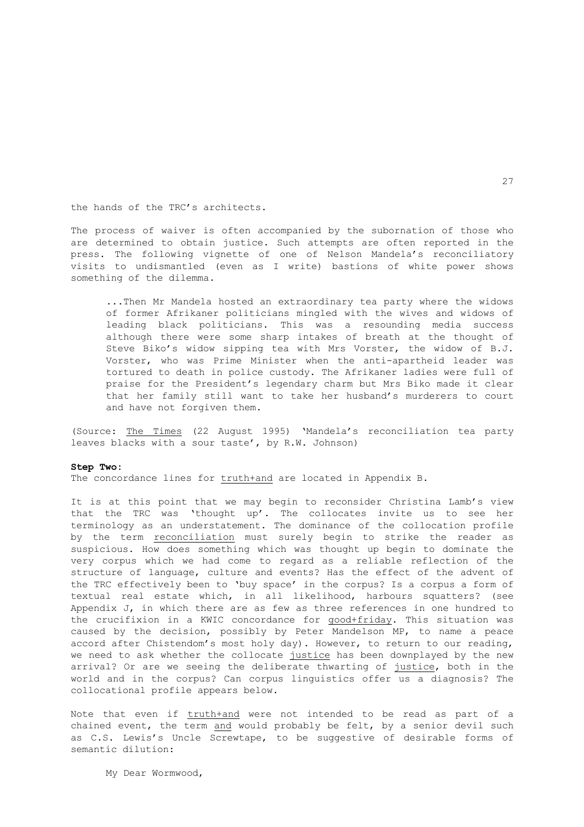the hands of the TRC's architects.

The process of waiver is often accompanied by the subornation of those who are determined to obtain justice. Such attempts are often reported in the press. The following vignette of one of Nelson Mandela's reconciliatory visits to undismantled (even as I write) bastions of white power shows something of the dilemma.

 ...Then Mr Mandela hosted an extraordinary tea party where the widows of former Afrikaner politicians mingled with the wives and widows of leading black politicians. This was a resounding media success although there were some sharp intakes of breath at the thought of Steve Biko's widow sipping tea with Mrs Vorster, the widow of B.J. Vorster, who was Prime Minister when the anti-apartheid leader was tortured to death in police custody. The Afrikaner ladies were full of praise for the President's legendary charm but Mrs Biko made it clear that her family still want to take her husband's murderers to court and have not forgiven them.

(Source: The Times (22 August 1995) 'Mandela's reconciliation tea party leaves blacks with a sour taste', by R.W. Johnson)

#### **Step Two:**

The concordance lines for truth+and are located in Appendix B.

It is at this point that we may begin to reconsider Christina Lamb's view that the TRC was 'thought up'. The collocates invite us to see her terminology as an understatement. The dominance of the collocation profile by the term reconciliation must surely begin to strike the reader as suspicious. How does something which was thought up begin to dominate the very corpus which we had come to regard as a reliable reflection of the structure of language, culture and events? Has the effect of the advent of the TRC effectively been to 'buy space' in the corpus? Is a corpus a form of textual real estate which, in all likelihood, harbours squatters? (see Appendix J, in which there are as few as three references in one hundred to the crucifixion in a KWIC concordance for good+friday. This situation was caused by the decision, possibly by Peter Mandelson MP, to name a peace accord after Chistendom's most holy day). However, to return to our reading, we need to ask whether the collocate justice has been downplayed by the new arrival? Or are we seeing the deliberate thwarting of justice, both in the world and in the corpus? Can corpus linguistics offer us a diagnosis? The collocational profile appears below.

Note that even if truth+and were not intended to be read as part of a chained event, the term and would probably be felt, by a senior devil such as C.S. Lewis's Uncle Screwtape, to be suggestive of desirable forms of semantic dilution:

My Dear Wormwood,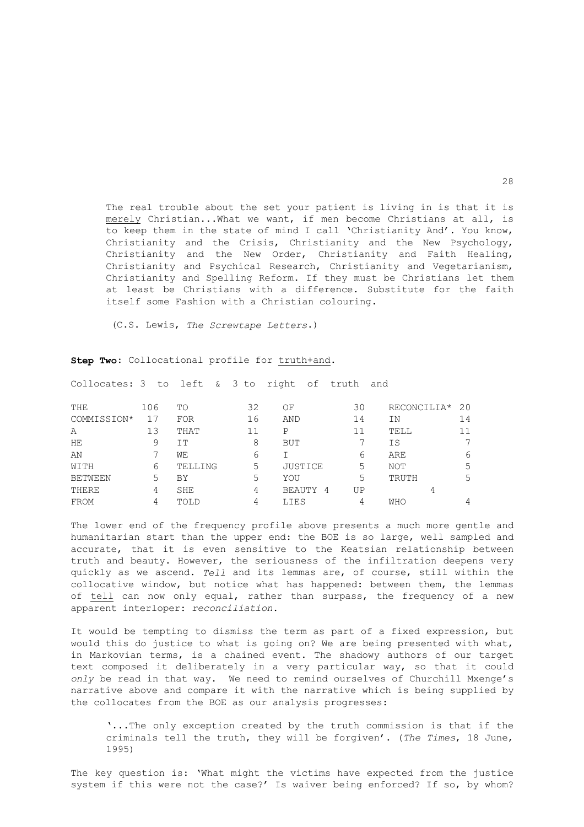The real trouble about the set your patient is living in is that it is merely Christian...What we want, if men become Christians at all, is to keep them in the state of mind I call 'Christianity And'. You know, Christianity and the Crisis, Christianity and the New Psychology, Christianity and the New Order, Christianity and Faith Healing, Christianity and Psychical Research, Christianity and Vegetarianism, Christianity and Spelling Reform. If they must be Christians let them at least be Christians with a difference. Substitute for the faith itself some Fashion with a Christian colouring.

(C.S. Lewis, *The Screwtape Letters*.)

Collocates: 3 to left & 3 to right of truth and

| THE         | 106 | TO         | 32 | ΟF                 | 30 | RECONCILIA* | 20 |
|-------------|-----|------------|----|--------------------|----|-------------|----|
| COMMISSION* |     | <b>FOR</b> | 16 | AND                | 14 | ΙN          | 14 |
| Α           | 13  | THAT       | 11 | Ρ                  | 11 | TELL        |    |
| HЕ          | 9   | IΤ         | 8  | BUT                |    | IS          |    |
| ΆN          |     | WЕ         | 6  |                    | 6  | ARE         |    |
| WITH        | 6   | TELLING    | 5  | JUSTICE            | 5  | NOT         | 5  |
| BETWEEN     | 5   | BY         | 5  | YOU                | 5  | TRUTH       | 5  |
| THERE       | 4   | SHE        | 4  | <b>BEAUTY</b><br>4 | UP | 4           |    |
| FROM        | 4   | TOLD       | 4  | LIES               | 4  | WHO         |    |

**Step Two**: Collocational profile for truth+and.

The lower end of the frequency profile above presents a much more gentle and humanitarian start than the upper end: the BOE is so large, well sampled and accurate, that it is even sensitive to the Keatsian relationship between truth and beauty. However, the seriousness of the infiltration deepens very quickly as we ascend. *Tell* and its lemmas are, of course, still within the collocative window, but notice what has happened: between them, the lemmas of tell can now only equal, rather than surpass, the frequency of a new apparent interloper: *reconciliation*.

It would be tempting to dismiss the term as part of a fixed expression, but would this do justice to what is going on? We are being presented with what, in Markovian terms, is a chained event. The shadowy authors of our target text composed it deliberately in a very particular way, so that it could *only* be read in that way. We need to remind ourselves of Churchill Mxenge's narrative above and compare it with the narrative which is being supplied by the collocates from the BOE as our analysis progresses:

 '...The only exception created by the truth commission is that if the criminals tell the truth, they will be forgiven'. (*The Times*, 18 June, 1995)

The key question is: 'What might the victims have expected from the justice system if this were not the case?' Is waiver being enforced? If so, by whom?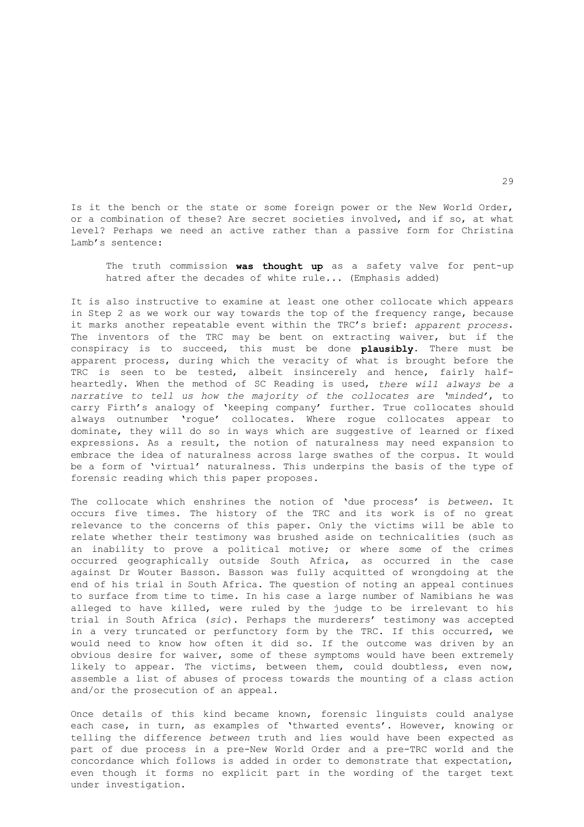Is it the bench or the state or some foreign power or the New World Order, or a combination of these? Are secret societies involved, and if so, at what level? Perhaps we need an active rather than a passive form for Christina Lamb's sentence:

 The truth commission **was thought up** as a safety valve for pent-up hatred after the decades of white rule... (Emphasis added)

It is also instructive to examine at least one other collocate which appears in Step 2 as we work our way towards the top of the frequency range, because it marks another repeatable event within the TRC's brief: *apparent process*. The inventors of the TRC may be bent on extracting waiver, but if the conspiracy is to succeed, this must be done **plausibly**. There must be apparent process, during which the veracity of what is brought before the TRC is seen to be tested, albeit insincerely and hence, fairly halfheartedly. When the method of SC Reading is used, *there will always be a narrative to tell us how the majority of the collocates are 'minded'*, to carry Firth's analogy of 'keeping company' further. True collocates should always outnumber 'rogue' collocates. Where rogue collocates appear to dominate, they will do so in ways which are suggestive of learned or fixed expressions. As a result, the notion of naturalness may need expansion to embrace the idea of naturalness across large swathes of the corpus. It would be a form of 'virtual' naturalness. This underpins the basis of the type of forensic reading which this paper proposes.

The collocate which enshrines the notion of 'due process' is *between*. It occurs five times. The history of the TRC and its work is of no great relevance to the concerns of this paper. Only the victims will be able to relate whether their testimony was brushed aside on technicalities (such as an inability to prove a political motive; or where some of the crimes occurred geographically outside South Africa, as occurred in the case against Dr Wouter Basson. Basson was fully acquitted of wrongdoing at the end of his trial in South Africa. The question of noting an appeal continues to surface from time to time. In his case a large number of Namibians he was alleged to have killed, were ruled by the judge to be irrelevant to his trial in South Africa (*sic*). Perhaps the murderers' testimony was accepted in a very truncated or perfunctory form by the TRC. If this occurred, we would need to know how often it did so. If the outcome was driven by an obvious desire for waiver, some of these symptoms would have been extremely likely to appear. The victims, between them, could doubtless, even now, assemble a list of abuses of process towards the mounting of a class action and/or the prosecution of an appeal.

Once details of this kind became known, forensic linguists could analyse each case, in turn, as examples of 'thwarted events'. However, knowing or telling the difference *between* truth and lies would have been expected as part of due process in a pre-New World Order and a pre-TRC world and the concordance which follows is added in order to demonstrate that expectation, even though it forms no explicit part in the wording of the target text under investigation.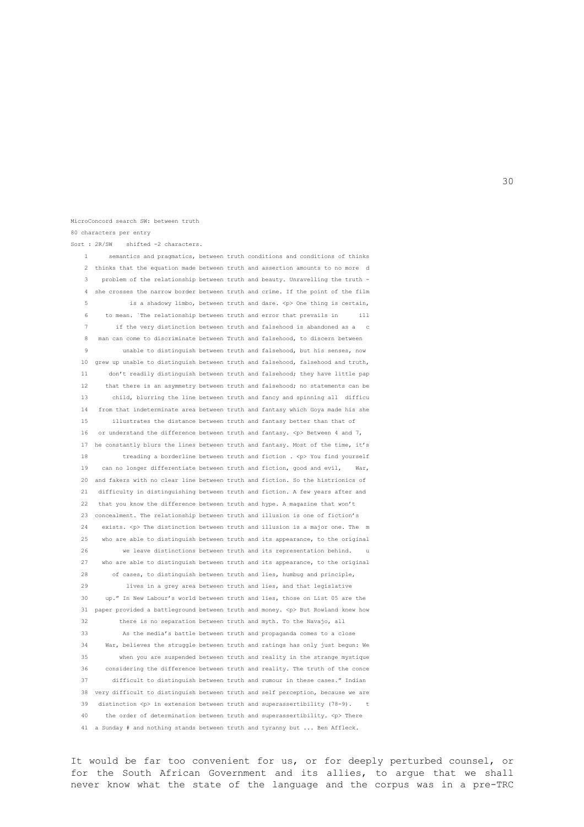80 characters per entry Sort : 2R/SW shifted -2 characters. 1 semantics and pragmatics, between truth conditions and conditions of thinks 2 thinks that the equation made between truth and assertion amounts to no more d 3 problem of the relationship between truth and beauty. Unravelling the truth - 4 she crosses the narrow border between truth and crime. If the point of the film is a shadowy limbo, between truth and dare.  $One$  thing is certain, 6 to mean. `The relationship between truth and error that prevails in ill 7 if the very distinction between truth and falsehood is abandoned as a c 8 man can come to discriminate between Truth and falsehood, to discern between

MicroConcord search SW: between truth

unable to distinguish between truth and falsehood, but his senses, now 10 grew up unable to distinguish between truth and falsehood, falsehood and truth, 11 don't readily distinguish between truth and falsehood; they have little pap 12 that there is an asymmetry between truth and falsehood; no statements can be 13 child, blurring the line between truth and fancy and spinning all difficu 14 from that indeterminate area between truth and fantasy which Goya made his she 15 illustrates the distance between truth and fantasy better than that of 16 or understand the difference between truth and fantasy.  $\langle p \rangle$  Between 4 and 7, 17 he constantly blurs the lines between truth and fantasy. Most of the time, it's 18 treading a borderline between truth and fiction .  $\langle p \rangle$  You find yourself 19 can no longer differentiate between truth and fiction, good and evil, 20 and fakers with no clear line between truth and fiction. So the histrionics of 21 difficulty in distinguishing between truth and fiction. A few years after and 22 that you know the difference between truth and hype. A magazine that won't 23 concealment. The relationship between truth and illusion is one of fiction's 24 exists.  $\langle \cdot \rangle$  The distinction between truth and illusion is a major one. The m 25 who are able to distinguish between truth and its appearance, to the original 26 we leave distinctions between truth and its representation behind. 27 who are able to distinguish between truth and its appearance, to the original 28 of cases, to distinguish between truth and lies, humbug and principle, 29 lives in a grey area between truth and lies, and that legislative 30 up." In New Labour's world between truth and lies, those on List 05 are the 31 paper provided a battleground between truth and money. <p> But Rowland knew how 32 there is no separation between truth and myth. To the Navajo, all 33 As the media's battle between truth and propaganda comes to a close 34 War, believes the struggle between truth and ratings has only just begun: We

 35 when you are suspended between truth and reality in the strange mystique 36 considering the difference between truth and reality. The truth of the conce 37 difficult to distinguish between truth and rumour in these cases." Indian 38 very difficult to distinguish between truth and self perception, because we are 39 distinction  $\langle p \rangle$  in extension between truth and superassertibility (78-9). t 40 the order of determination between truth and superassertibility. <p> There 41 a Sunday # and nothing stands between truth and tyranny but ... Ben Affleck.

It would be far too convenient for us, or for deeply perturbed counsel, or for the South African Government and its allies, to argue that we shall never know what the state of the language and the corpus was in a pre-TRC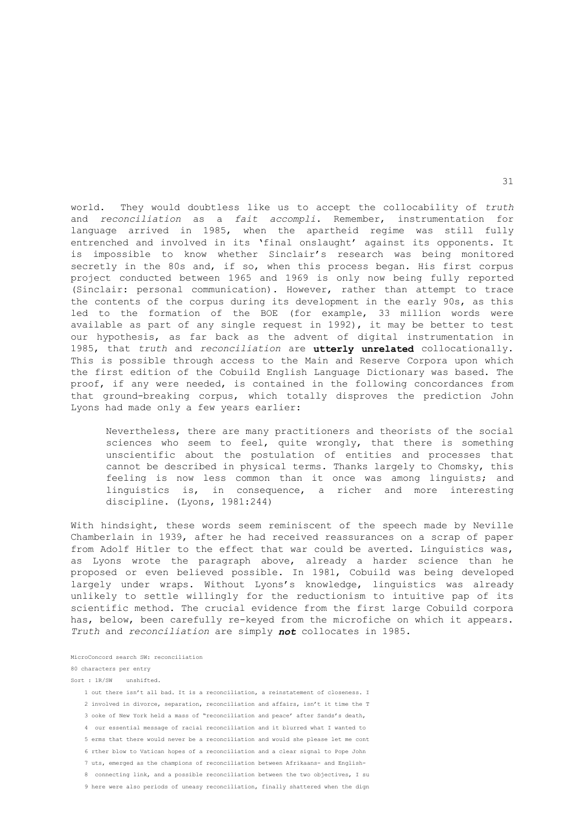world. They would doubtless like us to accept the collocability of *truth* and *reconciliation* as a *fait accompli*. Remember, instrumentation for language arrived in 1985, when the apartheid regime was still fully entrenched and involved in its 'final onslaught' against its opponents. It is impossible to know whether Sinclair's research was being monitored secretly in the 80s and, if so, when this process began. His first corpus project conducted between 1965 and 1969 is only now being fully reported (Sinclair: personal communication). However, rather than attempt to trace the contents of the corpus during its development in the early 90s, as this led to the formation of the BOE (for example, 33 million words were available as part of any single request in 1992), it may be better to test our hypothesis, as far back as the advent of digital instrumentation in 1985, that *truth* and *reconciliation* are **utterly unrelated** collocationally. This is possible through access to the Main and Reserve Corpora upon which the first edition of the Cobuild English Language Dictionary was based. The proof, if any were needed, is contained in the following concordances from that ground-breaking corpus, which totally disproves the prediction John Lyons had made only a few years earlier:

 Nevertheless, there are many practitioners and theorists of the social sciences who seem to feel, quite wrongly, that there is something unscientific about the postulation of entities and processes that cannot be described in physical terms. Thanks largely to Chomsky, this feeling is now less common than it once was among linguists; and linguistics is, in consequence, a richer and more interesting discipline. (Lyons, 1981:244)

With hindsight, these words seem reminiscent of the speech made by Neville Chamberlain in 1939, after he had received reassurances on a scrap of paper from Adolf Hitler to the effect that war could be averted. Linguistics was, as Lyons wrote the paragraph above, already a harder science than he proposed or even believed possible. In 1981, Cobuild was being developed largely under wraps. Without Lyons's knowledge, linguistics was already unlikely to settle willingly for the reductionism to intuitive pap of its scientific method. The crucial evidence from the first large Cobuild corpora has, below, been carefully re-keyed from the microfiche on which it appears. *Truth* and *reconciliation* are simply *not* collocates in 1985.

MicroConcord search SW: reconciliation

#### 80 characters per entry

Sort : 1R/SW unshifted.

- 1 out there isn't all bad. It is a reconciliation, a reinstatement of closeness. I
- 2 involved in divorce, separation, reconciliation and affairs, isn't it time the T
- 3 ooke of New York held a mass of "reconciliation and peace' after Sands's death,
- 4 our essential message of racial reconciliation and it blurred what I wanted to
- 5 erms that there would never be a reconciliation and would she please let me cont
- 6 rther blow to Vatican hopes of a reconciliation and a clear signal to Pope John
- 7 uts, emerged as the champions of reconciliation between Afrikaans- and English-
- 8 connecting link, and a possible reconciliation between the two objectives, I su
- 9 here were also periods of uneasy reconciliation, finally shattered when the dign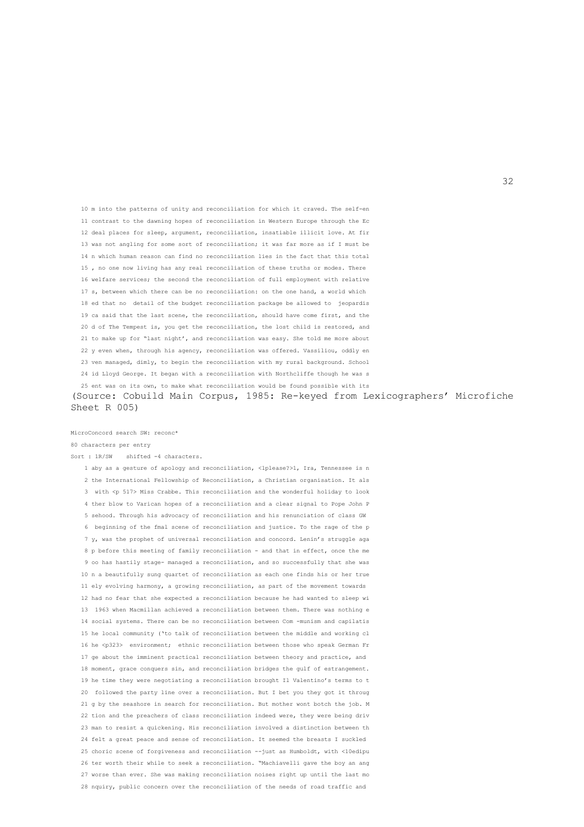10 m into the patterns of unity and reconciliation for which it craved. The self-en 11 contrast to the dawning hopes of reconciliation in Western Europe through the Ec 12 deal places for sleep, argument, reconciliation, insatiable illicit love. At fir 13 was not angling for some sort of reconciliation; it was far more as if I must be 14 n which human reason can find no reconciliation lies in the fact that this total 15 , no one now living has any real reconciliation of these truths or modes. There 16 welfare services; the second the reconciliation of full employment with relative 17 s, between which there can be no reconciliation: on the one hand, a world which 18 ed that no detail of the budget reconciliation package be allowed to jeopardis 19 ca said that the last scene, the reconciliation, should have come first, and the 20 d of The Tempest is, you get the reconciliation, the lost child is restored, and 21 to make up for "last night', and reconciliation was easy. She told me more about 22 y even when, through his agency, reconciliation was offered. Vassiliou, oddly en 23 ven managed, dimly, to begin the reconciliation with my rural background. School 24 id Lloyd George. It began with a reconciliation with Northcliffe though he was s

MicroConcord search SW: reconc\* 80 characters per entry

Sort :  $1R/SW$  shifted -4 characters.

# (Source: Cobuild Main Corpus, 1985: Re-keyed from Lexicographers' Microfiche

25 ent was on its own, to make what reconciliation would be found possible with its

Sheet R 005)

32

 1 aby as a gesture of apology and reconciliation, <1please?>1, Ira, Tennessee is n 2 the International Fellowship of Reconciliation, a Christian organisation. It als 3 with <p 517> Miss Crabbe. This reconciliation and the wonderful holiday to look 4 ther blow to Varican hopes of a reconciliation and a clear signal to Pope John P 5 sehood. Through his advocacy of reconciliation and his renunciation of class GW 6 beginning of the fmal scene of reconciliation and justice. To the rage of the p 7 y, was the prophet of universal reconciliation and concord. Lenin's struggle aga 8 p before this meeting of family reconciliation - and that in effect, once the me 9 oo has hastily stage- managed a reconciliation, and so successfully that she was 10 n a beautifully sung quartet of reconciliation as each one finds his or her true 11 ely evolving harmony, a growing reconciliation, as part of the movement towards 12 had no fear that she expected a reconciliation because he had wanted to sleep wi 13 1963 when Macmillan achieved a reconciliation between them. There was nothing e 14 social systems. There can be no reconciliation between Com -munism and capilatis 15 he local community ('to talk of reconciliation between the middle and working cl 16 he <p323> environment; ethnic reconciliation between those who speak German Fr 17 ge about the imminent practical reconciliation between theory and practice, and 18 moment, grace conquers sin, and reconciliation bridges the gulf of estrangement. 19 he time they were negotiating a reconciliation brought Il Valentino's terms to t 20 followed the party line over a reconciliation. But I bet you they got it throug 21 g by the seashore in search for reconciliation. But mother wont botch the job. M 22 tion and the preachers of class reconciliation indeed were, they were being driv 23 man to resist a quickening. His reconciliation involved a distinction between th 24 felt a great peace and sense of reconciliation. It seemed the breasts I suckled 25 choric scene of forgiveness and reconciliation --just as Humboldt, with <10edipu 26 ter worth their while to seek a reconciliation. "Machiavelli gave the boy an ang 27 worse than ever. She was making reconciliation noises right up until the last mo 28 nquiry, public concern over the reconciliation of the needs of road traffic and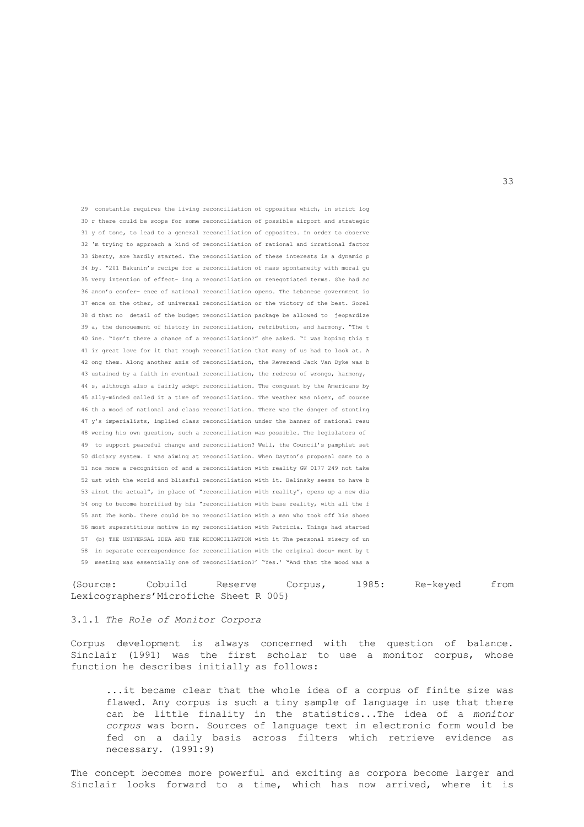29 constantle requires the living reconciliation of opposites which, in strict log 30 r there could be scope for some reconciliation of possible airport and strategic 31 y of tone, to lead to a general reconciliation of opposites. In order to observe 32 'm trying to approach a kind of reconciliation of rational and irrational factor 33 iberty, are hardly started. The reconciliation of these interests is a dynamic p 34 by. "201 Bakunin's recipe for a reconciliation of mass spontaneity with moral gu 35 very intention of effect- ing a reconciliation on renegotiated terms. She had ac 36 anon's confer- ence of national reconciliation opens. The Lebanese government is 37 ence on the other, of universal reconciliation or the victory of the best. Sorel 38 d that no detail of the budget reconciliation package be allowed to jeopardize 39 a, the denouement of history in reconciliation, retribution, and harmony. "The t 40 ine. "Isn't there a chance of a reconciliation?" she asked. "I was hoping this t 41 ir great love for it that rough reconciliation that many of us had to look at. A 42 ong them. Along another axis of reconciliation, the Reverend Jack Van Dyke was b 43 ustained by a faith in eventual reconciliation, the redress of wrongs, harmony, 44 s, although also a fairly adept reconciliation. The conquest by the Americans by 45 ally-minded called it a time of reconciliation. The weather was nicer, of course 46 th a mood of national and class reconciliation. There was the danger of stunting 47 y's imperialists, implied class reconciliation under the banner of national resu 48 wering his own question, such a reconciliation was possible. The legislators of 49 to support peaceful change and reconciliation? Well, the Council's pamphlet set 50 diciary system. I was aiming at reconciliation. When Dayton's proposal came to a 51 nce more a recognition of and a reconciliation with reality GW 0177 249 not take 52 ust with the world and blissful reconciliation with it. Belinsky seems to have b 53 ainst the actual", in place of "reconciliation with reality", opens up a new dia 54 ong to become horrified by his "reconciliation with base reality, with all the f 55 ant The Bomb. There could be no reconciliation with a man who took off his shoes 56 most superstitious motive in my reconciliation with Patricia. Things had started 57 (b) THE UNIVERSAL IDEA AND THE RECONCILIATION with it The personal misery of un 58 in separate correspondence for reconciliation with the original docu- ment by t 59 meeting was essentially one of reconciliation?' "Yes.' "And that the mood was a

(Source: Cobuild Reserve Corpus, 1985: Re-keyed from Lexicographers'Microfiche Sheet R 005)

#### 3.1.1 *The Role of Monitor Corpora*

Corpus development is always concerned with the question of balance. Sinclair (1991) was the first scholar to use a monitor corpus, whose function he describes initially as follows:

 ...it became clear that the whole idea of a corpus of finite size was flawed. Any corpus is such a tiny sample of language in use that there can be little finality in the statistics...The idea of a *monitor corpus* was born. Sources of language text in electronic form would be fed on a daily basis across filters which retrieve evidence as necessary. (1991:9)

The concept becomes more powerful and exciting as corpora become larger and Sinclair looks forward to a time, which has now arrived, where it is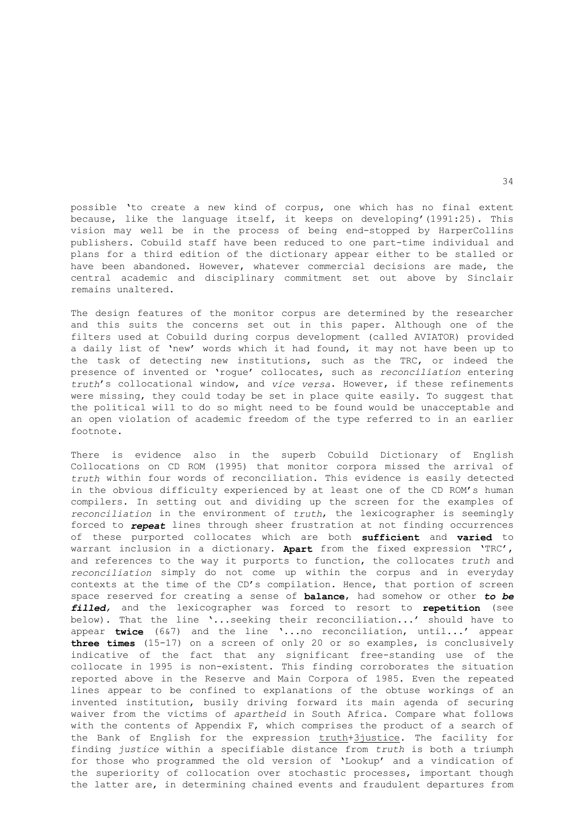possible 'to create a new kind of corpus, one which has no final extent because, like the language itself, it keeps on developing'(1991:25). This vision may well be in the process of being end-stopped by HarperCollins publishers. Cobuild staff have been reduced to one part-time individual and plans for a third edition of the dictionary appear either to be stalled or have been abandoned. However, whatever commercial decisions are made, the central academic and disciplinary commitment set out above by Sinclair remains unaltered.

The design features of the monitor corpus are determined by the researcher and this suits the concerns set out in this paper. Although one of the filters used at Cobuild during corpus development (called AVIATOR) provided a daily list of 'new' words which it had found, it may not have been up to the task of detecting new institutions, such as the TRC, or indeed the presence of invented or 'rogue' collocates, such as *reconciliation* entering *truth*'s collocational window, and *vice versa*. However, if these refinements were missing, they could today be set in place quite easily. To suggest that the political will to do so might need to be found would be unacceptable and an open violation of academic freedom of the type referred to in an earlier footnote.

There is evidence also in the superb Cobuild Dictionary of English Collocations on CD ROM (1995) that monitor corpora missed the arrival of *truth* within four words of reconciliation. This evidence is easily detected in the obvious difficulty experienced by at least one of the CD ROM's human compilers. In setting out and dividing up the screen for the examples of *reconciliation* in the environment of *truth*, the lexicographer is seemingly forced to *repeat* lines through sheer frustration at not finding occurrences of these purported collocates which are both **sufficient** and **varied** to warrant inclusion in a dictionary. **Apart** from the fixed expression 'TRC', and references to the way it purports to function, the collocates *truth* and *reconciliation* simply do not come up within the corpus and in everyday contexts at the time of the CD's compilation. Hence, that portion of screen space reserved for creating a sense of **balance**, had somehow or other *to be filled,* and the lexicographer was forced to resort to **repetition** (see below). That the line '...seeking their reconciliation...' should have to appear **twice** (6&7) and the line '...no reconciliation, until...' appear **three times** (15-17) on a screen of only 20 or so examples, is conclusively indicative of the fact that any significant free-standing use of the collocate in 1995 is non-existent. This finding corroborates the situation reported above in the Reserve and Main Corpora of 1985. Even the repeated lines appear to be confined to explanations of the obtuse workings of an invented institution, busily driving forward its main agenda of securing waiver from the victims of *apartheid* in South Africa. Compare what follows with the contents of Appendix F, which comprises the product of a search of the Bank of English for the expression truth+3justice. The facility for finding *justice* within a specifiable distance from *truth* is both a triumph for those who programmed the old version of 'Lookup' and a vindication of the superiority of collocation over stochastic processes, important though the latter are, in determining chained events and fraudulent departures from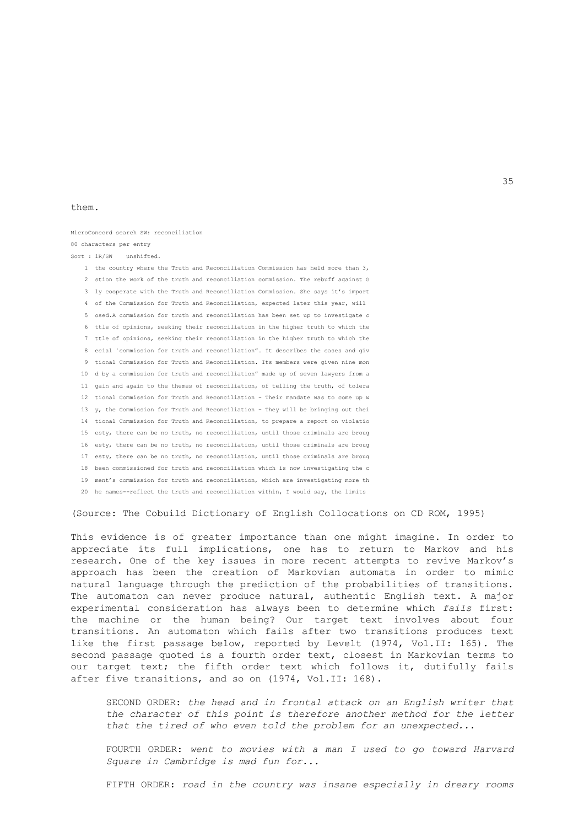#### them.

## MicroConcord search SW: reconciliation 80 characters per entry Sort : 1R/SW unshifted.

 1 the country where the Truth and Reconciliation Commission has held more than 3, 2 stion the work of the truth and reconciliation commission. The rebuff against G 3 ly cooperate with the Truth and Reconciliation Commission. She says it's import 4 of the Commission for Truth and Reconciliation, expected later this year, will 5 osed.A commission for truth and reconciliation has been set up to investigate c 6 ttle of opinions, seeking their reconciliation in the higher truth to which the 7 ttle of opinions, seeking their reconciliation in the higher truth to which the 8 ecial `commission for truth and reconciliation". It describes the cases and giv 9 tional Commission for Truth and Reconciliation. Its members were given nine mon 10 d by a commission for truth and reconciliation" made up of seven lawyers from a 11 gain and again to the themes of reconciliation, of telling the truth, of tolera 12 tional Commission for Truth and Reconciliation - Their mandate was to come up w 13 y, the Commission for Truth and Reconciliation - They will be bringing out thei 14 tional Commission for Truth and Reconciliation, to prepare a report on violatio 15 esty, there can be no truth, no reconciliation, until those criminals are broug 16 esty, there can be no truth, no reconciliation, until those criminals are broug 17 esty, there can be no truth, no reconciliation, until those criminals are broug 18 been commissioned for truth and reconciliation which is now investigating the c 19 ment's commission for truth and reconciliation, which are investigating more th 20 he names--reflect the truth and reconciliation within, I would say, the limits

(Source: The Cobuild Dictionary of English Collocations on CD ROM, 1995)

This evidence is of greater importance than one might imagine. In order to appreciate its full implications, one has to return to Markov and his research. One of the key issues in more recent attempts to revive Markov's approach has been the creation of Markovian automata in order to mimic natural language through the prediction of the probabilities of transitions. The automaton can never produce natural, authentic English text. A major experimental consideration has always been to determine which *fails* first: the machine or the human being? Our target text involves about four transitions. An automaton which fails after two transitions produces text like the first passage below, reported by Levelt (1974, Vol.II: 165). The second passage quoted is a fourth order text, closest in Markovian terms to our target text; the fifth order text which follows it, dutifully fails after five transitions, and so on (1974, Vol.II: 168).

 SECOND ORDER: *the head and in frontal attack on an English writer that the character of this point is therefore another method for the letter that the tired of who even told the problem for an unexpected...* 

 FOURTH ORDER: *went to movies with a man I used to go toward Harvard Square in Cambridge is mad fun for...* 

FIFTH ORDER: *road in the country was insane especially in dreary rooms*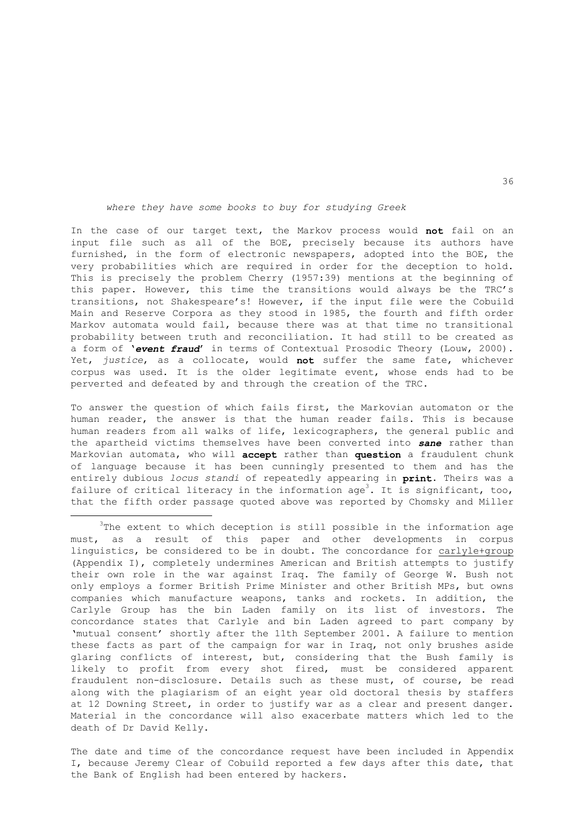## *where they have some books to buy for studying Greek*

In the case of our target text, the Markov process would **not** fail on an input file such as all of the BOE, precisely because its authors have furnished, in the form of electronic newspapers, adopted into the BOE, the very probabilities which are required in order for the deception to hold. This is precisely the problem Cherry (1957:39) mentions at the beginning of this paper. However, this time the transitions would always be the TRC's transitions, not Shakespeare's! However, if the input file were the Cobuild Main and Reserve Corpora as they stood in 1985, the fourth and fifth order Markov automata would fail, because there was at that time no transitional probability between truth and reconciliation. It had still to be created as a form of '*event fraud*' in terms of Contextual Prosodic Theory (Louw, 2000). Yet, *justice*, as a collocate, would **not** suffer the same fate, whichever corpus was used. It is the older legitimate event, whose ends had to be perverted and defeated by and through the creation of the TRC.

To answer the question of which fails first, the Markovian automaton or the human reader, the answer is that the human reader fails. This is because human readers from all walks of life, lexicographers, the general public and the apartheid victims themselves have been converted into *sane* rather than Markovian automata, who will **accept** rather than **question** a fraudulent chunk of language because it has been cunningly presented to them and has the entirely dubious *locus standi* of repeatedly appearing in **print**. Theirs was a failure of critical literacy in the information age<sup>3</sup>. It is significant, too, that the fifth order passage quoted above was reported by Chomsky and Miller

i

 $3$ The extent to which deception is still possible in the information age must, as a result of this paper and other developments in corpus linguistics, be considered to be in doubt. The concordance for carlyle+group (Appendix I), completely undermines American and British attempts to justify their own role in the war against Iraq. The family of George W. Bush not only employs a former British Prime Minister and other British MPs, but owns companies which manufacture weapons, tanks and rockets. In addition, the Carlyle Group has the bin Laden family on its list of investors. The concordance states that Carlyle and bin Laden agreed to part company by 'mutual consent' shortly after the 11th September 2001. A failure to mention these facts as part of the campaign for war in Iraq, not only brushes aside glaring conflicts of interest, but, considering that the Bush family is likely to profit from every shot fired, must be considered apparent fraudulent non-disclosure. Details such as these must, of course, be read along with the plagiarism of an eight year old doctoral thesis by staffers at 12 Downing Street, in order to justify war as a clear and present danger. Material in the concordance will also exacerbate matters which led to the death of Dr David Kelly.

The date and time of the concordance request have been included in Appendix I, because Jeremy Clear of Cobuild reported a few days after this date, that the Bank of English had been entered by hackers.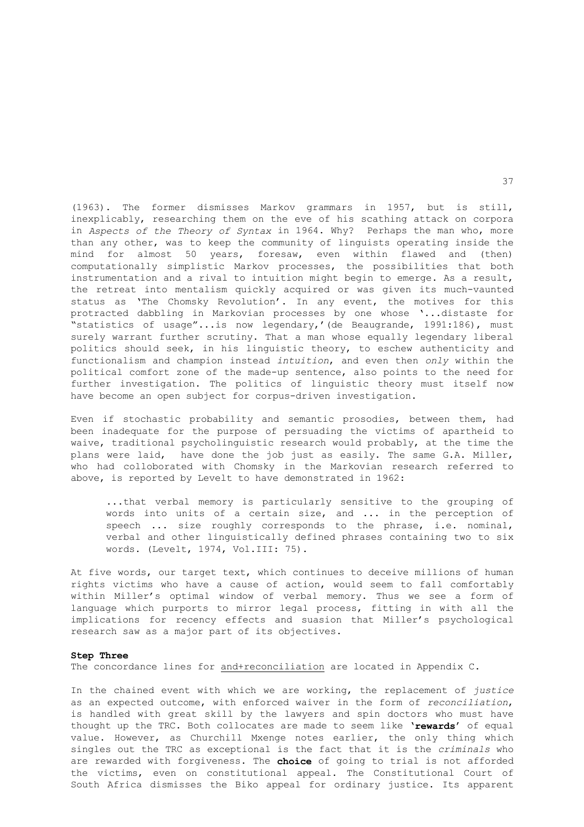(1963). The former dismisses Markov grammars in 1957, but is still, inexplicably, researching them on the eve of his scathing attack on corpora in *Aspects of the Theory of Syntax* in 1964. Why? Perhaps the man who, more than any other, was to keep the community of linguists operating inside the mind for almost 50 years, foresaw, even within flawed and (then) computationally simplistic Markov processes, the possibilities that both instrumentation and a rival to intuition might begin to emerge. As a result, the retreat into mentalism quickly acquired or was given its much-vaunted status as 'The Chomsky Revolution'. In any event, the motives for this protracted dabbling in Markovian processes by one whose '...distaste for "statistics of usage"...is now legendary,'(de Beaugrande, 1991:186), must surely warrant further scrutiny. That a man whose equally legendary liberal politics should seek, in his linguistic theory, to eschew authenticity and functionalism and champion instead *intuition*, and even then *only* within the political comfort zone of the made-up sentence, also points to the need for further investigation. The politics of linguistic theory must itself now have become an open subject for corpus-driven investigation.

Even if stochastic probability and semantic prosodies, between them, had been inadequate for the purpose of persuading the victims of apartheid to waive, traditional psycholinguistic research would probably, at the time the plans were laid, have done the job just as easily. The same G.A. Miller, who had colloborated with Chomsky in the Markovian research referred to above, is reported by Levelt to have demonstrated in 1962:

 ...that verbal memory is particularly sensitive to the grouping of words into units of a certain size, and ... in the perception of speech ... size roughly corresponds to the phrase, i.e. nominal, verbal and other linguistically defined phrases containing two to six words. (Levelt, 1974, Vol.III: 75).

At five words, our target text, which continues to deceive millions of human rights victims who have a cause of action, would seem to fall comfortably within Miller's optimal window of verbal memory. Thus we see a form of language which purports to mirror legal process, fitting in with all the implications for recency effects and suasion that Miller's psychological research saw as a major part of its objectives.

#### **Step Three**

The concordance lines for and+reconciliation are located in Appendix C.

In the chained event with which we are working, the replacement of *justice* as an expected outcome, with enforced waiver in the form of *reconciliation*, is handled with great skill by the lawyers and spin doctors who must have thought up the TRC. Both collocates are made to seem like '**rewards**' of equal value. However, as Churchill Mxenge notes earlier, the only thing which singles out the TRC as exceptional is the fact that it is the *criminals* who are rewarded with forgiveness. The **choice** of going to trial is not afforded the victims, even on constitutional appeal. The Constitutional Court of South Africa dismisses the Biko appeal for ordinary justice. Its apparent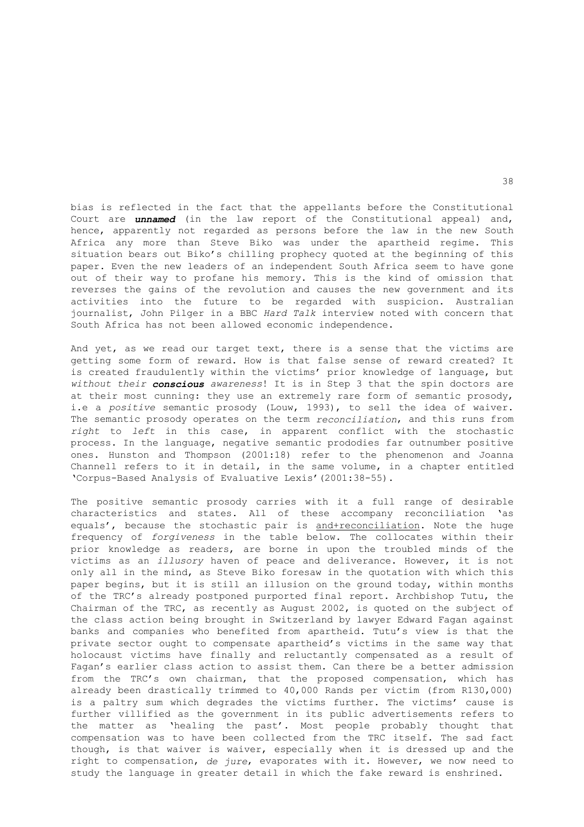bias is reflected in the fact that the appellants before the Constitutional Court are *unnamed* (in the law report of the Constitutional appeal) and, hence, apparently not regarded as persons before the law in the new South Africa any more than Steve Biko was under the apartheid regime. This situation bears out Biko's chilling prophecy quoted at the beginning of this paper. Even the new leaders of an independent South Africa seem to have gone out of their way to profane his memory. This is the kind of omission that reverses the gains of the revolution and causes the new government and its activities into the future to be regarded with suspicion. Australian journalist, John Pilger in a BBC *Hard Talk* interview noted with concern that South Africa has not been allowed economic independence.

And yet, as we read our target text, there is a sense that the victims are getting some form of reward. How is that false sense of reward created? It is created fraudulently within the victims' prior knowledge of language, but *without their conscious awareness*! It is in Step 3 that the spin doctors are at their most cunning: they use an extremely rare form of semantic prosody, i.e a *positive* semantic prosody (Louw, 1993), to sell the idea of waiver. The semantic prosody operates on the term *reconciliation*, and this runs from *right* to *left* in this case, in apparent conflict with the stochastic process. In the language, negative semantic prododies far outnumber positive ones. Hunston and Thompson (2001:18) refer to the phenomenon and Joanna Channell refers to it in detail, in the same volume, in a chapter entitled 'Corpus-Based Analysis of Evaluative Lexis'(2001:38-55).

The positive semantic prosody carries with it a full range of desirable characteristics and states. All of these accompany reconciliation 'as equals', because the stochastic pair is and+reconciliation. Note the huge frequency of *forgiveness* in the table below. The collocates within their prior knowledge as readers, are borne in upon the troubled minds of the victims as an *illusory* haven of peace and deliverance. However, it is not only all in the mind, as Steve Biko foresaw in the quotation with which this paper begins, but it is still an illusion on the ground today, within months of the TRC's already postponed purported final report. Archbishop Tutu, the Chairman of the TRC, as recently as August 2002, is quoted on the subject of the class action being brought in Switzerland by lawyer Edward Fagan against banks and companies who benefited from apartheid. Tutu's view is that the private sector ought to compensate apartheid's victims in the same way that holocaust victims have finally and reluctantly compensated as a result of Fagan's earlier class action to assist them. Can there be a better admission from the TRC's own chairman, that the proposed compensation, which has already been drastically trimmed to 40,000 Rands per victim (from R130,000) is a paltry sum which degrades the victims further. The victims' cause is further villified as the government in its public advertisements refers to the matter as 'healing the past'. Most people probably thought that compensation was to have been collected from the TRC itself. The sad fact though, is that waiver is waiver, especially when it is dressed up and the right to compensation, *de jure*, evaporates with it. However, we now need to study the language in greater detail in which the fake reward is enshrined.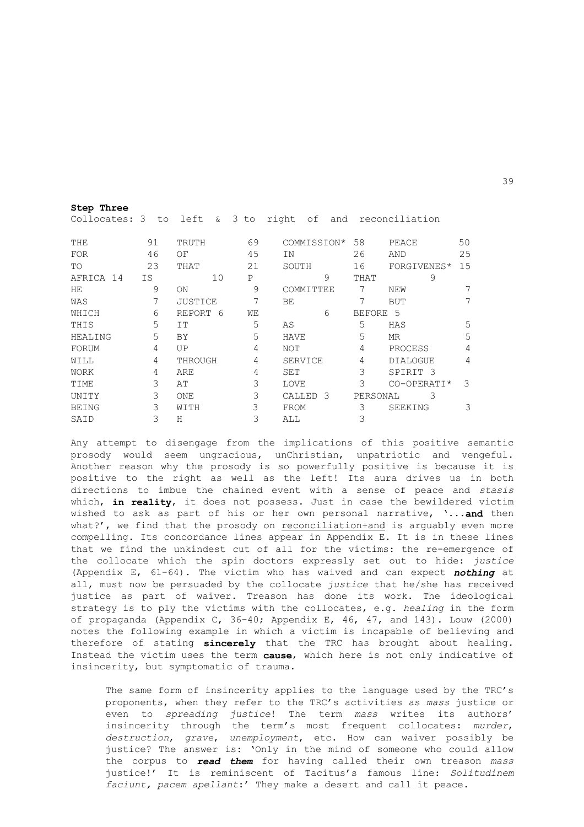| Collocates: $3$ to left $\&$ $3$ to |    |                |    | right of and reconciliation |          |                     |    |
|-------------------------------------|----|----------------|----|-----------------------------|----------|---------------------|----|
| THE                                 | 91 | TRUTH          | 69 | COMMISSION*                 | 58       | PEACE               | 50 |
| FOR                                 | 46 | ΟF             | 45 | ΙN                          | 26       | AND                 | 25 |
| TO                                  | 23 | THAT           | 21 | SOUTH                       | 16       | FORGIVENES*         | 15 |
| AFRICA 14                           | IS | 10             | P  | 9                           | THAT     | 9                   |    |
| HE.                                 | 9  | ON             | 9  | COMMITTEE                   | 7        | NEW                 |    |
| WAS                                 | 7  | <b>JUSTICE</b> | 7  | BE                          | 7        | <b>BUT</b>          | 7  |
| WHICH                               | 6  | REPORT 6       | WЕ | 6                           | BEFORE 5 |                     |    |
| THIS                                | 5  | IT             | 5  | AS                          | 5        | HAS                 | 5  |
| HEALING                             | 5  | BY             | 5  | <b>HAVE</b>                 | 5        | MR                  | 5  |
| FORUM                               | 4  | UP             | 4  | NOT                         | 4        | PROCESS             | 4  |
| WILL                                | 4  | THROUGH        | 4  | SERVICE                     | 4        | <b>DIALOGUE</b>     | 4  |
| WORK                                | 4  | ARE            | 4  | SET                         | 3        | SPIRIT <sub>3</sub> |    |
| TIME                                | 3  | AΤ             | 3  | LOVE                        | 3        | CO-OPERATI*         | 3  |
| UNITY                               | 3  | ONE            | 3  | -3<br>CALLED                | PERSONAL | 3                   |    |
| <b>BEING</b>                        | 3  | WITH           | 3  | FROM                        | 3        | SEEKING             | 3  |
| SAID                                | 3  | Н              | 3  | ALL                         | 3        |                     |    |

**Step Three** 

Any attempt to disengage from the implications of this positive semantic prosody would seem ungracious, unChristian, unpatriotic and vengeful. Another reason why the prosody is so powerfully positive is because it is positive to the right as well as the left! Its aura drives us in both directions to imbue the chained event with a sense of peace and *stasis* which, **in reality**, it does not possess. Just in case the bewildered victim wished to ask as part of his or her own personal narrative, '...**and** then what?', we find that the prosody on reconciliation+and is arguably even more compelling. Its concordance lines appear in Appendix E. It is in these lines that we find the unkindest cut of all for the victims: the re-emergence of the collocate which the spin doctors expressly set out to hide: *justice*  (Appendix E, 61-64). The victim who has waived and can expect *nothing* at all, must now be persuaded by the collocate *justice* that he/she has received justice as part of waiver. Treason has done its work. The ideological strategy is to ply the victims with the collocates, e.g. *healing* in the form of propaganda (Appendix C, 36-40; Appendix E, 46, 47, and 143). Louw (2000) notes the following example in which a victim is incapable of believing and therefore of stating **sincerely** that the TRC has brought about healing. Instead the victim uses the term **cause**, which here is not only indicative of insincerity, but symptomatic of trauma.

The same form of insincerity applies to the language used by the TRC's proponents, when they refer to the TRC's activities as *mass* justice or even to *spreading justice*! The term *mass* writes its authors' insincerity through the term's most frequent collocates: *murder*, *destruction*, *grave*, *unemployment*, etc. How can waiver possibly be justice? The answer is: 'Only in the mind of someone who could allow the corpus to *read them* for having called their own treason *mass* justice!' It is reminiscent of Tacitus's famous line: *Solitudinem faciunt, pacem apellant*:' They make a desert and call it peace.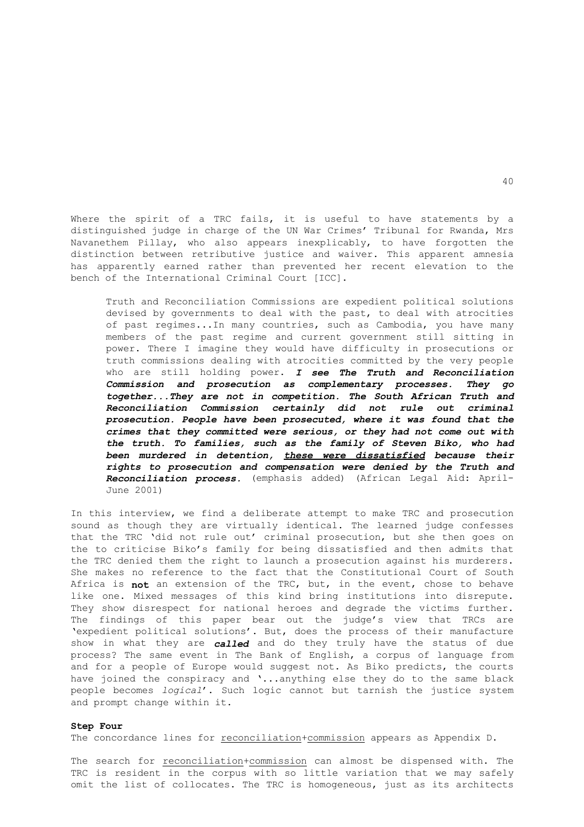Where the spirit of a TRC fails, it is useful to have statements by a distinguished judge in charge of the UN War Crimes' Tribunal for Rwanda, Mrs Navanethem Pillay, who also appears inexplicably, to have forgotten the distinction between retributive justice and waiver. This apparent amnesia has apparently earned rather than prevented her recent elevation to the bench of the International Criminal Court [ICC].

 Truth and Reconciliation Commissions are expedient political solutions devised by governments to deal with the past, to deal with atrocities of past regimes...In many countries, such as Cambodia, you have many members of the past regime and current government still sitting in power. There I imagine they would have difficulty in prosecutions or truth commissions dealing with atrocities committed by the very people who are still holding power. *I see The Truth and Reconciliation Commission and prosecution as complementary processes. They go together...They are not in competition. The South African Truth and Reconciliation Commission certainly did not rule out criminal prosecution. People have been prosecuted, where it was found that the crimes that they committed were serious, or they had not come out with the truth. To families, such as the family of Steven Biko, who had been murdered in detention, these were dissatisfied because their rights to prosecution and compensation were denied by the Truth and Reconciliation process.* (emphasis added) (African Legal Aid: April-June 2001)

In this interview, we find a deliberate attempt to make TRC and prosecution sound as though they are virtually identical. The learned judge confesses that the TRC 'did not rule out' criminal prosecution, but she then goes on the to criticise Biko's family for being dissatisfied and then admits that the TRC denied them the right to launch a prosecution against his murderers. She makes no reference to the fact that the Constitutional Court of South Africa is **not** an extension of the TRC, but, in the event, chose to behave like one. Mixed messages of this kind bring institutions into disrepute. They show disrespect for national heroes and degrade the victims further. The findings of this paper bear out the judge's view that TRCs are 'expedient political solutions'. But, does the process of their manufacture show in what they are *called* and do they truly have the status of due process? The same event in The Bank of English, a corpus of language from and for a people of Europe would suggest not. As Biko predicts, the courts have joined the conspiracy and '...anything else they do to the same black people becomes *logical*'. Such logic cannot but tarnish the justice system and prompt change within it.

#### **Step Four**

The concordance lines for reconciliation+commission appears as Appendix D.

The search for reconciliation+commission can almost be dispensed with. The TRC is resident in the corpus with so little variation that we may safely omit the list of collocates. The TRC is homogeneous, just as its architects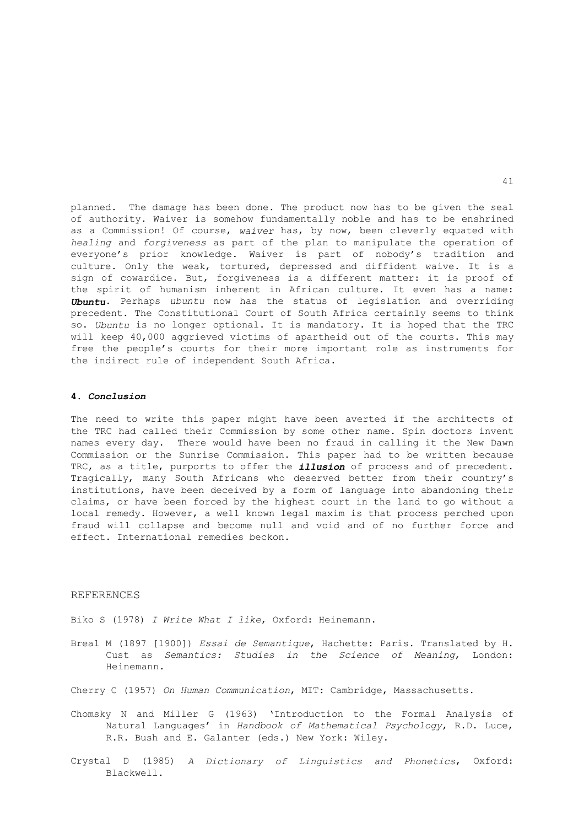planned. The damage has been done. The product now has to be given the seal of authority. Waiver is somehow fundamentally noble and has to be enshrined as a Commission! Of course, *waiver* has, by now, been cleverly equated with *healing* and *forgiveness* as part of the plan to manipulate the operation of everyone's prior knowledge. Waiver is part of nobody's tradition and culture. Only the weak, tortured, depressed and diffident waive. It is a sign of cowardice. But, forgiveness is a different matter: it is proof of the spirit of humanism inherent in African culture. It even has a name: *Ubuntu*. Perhaps *ubuntu* now has the status of legislation and overriding precedent. The Constitutional Court of South Africa certainly seems to think so. *Ubuntu* is no longer optional. It is mandatory. It is hoped that the TRC will keep 40,000 aggrieved victims of apartheid out of the courts. This may free the people's courts for their more important role as instruments for the indirect rule of independent South Africa.

## **4.** *Conclusion*

The need to write this paper might have been averted if the architects of the TRC had called their Commission by some other name. Spin doctors invent names every day. There would have been no fraud in calling it the New Dawn Commission or the Sunrise Commission. This paper had to be written because TRC, as a title, purports to offer the *illusion* of process and of precedent. Tragically, many South Africans who deserved better from their country's institutions, have been deceived by a form of language into abandoning their claims, or have been forced by the highest court in the land to go without a local remedy. However, a well known legal maxim is that process perched upon fraud will collapse and become null and void and of no further force and effect. International remedies beckon.

## REFERENCES

Biko S (1978) *I Write What I like*, Oxford: Heinemann.

- Breal M (1897 [1900]) *Essai de Semantique*, Hachette: Paris. Translated by H. Cust as *Semantics: Studies in the Science of Meaning*, London: Heinemann.
- Cherry C (1957) *On Human Communication*, MIT: Cambridge, Massachusetts.
- Chomsky N and Miller G (1963) 'Introduction to the Formal Analysis of Natural Languages' in *Handbook of Mathematical Psychology*, R.D. Luce, R.R. Bush and E. Galanter (eds.) New York: Wiley.
- Crystal D (1985) *A Dictionary of Linguistics and Phonetics*, Oxford: Blackwell.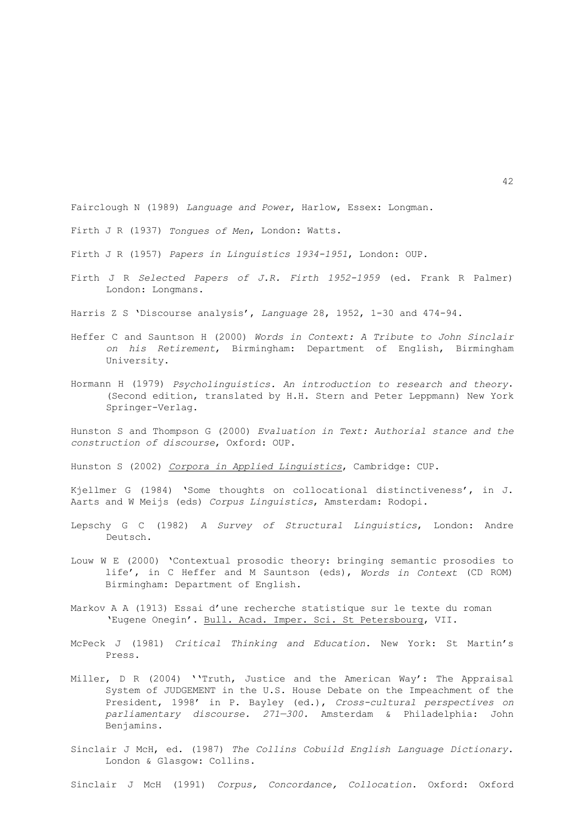Fairclough N (1989) *Language and Power*, Harlow, Essex: Longman.

Firth J R (1937) *Tongues of Men*, London: Watts.

Firth J R (1957) *Papers in Linguistics 1934-1951*, London: OUP.

Firth J R *Selected Papers of J.R. Firth 1952-1959* (ed. Frank R Palmer) London: Longmans.

Harris Z S 'Discourse analysis', *Language* 28, 1952, 1-30 and 474-94.

- Heffer C and Sauntson H (2000) *Words in Context: A Tribute to John Sinclair on his Retirement*, Birmingham: Department of English, Birmingham University.
- Hormann H (1979) *Psycholinguistics. An introduction to research and theory*. (Second edition, translated by H.H. Stern and Peter Leppmann) New York Springer-Verlag.

Hunston S and Thompson G (2000) *Evaluation in Text: Authorial stance and the construction of discourse*, Oxford: OUP.

Hunston S (2002) *Corpora in Applied Linguistics*, Cambridge: CUP.

Kjellmer G (1984) 'Some thoughts on collocational distinctiveness', in J. Aarts and W Meijs (eds) *Corpus Linguistics*, Amsterdam: Rodopi.

- Lepschy G C (1982) *A Survey of Structural Linguistics*, London: Andre Deutsch.
- Louw W E (2000) 'Contextual prosodic theory: bringing semantic prosodies to life', in C Heffer and M Sauntson (eds), *Words in Context* (CD ROM) Birmingham: Department of English.
- Markov A A (1913) Essai d'une recherche statistique sur le texte du roman 'Eugene Onegin'. Bull. Acad. Imper. Sci. St Petersbourg, VII.
- McPeck J (1981) *Critical Thinking and Education*. New York: St Martin's Press.
- Miller, D R (2004) ''Truth, Justice and the American Way': The Appraisal System of JUDGEMENT in the U.S. House Debate on the Impeachment of the President, 1998' in P. Bayley (ed.), *Cross-cultural perspectives on parliamentary discourse. 271—300.* Amsterdam & Philadelphia: John Benjamins.
- Sinclair J McH, ed. (1987) *The Collins Cobuild English Language Dictionary*. London & Glasgow: Collins.

Sinclair J McH (1991) *Corpus, Concordance, Collocation*. Oxford: Oxford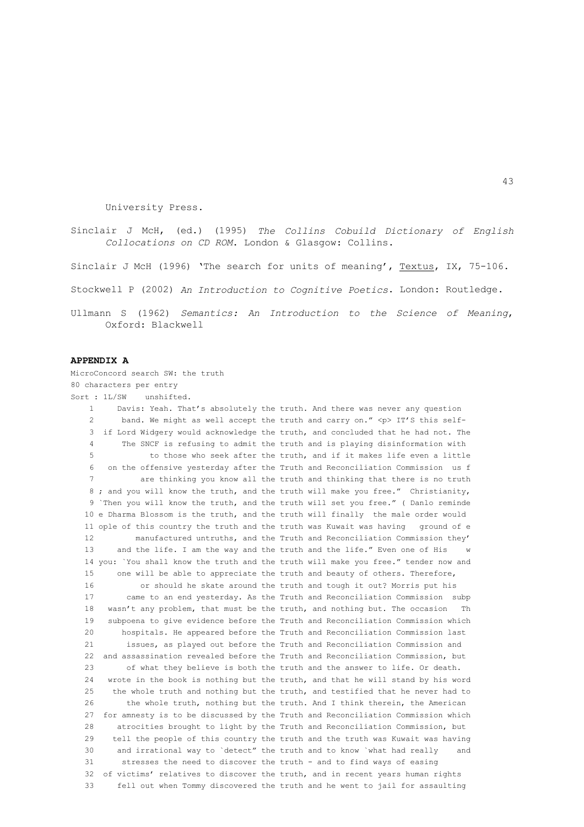University Press.

Sinclair J McH, (ed.) (1995) *The Collins Cobuild Dictionary of English Collocations on CD ROM*. London & Glasgow: Collins.

Sinclair J McH (1996) 'The search for units of meaning', Textus, IX, 75-106.

Stockwell P (2002) *An Introduction to Cognitive Poetics*. London: Routledge.

Ullmann S (1962) *Semantics: An Introduction to the Science of Meaning*, Oxford: Blackwell

## **APPENDIX A**

MicroConcord search SW: the truth 80 characters per entry Sort : 1L/SW unshifted. 1 Davis: Yeah. That's absolutely the truth. And there was never any question 2 band. We might as well accept the truth and carry on." <p> IT'S this self- 3 if Lord Widgery would acknowledge the truth, and concluded that he had not. The 4 The SNCF is refusing to admit the truth and is playing disinformation with 5 to those who seek after the truth, and if it makes life even a little 6 on the offensive yesterday after the Truth and Reconciliation Commission us f 7 are thinking you know all the truth and thinking that there is no truth 8 ; and you will know the truth, and the truth will make you free." Christianity, 9 `Then you will know the truth, and the truth will set you free." ( Danlo reminde 10 e Dharma Blossom is the truth, and the truth will finally the male order would 11 ople of this country the truth and the truth was Kuwait was having ground of e 12 manufactured untruths, and the Truth and Reconciliation Commission they' 13 and the life. I am the way and the truth and the life." Even one of His w 14 you: `You shall know the truth and the truth will make you free." tender now and 15 one will be able to appreciate the truth and beauty of others. Therefore, 16 or should he skate around the truth and tough it out? Morris put his 17 came to an end yesterday. As the Truth and Reconciliation Commission subp 18 wasn't any problem, that must be the truth, and nothing but. The occasion Th 19 subpoena to give evidence before the Truth and Reconciliation Commission which 20 hospitals. He appeared before the Truth and Reconciliation Commission last 21 issues, as played out before the Truth and Reconciliation Commission and 22 and assassination revealed before the Truth and Reconciliation Commission, but 23 of what they believe is both the truth and the answer to life. Or death. 24 wrote in the book is nothing but the truth, and that he will stand by his word 25 the whole truth and nothing but the truth, and testified that he never had to 26 the whole truth, nothing but the truth. And I think therein, the American 27 for amnesty is to be discussed by the Truth and Reconciliation Commission which 28 atrocities brought to light by the Truth and Reconciliation Commission, but 29 tell the people of this country the truth and the truth was Kuwait was having 30 and irrational way to `detect" the truth and to know `what had really and 31 stresses the need to discover the truth - and to find ways of easing 32 of victims' relatives to discover the truth, and in recent years human rights 33 fell out when Tommy discovered the truth and he went to jail for assaulting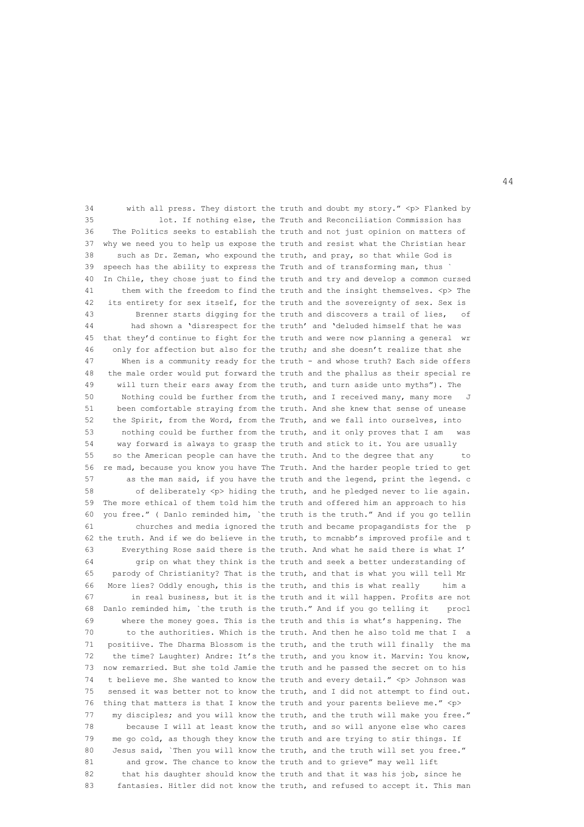34 with all press. They distort the truth and doubt my story." <p> Flanked by 35 lot. If nothing else, the Truth and Reconciliation Commission has 36 The Politics seeks to establish the truth and not just opinion on matters of 37 why we need you to help us expose the truth and resist what the Christian hear 38 such as Dr. Zeman, who expound the truth, and pray, so that while God is 39 speech has the ability to express the Truth and of transforming man, thus ` 40 In Chile, they chose just to find the truth and try and develop a common cursed 41 them with the freedom to find the truth and the insight themselves. <p> The 42 its entirety for sex itself, for the truth and the sovereignty of sex. Sex is 43 Brenner starts digging for the truth and discovers a trail of lies, of 44 had shown a 'disrespect for the truth' and 'deluded himself that he was 45 that they'd continue to fight for the truth and were now planning a general wr 46 only for affection but also for the truth; and she doesn't realize that she 47 When is a community ready for the truth - and whose truth? Each side offers 48 the male order would put forward the truth and the phallus as their special re 49 will turn their ears away from the truth, and turn aside unto myths"). The 50 Nothing could be further from the truth, and I received many, many more 51 been comfortable straying from the truth. And she knew that sense of unease 52 the Spirit, from the Word, from the Truth, and we fall into ourselves, into 53 nothing could be further from the truth, and it only proves that I am was 54 way forward is always to grasp the truth and stick to it. You are usually 55 so the American people can have the truth. And to the degree that any to 56 re mad, because you know you have The Truth. And the harder people tried to get 57 as the man said, if you have the truth and the legend, print the legend. c 58 of deliberately <p> hiding the truth, and he pledged never to lie again. 59 The more ethical of them told him the truth and offered him an approach to his 60 you free." ( Danlo reminded him, `the truth is the truth." And if you go tellin 61 churches and media ignored the truth and became propagandists for the p 62 the truth. And if we do believe in the truth, to mcnabb's improved profile and t 63 Everything Rose said there is the truth. And what he said there is what I' 64 grip on what they think is the truth and seek a better understanding of 65 parody of Christianity? That is the truth, and that is what you will tell Mr 66 More lies? Oddly enough, this is the truth, and this is what really him a 67 in real business, but it is the truth and it will happen. Profits are not 68 Danlo reminded him, `the truth is the truth." And if you go telling it procl 69 where the money goes. This is the truth and this is what's happening. The 70 to the authorities. Which is the truth. And then he also told me that I a 71 positiive. The Dharma Blossom is the truth, and the truth will finally the ma 72 the time? Laughter) Andre: It's the truth, and you know it. Marvin: You know, 73 now remarried. But she told Jamie the truth and he passed the secret on to his 74 t believe me. She wanted to know the truth and every detail." <p> Johnson was 75 sensed it was better not to know the truth, and I did not attempt to find out. 76 thing that matters is that I know the truth and your parents believe me." <p> 77 my disciples; and you will know the truth, and the truth will make you free." 78 because I will at least know the truth, and so will anyone else who cares 79 me go cold, as though they know the truth and are trying to stir things. If 80 Jesus said, `Then you will know the truth, and the truth will set you free." 81 and grow. The chance to know the truth and to grieve" may well lift 82 that his daughter should know the truth and that it was his job, since he 83 fantasies. Hitler did not know the truth, and refused to accept it. This man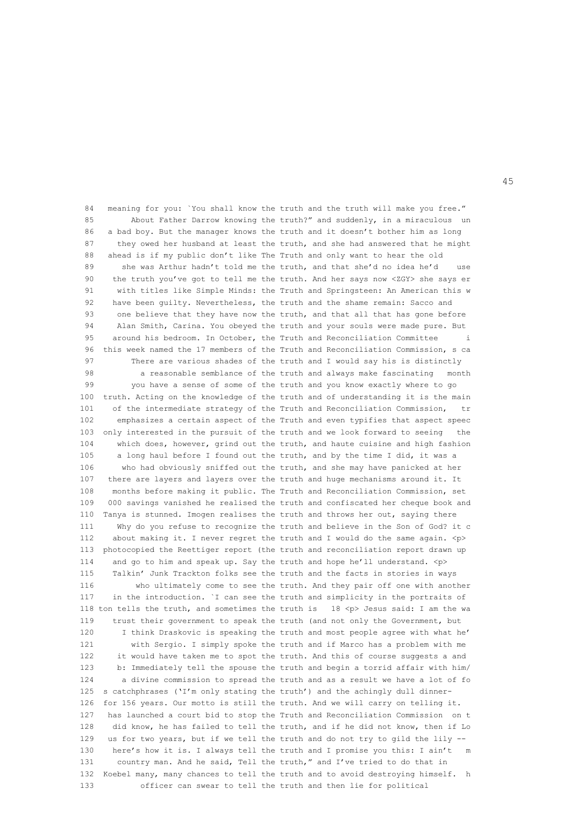84 meaning for you: `You shall know the truth and the truth will make you free." 85 About Father Darrow knowing the truth?" and suddenly, in a miraculous un 86 a bad boy. But the manager knows the truth and it doesn't bother him as long 87 they owed her husband at least the truth, and she had answered that he might 88 ahead is if my public don't like The Truth and only want to hear the old 89 she was Arthur hadn't told me the truth, and that she'd no idea he'd 90 the truth you've got to tell me the truth. And her says now <ZGY> she says er 91 with titles like Simple Minds: the Truth and Springsteen: An American this w 92 have been guilty. Nevertheless, the truth and the shame remain: Sacco and 93 one believe that they have now the truth, and that all that has gone before 94 Alan Smith, Carina. You obeyed the truth and your souls were made pure. But 95 around his bedroom. In October, the Truth and Reconciliation Committee i 96 this week named the 17 members of the Truth and Reconciliation Commission, s ca 97 There are various shades of the truth and I would say his is distinctly 98 a reasonable semblance of the truth and always make fascinating month 99 you have a sense of some of the truth and you know exactly where to go 100 truth. Acting on the knowledge of the truth and of understanding it is the main 101 of the intermediate strategy of the Truth and Reconciliation Commission, tr 102 emphasizes a certain aspect of the Truth and even typifies that aspect speec 103 only interested in the pursuit of the truth and we look forward to seeing the 104 which does, however, grind out the truth, and haute cuisine and high fashion 105 a long haul before I found out the truth, and by the time I did, it was a 106 who had obviously sniffed out the truth, and she may have panicked at her 107 there are layers and layers over the truth and huge mechanisms around it. It 108 months before making it public. The Truth and Reconciliation Commission, set 109 000 savings vanished he realised the truth and confiscated her cheque book and 110 Tanya is stunned. Imogen realises the truth and throws her out, saying there 111 Why do you refuse to recognize the truth and believe in the Son of God? it c 112 about making it. I never regret the truth and I would do the same again.  $\langle p \rangle$  113 photocopied the Reettiger report (the truth and reconciliation report drawn up 114 and go to him and speak up. Say the truth and hope he'll understand. <p> 115 Talkin' Junk Trackton folks see the truth and the facts in stories in ways 116 who ultimately come to see the truth. And they pair off one with another 117 in the introduction. `I can see the truth and simplicity in the portraits of 118 ton tells the truth, and sometimes the truth is  $18$  <p> Jesus said: I am the wa 119 trust their government to speak the truth (and not only the Government, but 120 I think Draskovic is speaking the truth and most people agree with what he' 121 with Sergio. I simply spoke the truth and if Marco has a problem with me 122 it would have taken me to spot the truth. And this of course suggests a and 123 b: Immediately tell the spouse the truth and begin a torrid affair with him/ 124 a divine commission to spread the truth and as a result we have a lot of fo 125 s catchphrases ('I'm only stating the truth') and the achingly dull dinner- 126 for 156 years. Our motto is still the truth. And we will carry on telling it. 127 has launched a court bid to stop the Truth and Reconciliation Commission on t 128 did know, he has failed to tell the truth, and if he did not know, then if Lo 129 us for two years, but if we tell the truth and do not try to gild the lily -- 130 here's how it is. I always tell the truth and I promise you this: I ain't m 131 country man. And he said, Tell the truth," and I've tried to do that in 132 Koebel many, many chances to tell the truth and to avoid destroying himself. h 133 officer can swear to tell the truth and then lie for political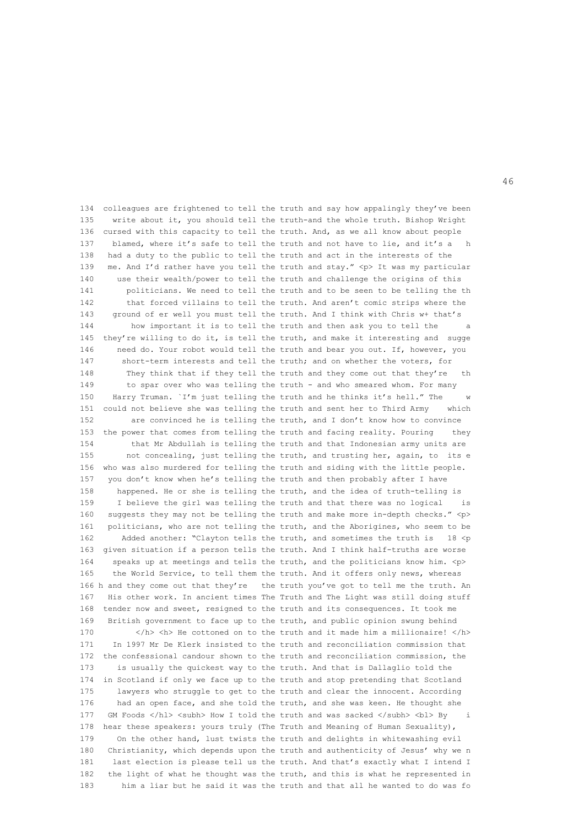134 colleagues are frightened to tell the truth and say how appalingly they've been 135 write about it, you should tell the truth-and the whole truth. Bishop Wright 136 cursed with this capacity to tell the truth. And, as we all know about people 137 blamed, where it's safe to tell the truth and not have to lie, and it's a h 138 had a duty to the public to tell the truth and act in the interests of the 139 me. And I'd rather have you tell the truth and stay." <p> It was my particular 140 use their wealth/power to tell the truth and challenge the origins of this 141 politicians. We need to tell the truth and to be seen to be telling the th 142 that forced villains to tell the truth. And aren't comic strips where the 143 ground of er well you must tell the truth. And I think with Chris w+ that's 144 how important it is to tell the truth and then ask you to tell the 145 they're willing to do it, is tell the truth, and make it interesting and sugge 146 need do. Your robot would tell the truth and bear you out. If, however, you 147 short-term interests and tell the truth; and on whether the voters, for 148 They think that if they tell the truth and they come out that they're th 149 to spar over who was telling the truth - and who smeared whom. For many 150 Harry Truman. `I'm just telling the truth and he thinks it's hell." The 151 could not believe she was telling the truth and sent her to Third Army which 152 are convinced he is telling the truth, and I don't know how to convince 153 the power that comes from telling the truth and facing reality. Pouring they 154 that Mr Abdullah is telling the truth and that Indonesian army units are 155 not concealing, just telling the truth, and trusting her, again, to its e 156 who was also murdered for telling the truth and siding with the little people. 157 you don't know when he's telling the truth and then probably after I have 158 happened. He or she is telling the truth, and the idea of truth-telling is 159 I believe the girl was telling the truth and that there was no logical is 160 suggests they may not be telling the truth and make more in-depth checks." <p> 161 politicians, who are not telling the truth, and the Aborigines, who seem to be 162 Added another: "Clayton tells the truth, and sometimes the truth is 18 <p 163 given situation if a person tells the truth. And I think half-truths are worse 164 speaks up at meetings and tells the truth, and the politicians know him. <p> 165 the World Service, to tell them the truth. And it offers only news, whereas 166 h and they come out that they're the truth you've got to tell me the truth. An 167 His other work. In ancient times The Truth and The Light was still doing stuff 168 tender now and sweet, resigned to the truth and its consequences. It took me 169 British government to face up to the truth, and public opinion swung behind 170  $\langle h \rangle$   $\langle h \rangle$  He cottoned on to the truth and it made him a millionaire!  $\langle h \rangle$  171 In 1997 Mr De Klerk insisted to the truth and reconciliation commission that 172 the confessional candour shown to the truth and reconciliation commission, the 173 is usually the quickest way to the truth. And that is Dallaglio told the 174 in Scotland if only we face up to the truth and stop pretending that Scotland 175 lawyers who struggle to get to the truth and clear the innocent. According 176 had an open face, and she told the truth, and she was keen. He thought she 177 GM Foods </hl> <subh> How I told the truth and was sacked </subh> <br/> <br/> Abl> By i 178 hear these speakers: yours truly (The Truth and Meaning of Human Sexuality), 179 On the other hand, lust twists the truth and delights in whitewashing evil 180 Christianity, which depends upon the truth and authenticity of Jesus' why we n 181 last election is please tell us the truth. And that's exactly what I intend I 182 the light of what he thought was the truth, and this is what he represented in 183 him a liar but he said it was the truth and that all he wanted to do was fo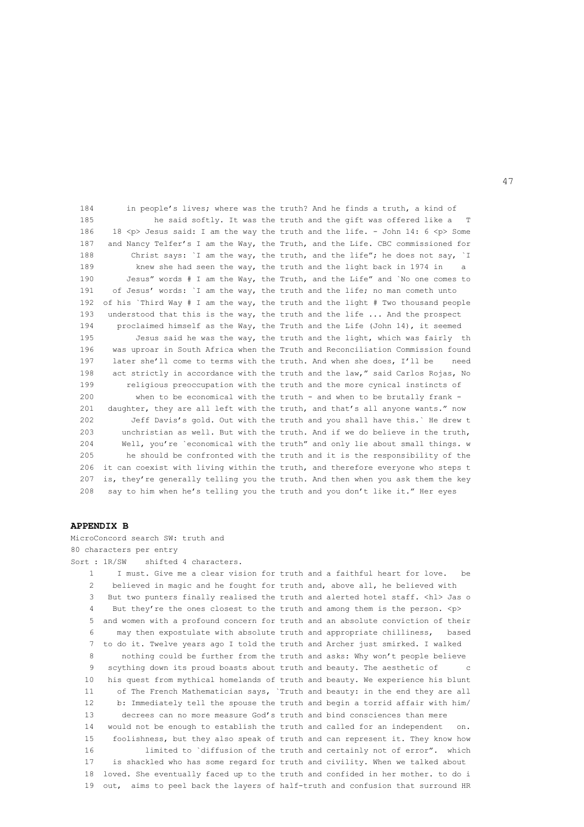184 in people's lives; where was the truth? And he finds a truth, a kind of 185 he said softly. It was the truth and the gift was offered like a T 186 18 <p> Jesus said: I am the way the truth and the life. - John 14: 6 <p> Some 187 and Nancy Telfer's I am the Way, the Truth, and the Life. CBC commissioned for 188 Christ says: `I am the way, the truth, and the life"; he does not say, `I 189 knew she had seen the way, the truth and the light back in 1974 in a 190 Jesus" words # I am the Way, the Truth, and the Life" and `No one comes to 191 of Jesus' words: `I am the way, the truth and the life; no man cometh unto 192 of his `Third Way # I am the way, the truth and the light # Two thousand people 193 understood that this is the way, the truth and the life ... And the prospect 194 proclaimed himself as the Way, the Truth and the Life (John 14), it seemed 195 Jesus said he was the way, the truth and the light, which was fairly the 196 was uproar in South Africa when the Truth and Reconciliation Commission found 197 later she'll come to terms with the truth. And when she does, I'll be need 198 act strictly in accordance with the truth and the law," said Carlos Rojas, No 199 religious preoccupation with the truth and the more cynical instincts of 200 when to be economical with the truth - and when to be brutally frank - 201 daughter, they are all left with the truth, and that's all anyone wants." now 202 Jeff Davis's gold. Out with the truth and you shall have this.` He drew t 203 unchristian as well. But with the truth. And if we do believe in the truth, 204 Well, you're `economical with the truth" and only lie about small things. w 205 he should be confronted with the truth and it is the responsibility of the 206 it can coexist with living within the truth, and therefore everyone who steps t 207 is, they're generally telling you the truth. And then when you ask them the key 208 say to him when he's telling you the truth and you don't like it." Her eyes

#### **APPENDIX B**

MicroConcord search SW: truth and 80 characters per entry Sort : 1R/SW shifted 4 characters. 1 I must. Give me a clear vision for truth and a faithful heart for love. be 2 believed in magic and he fought for truth and, above all, he believed with 3 But two punters finally realised the truth and alerted hotel staff. <hl> Jas o 4 But they're the ones closest to the truth and among them is the person. <p> 5 and women with a profound concern for truth and an absolute conviction of their 6 may then expostulate with absolute truth and appropriate chilliness, based 7 to do it. Twelve years ago I told the truth and Archer just smirked. I walked 8 nothing could be further from the truth and asks: Why won't people believe 9 scything down its proud boasts about truth and beauty. The aesthetic of c 10 his quest from mythical homelands of truth and beauty. We experience his blunt 11 of The French Mathematician says, `Truth and beauty: in the end they are all 12 b: Immediately tell the spouse the truth and begin a torrid affair with him/ 13 decrees can no more measure God's truth and bind consciences than mere 14 would not be enough to establish the truth and called for an independent on. 15 foolishness, but they also speak of truth and can represent it. They know how 16 limited to `diffusion of the truth and certainly not of error". which 17 is shackled who has some regard for truth and civility. When we talked about 18 loved. She eventually faced up to the truth and confided in her mother. to do i 19 out, aims to peel back the layers of half-truth and confusion that surround HR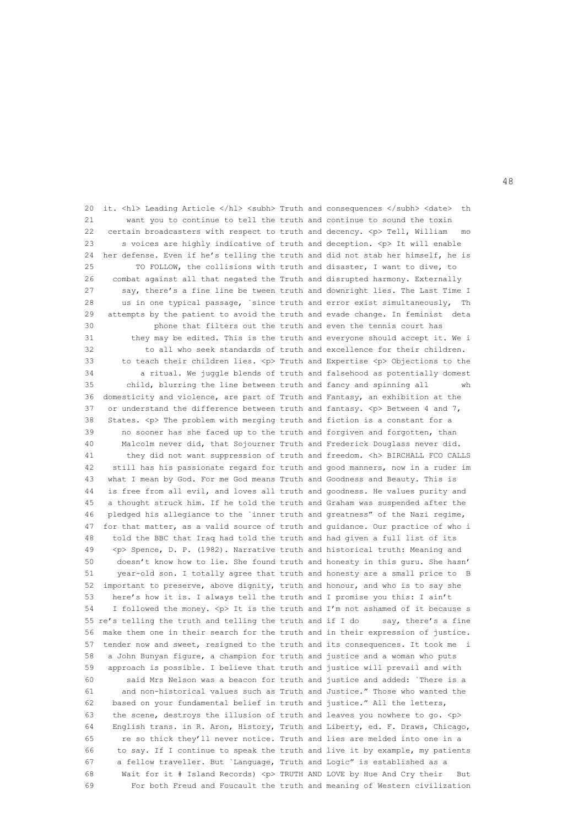20 it. <hl> Leading Article </hl> <subh> Truth and consequences </subh> <date> th 21 want you to continue to tell the truth and continue to sound the toxin 22 certain broadcasters with respect to truth and decency. <p> Tell, William mo 23 s voices are highly indicative of truth and deception. <p> It will enable 24 her defense. Even if he's telling the truth and did not stab her himself, he is 25 TO FOLLOW, the collisions with truth and disaster, I want to dive, to 26 combat against all that negated the Truth and disrupted harmony. Externally 27 say, there's a fine line be tween truth and downright lies. The Last Time I 28 us in one typical passage, `since truth and error exist simultaneously, Th 29 attempts by the patient to avoid the truth and evade change. In feminist deta 30 phone that filters out the truth and even the tennis court has 31 they may be edited. This is the truth and everyone should accept it. We i 32 to all who seek standards of truth and excellence for their children. 33 to teach their children lies. <p> Truth and Expertise <p> Objections to the 34 a ritual. We juggle blends of truth and falsehood as potentially domest 35 child, blurring the line between truth and fancy and spinning all wh 36 domesticity and violence, are part of Truth and Fantasy, an exhibition at the 37 or understand the difference between truth and fantasy.  $\langle p \rangle$  Between 4 and 7, 38 States. <p> The problem with merging truth and fiction is a constant for a 39 no sooner has she faced up to the truth and forgiven and forgotten, than 40 Malcolm never did, that Sojourner Truth and Frederick Douglass never did. 41 they did not want suppression of truth and freedom. <h> BIRCHALL FCO CALLS 42 still has his passionate regard for truth and good manners, now in a ruder im 43 what I mean by God. For me God means Truth and Goodness and Beauty. This is 44 is free from all evil, and loves all truth and goodness. He values purity and 45 a thought struck him. If he told the truth and Graham was suspended after the 46 pledged his allegiance to the `inner truth and greatness" of the Nazi regime, 47 for that matter, as a valid source of truth and guidance. Our practice of who i 48 told the BBC that Iraq had told the truth and had given a full list of its 49 <p> Spence, D. P. (1982). Narrative truth and historical truth: Meaning and 50 doesn't know how to lie. She found truth and honesty in this guru. She hasn' 51 year-old son. I totally agree that truth and honesty are a small price to B 52 important to preserve, above dignity, truth and honour, and who is to say she 53 here's how it is. I always tell the truth and I promise you this: I ain't 54 I followed the money. <p> It is the truth and I'm not ashamed of it because s 55 re's telling the truth and telling the truth and if I do say, there's a fine 56 make them one in their search for the truth and in their expression of justice. 57 tender now and sweet, resigned to the truth and its consequences. It took me i 58 a John Bunyan figure, a champion for truth and justice and a woman who puts 59 approach is possible. I believe that truth and justice will prevail and with 60 said Mrs Nelson was a beacon for truth and justice and added: `There is a 61 and non-historical values such as Truth and Justice." Those who wanted the 62 based on your fundamental belief in truth and justice." All the letters, 63 the scene, destroys the illusion of truth and leaves you nowhere to go. <p> 64 English trans. in R. Aron, History, Truth and Liberty, ed. F. Draws, Chicago, 65 re so thick they'll never notice. Truth and lies are melded into one in a 66 to say. If I continue to speak the truth and live it by example, my patients 67 a fellow traveller. But `Language, Truth and Logic" is established as a 68 Wait for it # Island Records) <p> TRUTH AND LOVE by Hue And Cry their But 69 For both Freud and Foucault the truth and meaning of Western civilization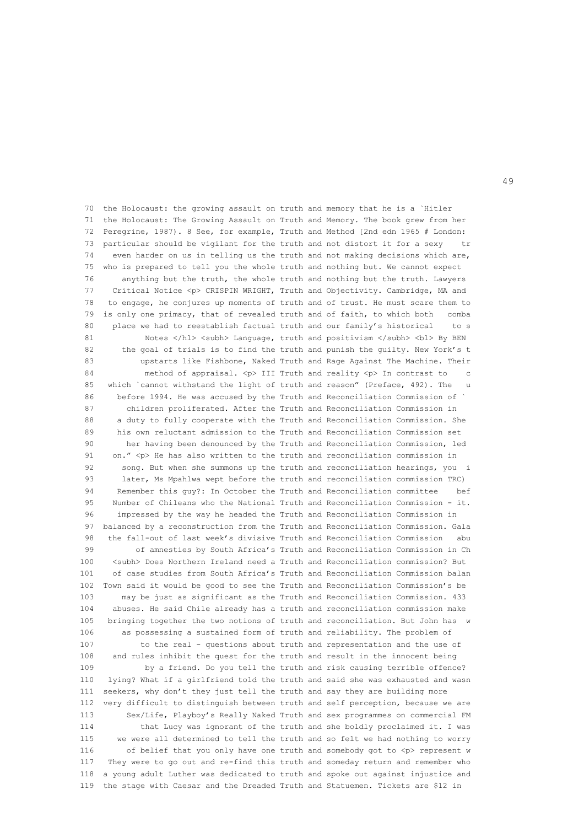70 the Holocaust: the growing assault on truth and memory that he is a `Hitler 71 the Holocaust: The Growing Assault on Truth and Memory. The book grew from her 72 Peregrine, 1987). 8 See, for example, Truth and Method [2nd edn 1965 # London: 73 particular should be vigilant for the truth and not distort it for a sexy tr 74 even harder on us in telling us the truth and not making decisions which are, 75 who is prepared to tell you the whole truth and nothing but. We cannot expect 76 anything but the truth, the whole truth and nothing but the truth. Lawyers 77 Critical Notice <p> CRISPIN WRIGHT, Truth and Objectivity. Cambridge, MA and 78 to engage, he conjures up moments of truth and of trust. He must scare them to 79 is only one primacy, that of revealed truth and of faith, to which both comba 80 place we had to reestablish factual truth and our family's historical to s 81 Notes </hl> <subh> Language, truth and positivism </subh> <br/> <br/>bl> By BEN 82 the goal of trials is to find the truth and punish the guilty. New York's t 83 upstarts like Fishbone, Naked Truth and Rage Against The Machine. Their 84 method of appraisal. <p> III Truth and reality <p> In contrast to c 85 which `cannot withstand the light of truth and reason" (Preface, 492). The u 86 before 1994. He was accused by the Truth and Reconciliation Commission of ` 87 children proliferated. After the Truth and Reconciliation Commission in 88 a duty to fully cooperate with the Truth and Reconciliation Commission. She 89 his own reluctant admission to the Truth and Reconciliation Commission set 90 her having been denounced by the Truth and Reconciliation Commission, led 91 on."  $\langle p \rangle$  He has also written to the truth and reconciliation commission in 92 song. But when she summons up the truth and reconciliation hearings, you i 93 later, Ms Mpahlwa wept before the truth and reconciliation commission TRC) 94 Remember this guy?: In October the Truth and Reconciliation committee bef 95 Number of Chileans who the National Truth and Reconciliation Commission - it. 96 impressed by the way he headed the Truth and Reconciliation Commission in 97 balanced by a reconstruction from the Truth and Reconciliation Commission. Gala 98 the fall-out of last week's divisive Truth and Reconciliation Commission abu 99 of amnesties by South Africa's Truth and Reconciliation Commission in Ch 100 <subh> Does Northern Ireland need a Truth and Reconciliation commission? But 101 of case studies from South Africa's Truth and Reconciliation Commission balan 102 Town said it would be good to see the Truth and Reconciliation Commission's be 103 may be just as significant as the Truth and Reconciliation Commission. 433 104 abuses. He said Chile already has a truth and reconciliation commission make 105 bringing together the two notions of truth and reconciliation. But John has w 106 as possessing a sustained form of truth and reliability. The problem of 107 to the real - questions about truth and representation and the use of 108 and rules inhibit the quest for the truth and result in the innocent being 109 by a friend. Do you tell the truth and risk causing terrible offence? 110 lying? What if a girlfriend told the truth and said she was exhausted and wasn 111 seekers, why don't they just tell the truth and say they are building more 112 very difficult to distinguish between truth and self perception, because we are 113 Sex/Life, Playboy's Really Naked Truth and sex programmes on commercial FM 114 that Lucy was ignorant of the truth and she boldly proclaimed it. I was 115 we were all determined to tell the truth and so felt we had nothing to worry 116 of belief that you only have one truth and somebody got to  $\langle p \rangle$  represent w 117 They were to go out and re-find this truth and someday return and remember who 118 a young adult Luther was dedicated to truth and spoke out against injustice and 119 the stage with Caesar and the Dreaded Truth and Statuemen. Tickets are \$12 in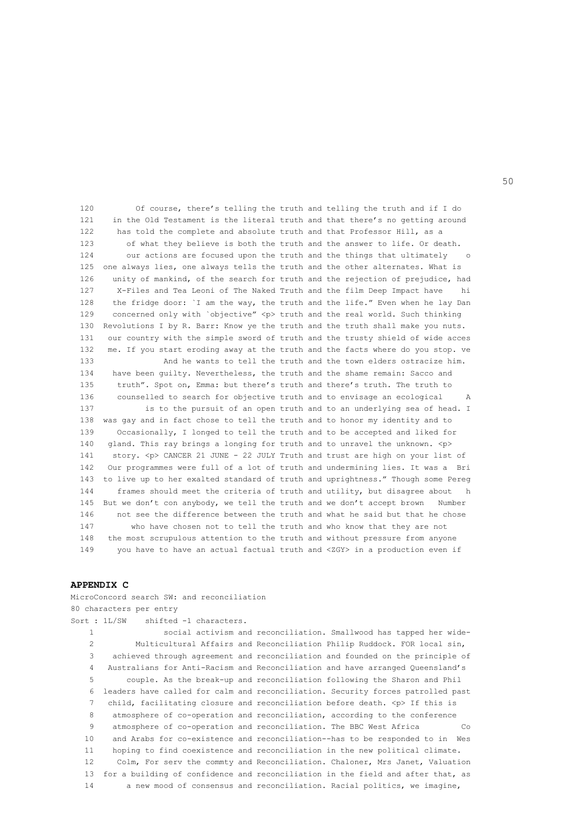120 Of course, there's telling the truth and telling the truth and if I do 121 in the Old Testament is the literal truth and that there's no getting around 122 has told the complete and absolute truth and that Professor Hill, as a 123 of what they believe is both the truth and the answer to life. Or death. 124 our actions are focused upon the truth and the things that ultimately o 125 one always lies, one always tells the truth and the other alternates. What is 126 unity of mankind, of the search for truth and the rejection of prejudice, had 127 X-Files and Tea Leoni of The Naked Truth and the film Deep Impact have hi 128 the fridge door: `I am the way, the truth and the life." Even when he lay Dan 129 concerned only with `objective" <p> truth and the real world. Such thinking 130 Revolutions I by R. Barr: Know ye the truth and the truth shall make you nuts. 131 our country with the simple sword of truth and the trusty shield of wide acces 132 me. If you start eroding away at the truth and the facts where do you stop. ve 133 And he wants to tell the truth and the town elders ostracize him. 134 have been guilty. Nevertheless, the truth and the shame remain: Sacco and 135 truth". Spot on, Emma: but there's truth and there's truth. The truth to 136 counselled to search for objective truth and to envisage an ecological A 137 is to the pursuit of an open truth and to an underlying sea of head. I 138 was gay and in fact chose to tell the truth and to honor my identity and to 139 Occasionally, I longed to tell the truth and to be accepted and liked for 140 gland. This ray brings a longing for truth and to unravel the unknown. <p> 141 story. <p> CANCER 21 JUNE - 22 JULY Truth and trust are high on your list of 142 Our programmes were full of a lot of truth and undermining lies. It was a Bri 143 to live up to her exalted standard of truth and uprightness." Though some Pereg 144 frames should meet the criteria of truth and utility, but disagree about h 145 But we don't con anybody, we tell the truth and we don't accept brown Number 146 not see the difference between the truth and what he said but that he chose 147 who have chosen not to tell the truth and who know that they are not 148 the most scrupulous attention to the truth and without pressure from anyone 149 you have to have an actual factual truth and <ZGY> in a production even if

## **APPENDIX C**

MicroConcord search SW: and reconciliation

80 characters per entry Sort : 1L/SW shifted -1 characters. 1 social activism and reconciliation. Smallwood has tapped her wide- 2 Multicultural Affairs and Reconciliation Philip Ruddock. FOR local sin, 3 achieved through agreement and reconciliation and founded on the principle of 4 Australians for Anti-Racism and Reconciliation and have arranged Queensland's 5 couple. As the break-up and reconciliation following the Sharon and Phil 6 leaders have called for calm and reconciliation. Security forces patrolled past 7 child, facilitating closure and reconciliation before death. <p> If this is 8 atmosphere of co-operation and reconciliation, according to the conference 9 atmosphere of co-operation and reconciliation. The BBC West Africa 60 10 and Arabs for co-existence and reconciliation--has to be responded to in Wes 11 hoping to find coexistence and reconciliation in the new political climate. 12 Colm, For serv the commty and Reconciliation. Chaloner, Mrs Janet, Valuation 13 for a building of confidence and reconciliation in the field and after that, as 14 a new mood of consensus and reconciliation. Racial politics, we imagine,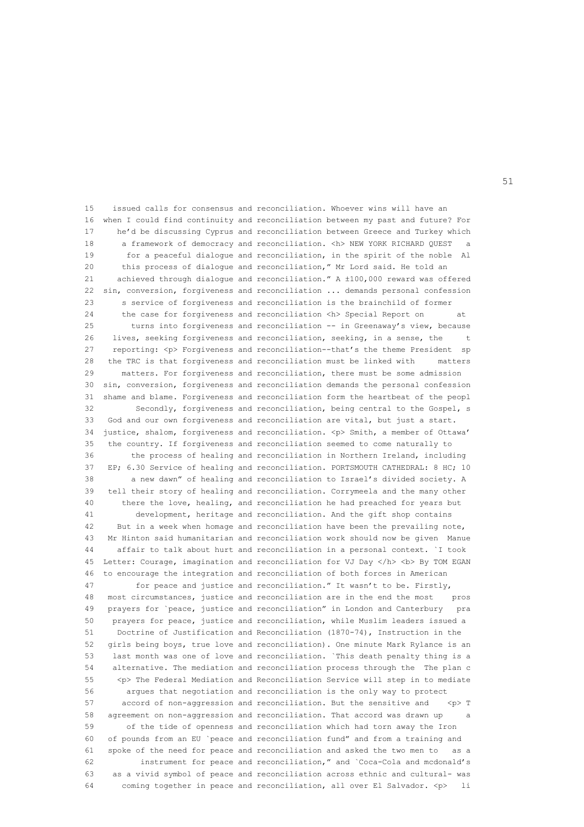15 issued calls for consensus and reconciliation. Whoever wins will have an 16 when I could find continuity and reconciliation between my past and future? For 17 he'd be discussing Cyprus and reconciliation between Greece and Turkey which 18 a framework of democracy and reconciliation. <h> NEW YORK RICHARD QUEST a 19 for a peaceful dialogue and reconciliation, in the spirit of the noble Al 20 this process of dialogue and reconciliation," Mr Lord said. He told an 21 achieved through dialogue and reconciliation." A ±100,000 reward was offered 22 sin, conversion, forgiveness and reconciliation ... demands personal confession 23 s service of forgiveness and reconciliation is the brainchild of former 24 the case for forgiveness and reconciliation <h> Special Report on at 25 turns into forgiveness and reconciliation -- in Greenaway's view, because 26 lives, seeking forgiveness and reconciliation, seeking, in a sense, the t 27 reporting: <p> Forgiveness and reconciliation--that's the theme President sp 28 the TRC is that forgiveness and reconciliation must be linked with matters 29 matters. For forgiveness and reconciliation, there must be some admission 30 sin, conversion, forgiveness and reconciliation demands the personal confession 31 shame and blame. Forgiveness and reconciliation form the heartbeat of the peopl 32 Secondly, forgiveness and reconciliation, being central to the Gospel, s 33 God and our own forgiveness and reconciliation are vital, but just a start. 34 justice, shalom, forgiveness and reconciliation. <p> Smith, a member of Ottawa' 35 the country. If forgiveness and reconciliation seemed to come naturally to 36 the process of healing and reconciliation in Northern Ireland, including 37 EP; 6.30 Service of healing and reconciliation. PORTSMOUTH CATHEDRAL: 8 HC; 10 38 a new dawn" of healing and reconciliation to Israel's divided society. A 39 tell their story of healing and reconciliation. Corrymeela and the many other 40 there the love, healing, and reconciliation he had preached for years but 41 development, heritage and reconciliation. And the gift shop contains 42 But in a week when homage and reconciliation have been the prevailing note, 43 Mr Hinton said humanitarian and reconciliation work should now be given Manue 44 affair to talk about hurt and reconciliation in a personal context. `I took 45 Letter: Courage, imagination and reconciliation for VJ Day </h> <br/> <br/> Ab> By TOM EGAN 46 to encourage the integration and reconciliation of both forces in American 47 for peace and justice and reconciliation." It wasn't to be. Firstly, 48 most circumstances, justice and reconciliation are in the end the most pros 49 prayers for `peace, justice and reconciliation" in London and Canterbury pra 50 prayers for peace, justice and reconciliation, while Muslim leaders issued a 51 Doctrine of Justification and Reconciliation (1870-74), Instruction in the 52 girls being boys, true love and reconciliation). One minute Mark Rylance is an 53 last month was one of love and reconciliation. `This death penalty thing is a 54 alternative. The mediation and reconciliation process through the The plan c 55 <p> The Federal Mediation and Reconciliation Service will step in to mediate 56 argues that negotiation and reconciliation is the only way to protect 57 accord of non-aggression and reconciliation. But the sensitive and <p> T 58 agreement on non-aggression and reconciliation. That accord was drawn up a 59 of the tide of openness and reconciliation which had torn away the Iron 60 of pounds from an EU `peace and reconciliation fund" and from a training and 61 spoke of the need for peace and reconciliation and asked the two men to as a 62 instrument for peace and reconciliation," and `Coca-Cola and mcdonald's 63 as a vivid symbol of peace and reconciliation across ethnic and cultural- was 64 coming together in peace and reconciliation, all over El Salvador. <p> li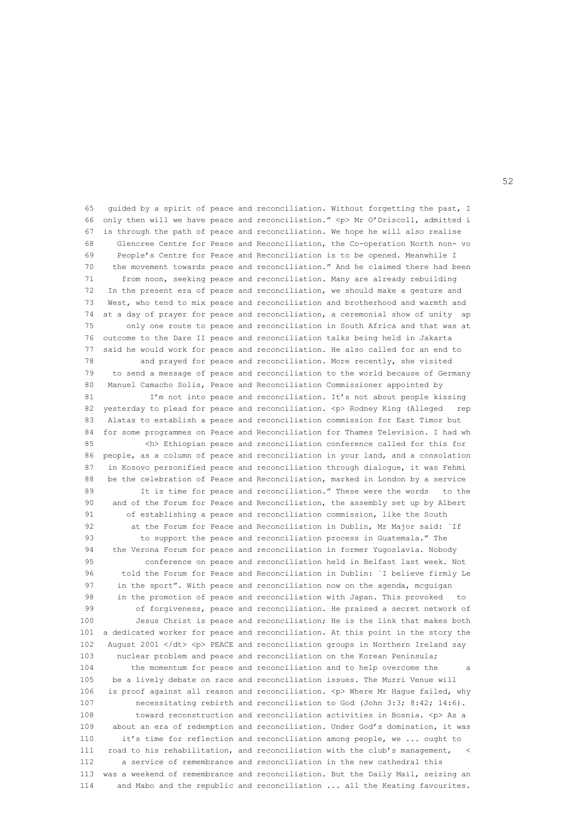65 guided by a spirit of peace and reconciliation. Without forgetting the past, I 66 only then will we have peace and reconciliation." <p> Mr O'Driscoll, admitted i 67 is through the path of peace and reconciliation. We hope he will also realise 68 Glencree Centre for Peace and Reconciliation, the Co-operation North non- vo 69 People's Centre for Peace and Reconciliation is to be opened. Meanwhile I 70 the movement towards peace and reconciliation." And he claimed there had been 71 from noon, seeking peace and reconciliation. Many are already rebuilding 72 In the present era of peace and reconciliation, we should make a gesture and 73 West, who tend to mix peace and reconciliation and brotherhood and warmth and 74 at a day of prayer for peace and reconciliation, a ceremonial show of unity ap 75 only one route to peace and reconciliation in South Africa and that was at 76 outcome to the Dare II peace and reconciliation talks being held in Jakarta 77 said he would work for peace and reconciliation. He also called for an end to 78 and prayed for peace and reconciliation. More recently, she visited 79 to send a message of peace and reconciliation to the world because of Germany 80 Manuel Camacho Solis, Peace and Reconciliation Commissioner appointed by 81 I'm not into peace and reconciliation. It's not about people kissing 82 yesterday to plead for peace and reconciliation. <p> Rodney King (Alleged rep 83 Alatas to establish a peace and reconciliation commission for East Timor but 84 for some programmes on Peace and Reconciliation for Thames Television. I had wh 85 <h> Ethiopian peace and reconciliation conference called for this for 86 people, as a column of peace and reconciliation in your land, and a consolation 87 in Kosovo personified peace and reconciliation through dialogue, it was Fehmi 88 be the celebration of Peace and Reconciliation, marked in London by a service 89 It is time for peace and reconciliation." These were the words to the 90 and of the Forum for Peace and Reconciliation, the assembly set up by Albert 91 of establishing a peace and reconciliation commission, like the South 92 at the Forum for Peace and Reconciliation in Dublin, Mr Major said: `If 93 to support the peace and reconciliation process in Guatemala." The 94 the Verona Forum for peace and reconciliation in former Yugoslavia. Nobody 95 conference on peace and reconciliation held in Belfast last week. Not 96 told the Forum for Peace and Reconciliation in Dublin: `I believe firmly Le 97 in the sport". With peace and reconciliation now on the agenda, mcguigan 98 in the promotion of peace and reconciliation with Japan. This provoked to 99 of forgiveness, peace and reconciliation. He praised a secret network of 100 Jesus Christ is peace and reconciliation; He is the link that makes both 101 a dedicated worker for peace and reconciliation. At this point in the story the 102 August 2001 </dt> <p> PEACE and reconciliation groups in Northern Ireland say 103 nuclear problem and peace and reconciliation on the Korean Peninsula; 104 the momentum for peace and reconciliation and to help overcome the a 105 be a lively debate on race and reconciliation issues. The Murri Venue will 106 is proof against all reason and reconciliation. <p> Where Mr Hague failed, why 107 necessitating rebirth and reconciliation to God (John 3:3; 8:42; 14:6). 108 toward reconstruction and reconciliation activities in Bosnia. <p> As a 109 about an era of redemption and reconciliation. Under God's domination, it was 110 it's time for reflection and reconciliation among people, we ... ought to 111 road to his rehabilitation, and reconciliation with the club's management, < 112 a service of remembrance and reconciliation in the new cathedral this 113 was a weekend of remembrance and reconciliation. But the Daily Mail, seizing an 114 and Mabo and the republic and reconciliation ... all the Keating favourites.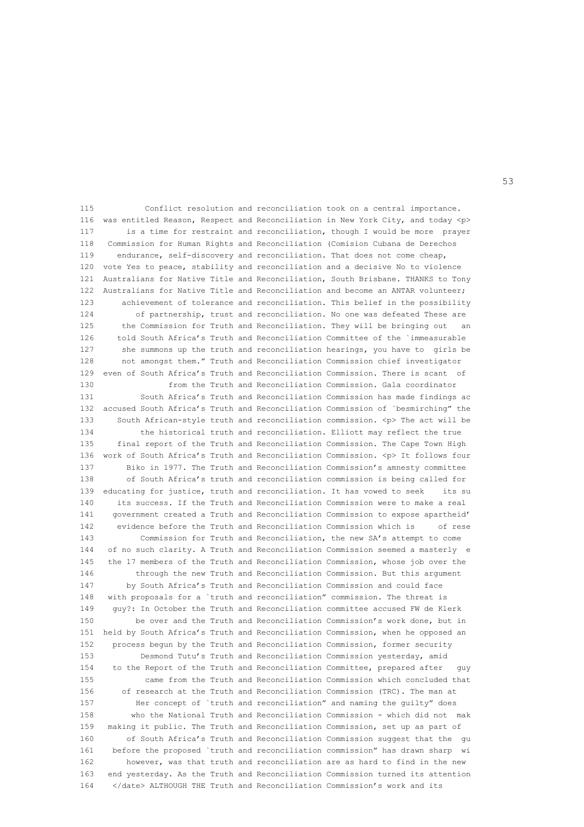115 Conflict resolution and reconciliation took on a central importance. 116 was entitled Reason, Respect and Reconciliation in New York City, and today <p> 117 is a time for restraint and reconciliation, though I would be more prayer 118 Commission for Human Rights and Reconciliation (Comision Cubana de Derechos 119 endurance, self-discovery and reconciliation. That does not come cheap, 120 vote Yes to peace, stability and reconciliation and a decisive No to violence 121 Australians for Native Title and Reconciliation, South Brisbane. THANKS to Tony 122 Australians for Native Title and Reconciliation and become an ANTAR volunteer; 123 achievement of tolerance and reconciliation. This belief in the possibility 124 of partnership, trust and reconciliation. No one was defeated These are 125 the Commission for Truth and Reconciliation. They will be bringing out an 126 told South Africa's Truth and Reconciliation Committee of the `immeasurable 127 she summons up the truth and reconciliation hearings, you have to girls be 128 not amongst them." Truth and Reconciliation Commission chief investigator 129 even of South Africa's Truth and Reconciliation Commission. There is scant of 130 from the Truth and Reconciliation Commission. Gala coordinator 131 South Africa's Truth and Reconciliation Commission has made findings ac 132 accused South Africa's Truth and Reconciliation Commission of `besmirching" the 133 South African-style truth and reconciliation commission. <p> The act will be 134 the historical truth and reconciliation. Elliott may reflect the true 135 final report of the Truth and Reconciliation Commission. The Cape Town High 136 work of South Africa's Truth and Reconciliation Commission. <p> It follows four 137 Biko in 1977. The Truth and Reconciliation Commission's amnesty committee 138 of South Africa's truth and reconciliation commission is being called for 139 educating for justice, truth and reconciliation. It has vowed to seek its su 140 its success. If the Truth and Reconciliation Commission were to make a real 141 government created a Truth and Reconciliation Commission to expose apartheid' 142 evidence before the Truth and Reconciliation Commission which is of rese 143 Commission for Truth and Reconciliation, the new SA's attempt to come 144 of no such clarity. A Truth and Reconciliation Commission seemed a masterly e 145 the 17 members of the Truth and Reconciliation Commission, whose job over the 146 through the new Truth and Reconciliation Commission. But this argument 147 by South Africa's Truth and Reconciliation Commission and could face 148 with proposals for a `truth and reconciliation" commission. The threat is 149 guy?: In October the Truth and Reconciliation committee accused FW de Klerk 150 be over and the Truth and Reconciliation Commission's work done, but in 151 held by South Africa's Truth and Reconciliation Commission, when he opposed an 152 process begun by the Truth and Reconciliation Commission, former security 153 Desmond Tutu's Truth and Reconciliation Commission yesterday, amid 154 to the Report of the Truth and Reconciliation Committee, prepared after guy 155 came from the Truth and Reconciliation Commission which concluded that 156 of research at the Truth and Reconciliation Commission (TRC). The man at 157 Her concept of `truth and reconciliation" and naming the guilty" does 158 who the National Truth and Reconciliation Commission - which did not mak 159 making it public. The Truth and Reconciliation Commission, set up as part of 160 of South Africa's Truth and Reconciliation Commission suggest that the gu 161 before the proposed `truth and reconciliation commission" has drawn sharp wi 162 however, was that truth and reconciliation are as hard to find in the new 163 end yesterday. As the Truth and Reconciliation Commission turned its attention 164 </date> ALTHOUGH THE Truth and Reconciliation Commission's work and its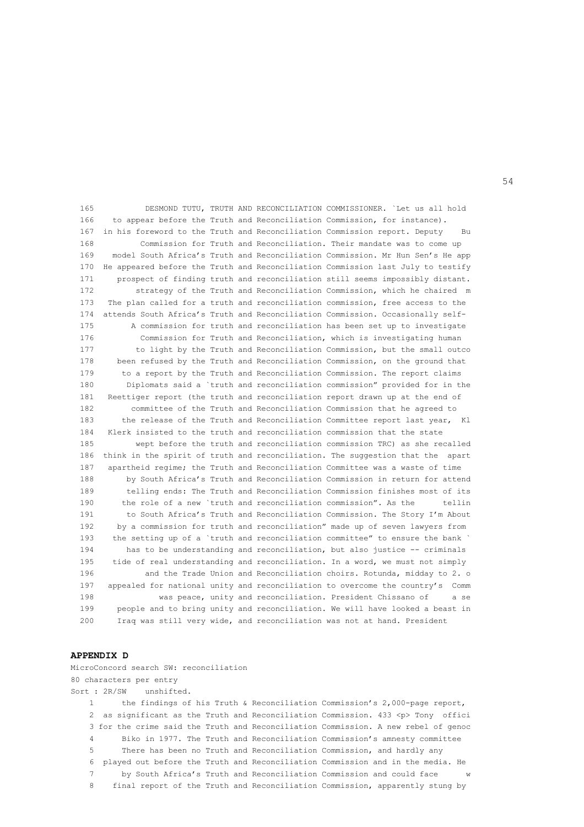165 DESMOND TUTU, TRUTH AND RECONCILIATION COMMISSIONER. `Let us all hold 166 to appear before the Truth and Reconciliation Commission, for instance). 167 in his foreword to the Truth and Reconciliation Commission report. Deputy Bu 168 Commission for Truth and Reconciliation. Their mandate was to come up 169 model South Africa's Truth and Reconciliation Commission. Mr Hun Sen's He app 170 He appeared before the Truth and Reconciliation Commission last July to testify 171 prospect of finding truth and reconciliation still seems impossibly distant. 172 strategy of the Truth and Reconciliation Commission, which he chaired m 173 The plan called for a truth and reconciliation commission, free access to the 174 attends South Africa's Truth and Reconciliation Commission. Occasionally self- 175 A commission for truth and reconciliation has been set up to investigate 176 Commission for Truth and Reconciliation, which is investigating human 177 to light by the Truth and Reconciliation Commission, but the small outco 178 been refused by the Truth and Reconciliation Commission, on the ground that 179 to a report by the Truth and Reconciliation Commission. The report claims 180 Diplomats said a `truth and reconciliation commission" provided for in the 181 Reettiger report (the truth and reconciliation report drawn up at the end of 182 committee of the Truth and Reconciliation Commission that he agreed to 183 the release of the Truth and Reconciliation Committee report last year, Kl 184 Klerk insisted to the truth and reconciliation commission that the state 185 wept before the truth and reconciliation commission TRC) as she recalled 186 think in the spirit of truth and reconciliation. The suggestion that the apart 187 apartheid regime; the Truth and Reconciliation Committee was a waste of time 188 by South Africa's Truth and Reconciliation Commission in return for attend 189 telling ends: The Truth and Reconciliation Commission finishes most of its 190 the role of a new `truth and reconciliation commission". As the tellin 191 to South Africa's Truth and Reconciliation Commission. The Story I'm About 192 by a commission for truth and reconciliation" made up of seven lawyers from 193 the setting up of a `truth and reconciliation committee" to ensure the bank ` 194 has to be understanding and reconciliation, but also justice -- criminals 195 tide of real understanding and reconciliation. In a word, we must not simply 196 and the Trade Union and Reconciliation choirs. Rotunda, midday to 2. o 197 appealed for national unity and reconciliation to overcome the country's Comm 198 was peace, unity and reconciliation. President Chissano of a se 199 people and to bring unity and reconciliation. We will have looked a beast in 200 Iraq was still very wide, and reconciliation was not at hand. President

### **APPENDIX D**

MicroConcord search SW: reconciliation 80 characters per entry Sort : 2R/SW unshifted. 1 the findings of his Truth & Reconciliation Commission's 2,000-page report, 2 as significant as the Truth and Reconciliation Commission. 433 <p> Tony offici 3 for the crime said the Truth and Reconciliation Commission. A new rebel of genoc 4 Biko in 1977. The Truth and Reconciliation Commission's amnesty committee 5 There has been no Truth and Reconciliation Commission, and hardly any 6 played out before the Truth and Reconciliation Commission and in the media. He 7 by South Africa's Truth and Reconciliation Commission and could face 8 final report of the Truth and Reconciliation Commission, apparently stung by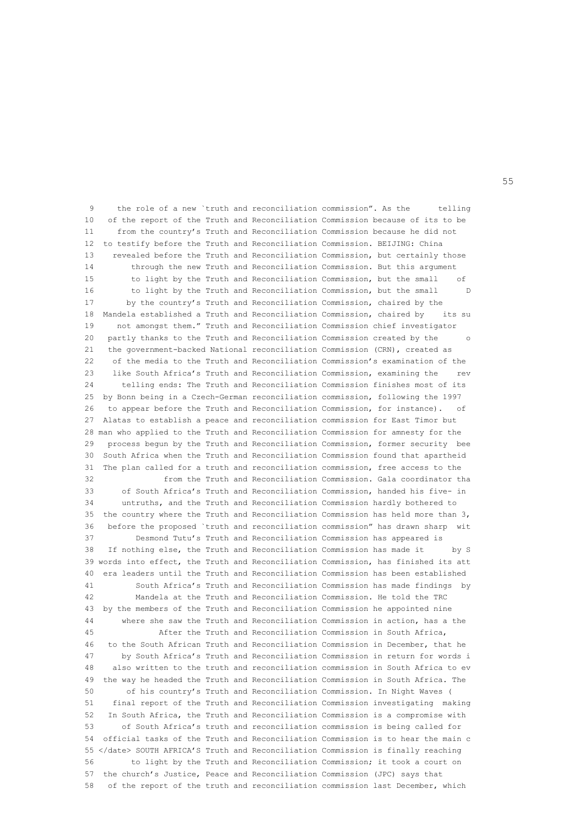9 the role of a new `truth and reconciliation commission". As the telling 10 of the report of the Truth and Reconciliation Commission because of its to be 11 from the country's Truth and Reconciliation Commission because he did not 12 to testify before the Truth and Reconciliation Commission. BEIJING: China 13 revealed before the Truth and Reconciliation Commission, but certainly those 14 through the new Truth and Reconciliation Commission. But this argument 15 to light by the Truth and Reconciliation Commission, but the small of 16 to light by the Truth and Reconciliation Commission, but the small D 17 by the country's Truth and Reconciliation Commission, chaired by the 18 Mandela established a Truth and Reconciliation Commission, chaired by its su 19 not amongst them." Truth and Reconciliation Commission chief investigator 20 partly thanks to the Truth and Reconciliation Commission created by the o 21 the government-backed National reconciliation Commission (CRN), created as 22 of the media to the Truth and Reconciliation Commission's examination of the 23 like South Africa's Truth and Reconciliation Commission, examining the rev 24 telling ends: The Truth and Reconciliation Commission finishes most of its 25 by Bonn being in a Czech-German reconciliation commission, following the 1997 26 to appear before the Truth and Reconciliation Commission, for instance). of 27 Alatas to establish a peace and reconciliation commission for East Timor but 28 man who applied to the Truth and Reconciliation Commission for amnesty for the 29 process begun by the Truth and Reconciliation Commission, former security bee 30 South Africa when the Truth and Reconciliation Commission found that apartheid 31 The plan called for a truth and reconciliation commission, free access to the 32 from the Truth and Reconciliation Commission. Gala coordinator tha 33 of South Africa's Truth and Reconciliation Commission, handed his five- in 34 untruths, and the Truth and Reconciliation Commission hardly bothered to 35 the country where the Truth and Reconciliation Commission has held more than 3, 36 before the proposed `truth and reconciliation commission" has drawn sharp wit 37 Desmond Tutu's Truth and Reconciliation Commission has appeared is 38 If nothing else, the Truth and Reconciliation Commission has made it by S 39 words into effect, the Truth and Reconciliation Commission, has finished its att 40 era leaders until the Truth and Reconciliation Commission has been established 41 South Africa's Truth and Reconciliation Commission has made findings by 42 Mandela at the Truth and Reconciliation Commission. He told the TRC 43 by the members of the Truth and Reconciliation Commission he appointed nine 44 where she saw the Truth and Reconciliation Commission in action, has a the 45 After the Truth and Reconciliation Commission in South Africa, 46 to the South African Truth and Reconciliation Commission in December, that he 47 by South Africa's Truth and Reconciliation Commission in return for words i 48 also written to the truth and reconciliation commission in South Africa to ev 49 the way he headed the Truth and Reconciliation Commission in South Africa. The 50 of his country's Truth and Reconciliation Commission. In Night Waves ( 51 final report of the Truth and Reconciliation Commission investigating making 52 In South Africa, the Truth and Reconciliation Commission is a compromise with 53 of South Africa's truth and reconciliation commission is being called for 54 official tasks of the Truth and Reconciliation Commission is to hear the main c 55 </date> SOUTH AFRICA'S Truth and Reconciliation Commission is finally reaching 56 to light by the Truth and Reconciliation Commission; it took a court on 57 the church's Justice, Peace and Reconciliation Commission (JPC) says that 58 of the report of the truth and reconciliation commission last December, which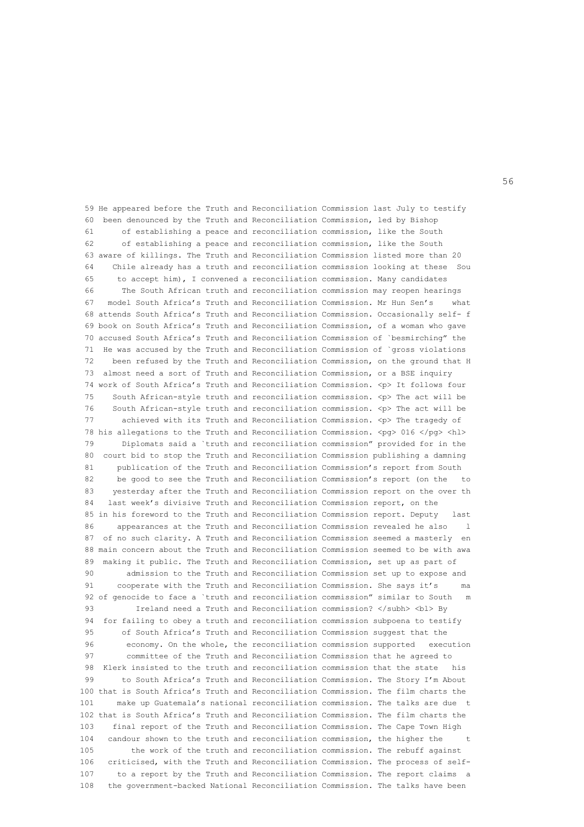59 He appeared before the Truth and Reconciliation Commission last July to testify 60 been denounced by the Truth and Reconciliation Commission, led by Bishop 61 of establishing a peace and reconciliation commission, like the South 62 of establishing a peace and reconciliation commission, like the South 63 aware of killings. The Truth and Reconciliation Commission listed more than 20 64 Chile already has a truth and reconciliation commission looking at these Sou 65 to accept him), I convened a reconciliation commission. Many candidates 66 The South African truth and reconciliation commission may reopen hearings 67 model South Africa's Truth and Reconciliation Commission. Mr Hun Sen's what 68 attends South Africa's Truth and Reconciliation Commission. Occasionally self- f 69 book on South Africa's Truth and Reconciliation Commission, of a woman who gave 70 accused South Africa's Truth and Reconciliation Commission of `besmirching" the 71 He was accused by the Truth and Reconciliation Commission of `gross violations 72 been refused by the Truth and Reconciliation Commission, on the ground that H 73 almost need a sort of Truth and Reconciliation Commission, or a BSE inquiry 74 work of South Africa's Truth and Reconciliation Commission. <p> It follows four 75 South African-style truth and reconciliation commission. <p> The act will be 76 South African-style truth and reconciliation commission. <p> The act will be 77 achieved with its Truth and Reconciliation Commission. <p> The tragedy of 78 his allegations to the Truth and Reconciliation Commission. <pg> 016 </pg> <hl> 79 Diplomats said a `truth and reconciliation commission" provided for in the 80 court bid to stop the Truth and Reconciliation Commission publishing a damning 81 publication of the Truth and Reconciliation Commission's report from South 82 be good to see the Truth and Reconciliation Commission's report (on the to 83 yesterday after the Truth and Reconciliation Commission report on the over th 84 last week's divisive Truth and Reconciliation Commission report, on the 85 in his foreword to the Truth and Reconciliation Commission report. Deputy last 86 appearances at the Truth and Reconciliation Commission revealed he also l 87 of no such clarity. A Truth and Reconciliation Commission seemed a masterly en 88 main concern about the Truth and Reconciliation Commission seemed to be with awa 89 making it public. The Truth and Reconciliation Commission, set up as part of 90 admission to the Truth and Reconciliation Commission set up to expose and 91 cooperate with the Truth and Reconciliation Commission. She says it's ma 92 of genocide to face a `truth and reconciliation commission" similar to South m 93 Ireland need a Truth and Reconciliation commission? </subh> <br/> <br/>Subh> Sv 94 for failing to obey a truth and reconciliation commission subpoena to testify 95 of South Africa's Truth and Reconciliation Commission suggest that the 96 economy. On the whole, the reconciliation commission supported execution 97 committee of the Truth and Reconciliation Commission that he agreed to 98 Klerk insisted to the truth and reconciliation commission that the state his 99 to South Africa's Truth and Reconciliation Commission. The Story I'm About 100 that is South Africa's Truth and Reconciliation Commission. The film charts the 101 make up Guatemala's national reconciliation commission. The talks are due t 102 that is South Africa's Truth and Reconciliation Commission. The film charts the 103 final report of the Truth and Reconciliation Commission. The Cape Town High 104 candour shown to the truth and reconciliation commission, the higher the 105 the work of the truth and reconciliation commission. The rebuff against 106 criticised, with the Truth and Reconciliation Commission. The process of self- 107 to a report by the Truth and Reconciliation Commission. The report claims a 108 the government-backed National Reconciliation Commission. The talks have been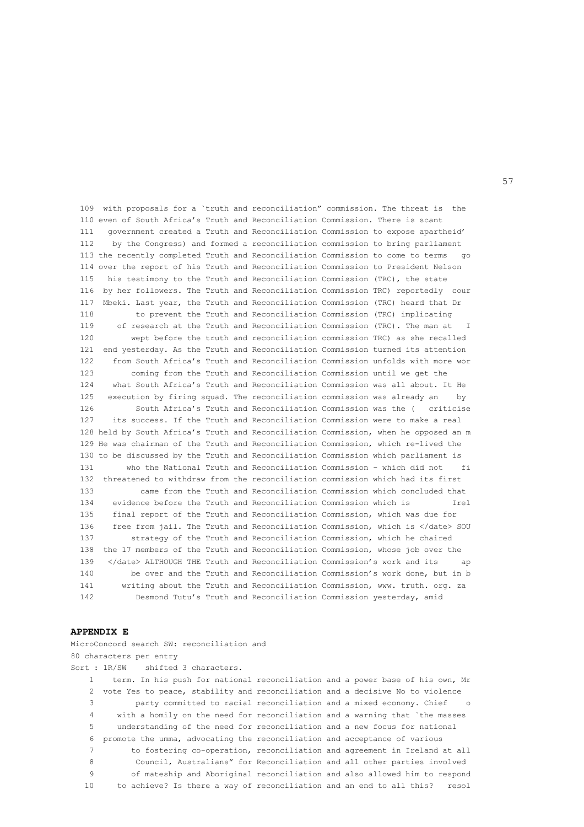109 with proposals for a `truth and reconciliation" commission. The threat is the 110 even of South Africa's Truth and Reconciliation Commission. There is scant 111 government created a Truth and Reconciliation Commission to expose apartheid' 112 by the Congress) and formed a reconciliation commission to bring parliament 113 the recently completed Truth and Reconciliation Commission to come to terms go 114 over the report of his Truth and Reconciliation Commission to President Nelson 115 his testimony to the Truth and Reconciliation Commission (TRC), the state 116 by her followers. The Truth and Reconciliation Commission TRC) reportedly cour 117 Mbeki. Last year, the Truth and Reconciliation Commission (TRC) heard that Dr 118 to prevent the Truth and Reconciliation Commission (TRC) implicating 119 of research at the Truth and Reconciliation Commission (TRC). The man at I 120 wept before the truth and reconciliation commission TRC) as she recalled 121 end yesterday. As the Truth and Reconciliation Commission turned its attention 122 from South Africa's Truth and Reconciliation Commission unfolds with more wor 123 coming from the Truth and Reconciliation Commission until we get the 124 what South Africa's Truth and Reconciliation Commission was all about. It He 125 execution by firing squad. The reconciliation commission was already an by 126 South Africa's Truth and Reconciliation Commission was the ( criticise 127 its success. If the Truth and Reconciliation Commission were to make a real 128 held by South Africa's Truth and Reconciliation Commission, when he opposed an m 129 He was chairman of the Truth and Reconciliation Commission, which re-lived the 130 to be discussed by the Truth and Reconciliation Commission which parliament is 131 who the National Truth and Reconciliation Commission - which did not fi 132 threatened to withdraw from the reconciliation commission which had its first 133 came from the Truth and Reconciliation Commission which concluded that 134 evidence before the Truth and Reconciliation Commission which is Irel 135 final report of the Truth and Reconciliation Commission, which was due for 136 free from jail. The Truth and Reconciliation Commission, which is </date> SOU 137 strategy of the Truth and Reconciliation Commission, which he chaired 138 the 17 members of the Truth and Reconciliation Commission, whose job over the 139 </date> ALTHOUGH THE Truth and Reconciliation Commission's work and its 140 be over and the Truth and Reconciliation Commission's work done, but in b 141 writing about the Truth and Reconciliation Commission, www. truth. org. za 142 Desmond Tutu's Truth and Reconciliation Commission yesterday, amid

# **APPENDIX E**

MicroConcord search SW: reconciliation and 80 characters per entry Sort : 1R/SW shifted 3 characters. 1 term. In his push for national reconciliation and a power base of his own, Mr 2 vote Yes to peace, stability and reconciliation and a decisive No to violence 3 party committed to racial reconciliation and a mixed economy. Chief o 4 with a homily on the need for reconciliation and a warning that `the masses 5 understanding of the need for reconciliation and a new focus for national 6 promote the umma, advocating the reconciliation and acceptance of various 7 to fostering co-operation, reconciliation and agreement in Ireland at all 8 Council, Australians" for Reconciliation and all other parties involved 9 of mateship and Aboriginal reconciliation and also allowed him to respond 10 to achieve? Is there a way of reconciliation and an end to all this? resol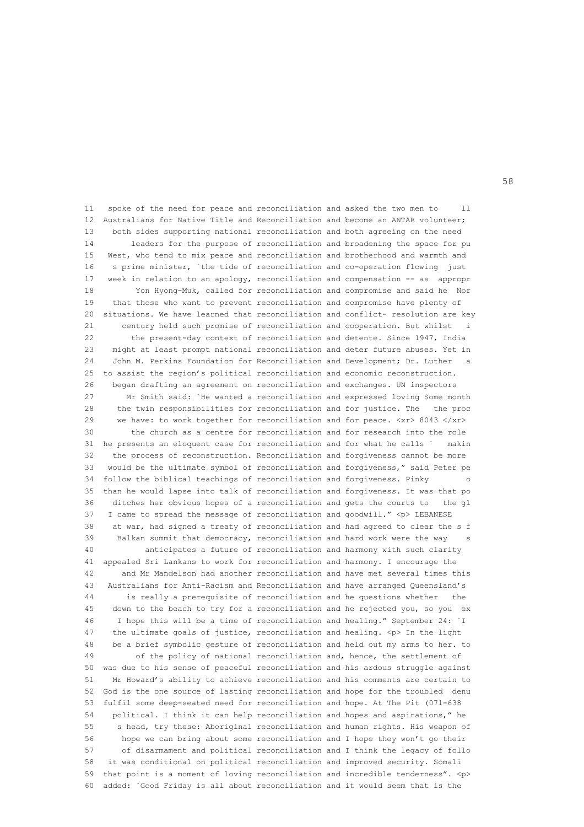11 spoke of the need for peace and reconciliation and asked the two men to ll 12 Australians for Native Title and Reconciliation and become an ANTAR volunteer; 13 both sides supporting national reconciliation and both agreeing on the need 14 leaders for the purpose of reconciliation and broadening the space for pu 15 West, who tend to mix peace and reconciliation and brotherhood and warmth and 16 s prime minister, `the tide of reconciliation and co-operation flowing just 17 week in relation to an apology, reconciliation and compensation -- as appropr 18 Yon Hyong-Muk, called for reconciliation and compromise and said he Nor 19 that those who want to prevent reconciliation and compromise have plenty of 20 situations. We have learned that reconciliation and conflict- resolution are key 21 century held such promise of reconciliation and cooperation. But whilst i 22 the present-day context of reconciliation and detente. Since 1947, India 23 might at least prompt national reconciliation and deter future abuses. Yet in 24 John M. Perkins Foundation for Reconciliation and Development; Dr. Luther 25 to assist the region's political reconciliation and economic reconstruction. 26 began drafting an agreement on reconciliation and exchanges. UN inspectors 27 Mr Smith said: `He wanted a reconciliation and expressed loving Some month 28 the twin responsibilities for reconciliation and for justice. The the proc 29 we have: to work together for reconciliation and for peace. <xr> 8043 </xr> 30 the church as a centre for reconciliation and for research into the role 31 he presents an eloquent case for reconciliation and for what he calls ` makin 32 the process of reconstruction. Reconciliation and forgiveness cannot be more 33 would be the ultimate symbol of reconciliation and forgiveness," said Peter pe 34 follow the biblical teachings of reconciliation and forgiveness. Pinky 35 than he would lapse into talk of reconciliation and forgiveness. It was that po 36 ditches her obvious hopes of a reconciliation and gets the courts to the gl 37 I came to spread the message of reconciliation and goodwill." <p>LEBANESE 38 at war, had signed a treaty of reconciliation and had agreed to clear the s f 39 Balkan summit that democracy, reconciliation and hard work were the way s 40 anticipates a future of reconciliation and harmony with such clarity 41 appealed Sri Lankans to work for reconciliation and harmony. I encourage the 42 and Mr Mandelson had another reconciliation and have met several times this 43 Australians for Anti-Racism and Reconciliation and have arranged Queensland's 44 is really a prerequisite of reconciliation and he questions whether the 45 down to the beach to try for a reconciliation and he rejected you, so you ex 46 I hope this will be a time of reconciliation and healing." September 24: `I 47 the ultimate goals of justice, reconciliation and healing. <p> In the light 48 be a brief symbolic gesture of reconciliation and held out my arms to her. to 49 of the policy of national reconciliation and, hence, the settlement of 50 was due to his sense of peaceful reconciliation and his ardous struggle against 51 Mr Howard's ability to achieve reconciliation and his comments are certain to 52 God is the one source of lasting reconciliation and hope for the troubled denu 53 fulfil some deep-seated need for reconciliation and hope. At The Pit (071-638 54 political. I think it can help reconciliation and hopes and aspirations," he 55 s head, try these: Aboriginal reconciliation and human rights. His weapon of 56 hope we can bring about some reconciliation and I hope they won't go their 57 of disarmament and political reconciliation and I think the legacy of follo 58 it was conditional on political reconciliation and improved security. Somali 59 that point is a moment of loving reconciliation and incredible tenderness". <p> 60 added: `Good Friday is all about reconciliation and it would seem that is the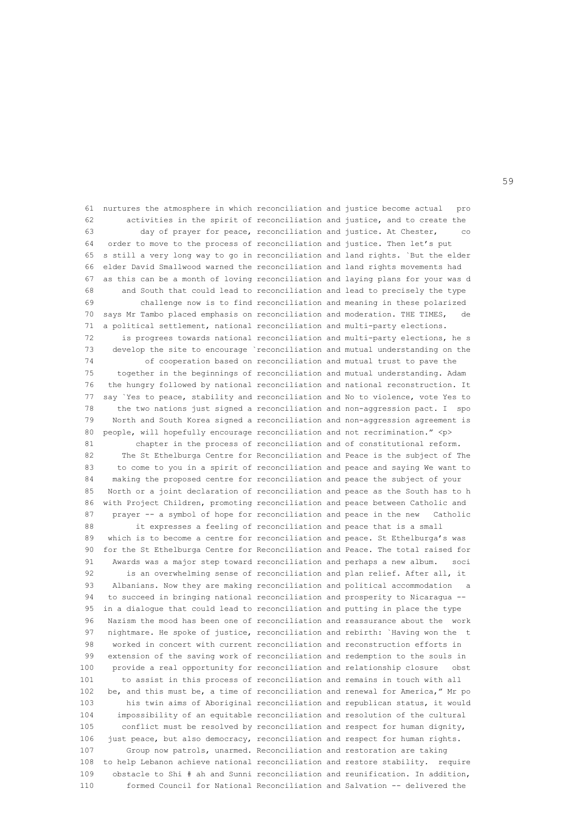61 nurtures the atmosphere in which reconciliation and justice become actual pro 62 activities in the spirit of reconciliation and justice, and to create the 63 day of prayer for peace, reconciliation and justice. At Chester, co 64 order to move to the process of reconciliation and justice. Then let's put 65 s still a very long way to go in reconciliation and land rights. `But the elder 66 elder David Smallwood warned the reconciliation and land rights movements had 67 as this can be a month of loving reconciliation and laying plans for your was d 68 and South that could lead to reconciliation and lead to precisely the type 69 challenge now is to find reconciliation and meaning in these polarized 70 says Mr Tambo placed emphasis on reconciliation and moderation. THE TIMES, 71 a political settlement, national reconciliation and multi-party elections. 72 is progrees towards national reconciliation and multi-party elections, he s 73 develop the site to encourage `reconciliation and mutual understanding on the 74 of cooperation based on reconciliation and mutual trust to pave the 75 together in the beginnings of reconciliation and mutual understanding. Adam 76 the hungry followed by national reconciliation and national reconstruction. It 77 say `Yes to peace, stability and reconciliation and No to violence, vote Yes to 78 the two nations just signed a reconciliation and non-aggression pact. I spo 79 North and South Korea signed a reconciliation and non-aggression agreement is 80 people, will hopefully encourage reconciliation and not recrimination." <p> 81 chapter in the process of reconciliation and of constitutional reform. 82 The St Ethelburga Centre for Reconciliation and Peace is the subject of The 83 to come to you in a spirit of reconciliation and peace and saying We want to 84 making the proposed centre for reconciliation and peace the subject of your 85 North or a joint declaration of reconciliation and peace as the South has to h 86 with Project Children, promoting reconciliation and peace between Catholic and 87 prayer -- a symbol of hope for reconciliation and peace in the new Catholic 88 it expresses a feeling of reconciliation and peace that is a small 89 which is to become a centre for reconciliation and peace. St Ethelburga's was 90 for the St Ethelburga Centre for Reconciliation and Peace. The total raised for 91 Awards was a major step toward reconciliation and perhaps a new album. soci 92 is an overwhelming sense of reconciliation and plan relief. After all, it 93 Albanians. Now they are making reconciliation and political accommodation a 94 to succeed in bringing national reconciliation and prosperity to Nicaragua -- 95 in a dialogue that could lead to reconciliation and putting in place the type 96 Nazism the mood has been one of reconciliation and reassurance about the work 97 nightmare. He spoke of justice, reconciliation and rebirth: `Having won the t 98 worked in concert with current reconciliation and reconstruction efforts in 99 extension of the saving work of reconciliation and redemption to the souls in 100 provide a real opportunity for reconciliation and relationship closure obst 101 to assist in this process of reconciliation and remains in touch with all 102 be, and this must be, a time of reconciliation and renewal for America," Mr po 103 his twin aims of Aboriginal reconciliation and republican status, it would 104 impossibility of an equitable reconciliation and resolution of the cultural 105 conflict must be resolved by reconciliation and respect for human dignity, 106 just peace, but also democracy, reconciliation and respect for human rights. 107 Group now patrols, unarmed. Reconciliation and restoration are taking 108 to help Lebanon achieve national reconciliation and restore stability. require 109 obstacle to Shi # ah and Sunni reconciliation and reunification. In addition, 110 formed Council for National Reconciliation and Salvation -- delivered the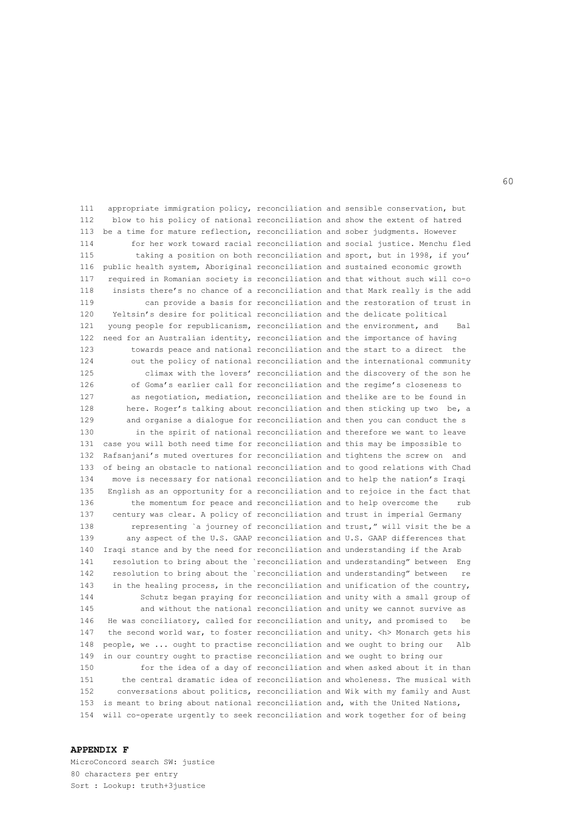111 appropriate immigration policy, reconciliation and sensible conservation, but 112 blow to his policy of national reconciliation and show the extent of hatred 113 be a time for mature reflection, reconciliation and sober judgments. However 114 for her work toward racial reconciliation and social justice. Menchu fled 115 taking a position on both reconciliation and sport, but in 1998, if you' 116 public health system, Aboriginal reconciliation and sustained economic growth 117 required in Romanian society is reconciliation and that without such will co-o 118 insists there's no chance of a reconciliation and that Mark really is the add 119 can provide a basis for reconciliation and the restoration of trust in 120 Yeltsin's desire for political reconciliation and the delicate political 121 young people for republicanism, reconciliation and the environment, and Bal 122 need for an Australian identity, reconciliation and the importance of having 123 towards peace and national reconciliation and the start to a direct the 124 out the policy of national reconciliation and the international community 125 climax with the lovers' reconciliation and the discovery of the son he 126 of Goma's earlier call for reconciliation and the regime's closeness to 127 as negotiation, mediation, reconciliation and thelike are to be found in 128 here. Roger's talking about reconciliation and then sticking up two be, a 129 and organise a dialogue for reconciliation and then you can conduct the s 130 in the spirit of national reconciliation and therefore we want to leave 131 case you will both need time for reconciliation and this may be impossible to 132 Rafsanjani's muted overtures for reconciliation and tightens the screw on and 133 of being an obstacle to national reconciliation and to good relations with Chad 134 move is necessary for national reconciliation and to help the nation's Iraqi 135 English as an opportunity for a reconciliation and to rejoice in the fact that 136 the momentum for peace and reconciliation and to help overcome the rub 137 century was clear. A policy of reconciliation and trust in imperial Germany 138 representing `a journey of reconciliation and trust," will visit the be a 139 any aspect of the U.S. GAAP reconciliation and U.S. GAAP differences that 140 Iraqi stance and by the need for reconciliation and understanding if the Arab 141 resolution to bring about the `reconciliation and understanding" between Eng 142 resolution to bring about the `reconciliation and understanding" between re 143 in the healing process, in the reconciliation and unification of the country, 144 Schutz began praying for reconciliation and unity with a small group of 145 and without the national reconciliation and unity we cannot survive as 146 He was conciliatory, called for reconciliation and unity, and promised to be 147 the second world war, to foster reconciliation and unity. <h> Monarch gets his 148 people, we ... ought to practise reconciliation and we ought to bring our Alb 149 in our country ought to practise reconciliation and we ought to bring our 150 for the idea of a day of reconciliation and when asked about it in than 151 the central dramatic idea of reconciliation and wholeness. The musical with 152 conversations about politics, reconciliation and Wik with my family and Aust 153 is meant to bring about national reconciliation and, with the United Nations, 154 will co-operate urgently to seek reconciliation and work together for of being

# **APPENDIX F**

MicroConcord search SW: justice 80 characters per entry Sort : Lookup: truth+3justice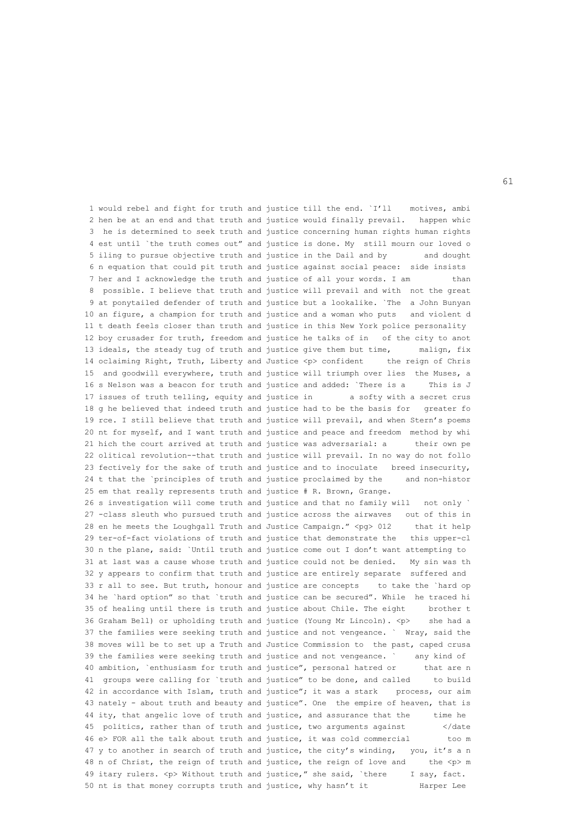1 would rebel and fight for truth and justice till the end. `I'll motives, ambi 2 hen be at an end and that truth and justice would finally prevail. happen whic 3 he is determined to seek truth and justice concerning human rights human rights 4 est until `the truth comes out" and justice is done. My still mourn our loved o 5 iling to pursue objective truth and justice in the Dail and by and dought 6 n equation that could pit truth and justice against social peace: side insists 7 her and I acknowledge the truth and justice of all your words. I am than 8 possible. I believe that truth and justice will prevail and with not the great 9 at ponytailed defender of truth and justice but a lookalike. `The a John Bunyan 10 an figure, a champion for truth and justice and a woman who puts and violent d 11 t death feels closer than truth and justice in this New York police personality 12 boy crusader for truth, freedom and justice he talks of in of the city to anot 13 ideals, the steady tug of truth and justice give them but time, malign, fix 14 oclaiming Right, Truth, Liberty and Justice <p> confident the reign of Chris 15 and goodwill everywhere, truth and justice will triumph over lies the Muses, a 16 s Nelson was a beacon for truth and justice and added: `There is a This is J 17 issues of truth telling, equity and justice in a softy with a secret crus 18 g he believed that indeed truth and justice had to be the basis for greater fo 19 rce. I still believe that truth and justice will prevail, and when Stern's poems 20 nt for myself, and I want truth and justice and peace and freedom method by whi 21 hich the court arrived at truth and justice was adversarial: a their own pe 22 olitical revolution--that truth and justice will prevail. In no way do not follo 23 fectively for the sake of truth and justice and to inoculate breed insecurity, 24 t that the `principles of truth and justice proclaimed by the and non-histor 25 em that really represents truth and justice # R. Brown, Grange. 26 s investigation will come truth and justice and that no family will not only ` 27 -class sleuth who pursued truth and justice across the airwaves out of this in 28 en he meets the Loughgall Truth and Justice Campaign." <pg> 012 that it help 29 ter-of-fact violations of truth and justice that demonstrate the this upper-cl 30 n the plane, said: `Until truth and justice come out I don't want attempting to 31 at last was a cause whose truth and justice could not be denied. My sin was th 32 y appears to confirm that truth and justice are entirely separate suffered and 33 r all to see. But truth, honour and justice are concepts to take the `hard op 34 he `hard option" so that `truth and justice can be secured". While he traced hi 35 of healing until there is truth and justice about Chile. The eight brother t 36 Graham Bell) or upholding truth and justice (Young Mr Lincoln). <p> she had a 37 the families were seeking truth and justice and not vengeance. ` Wray, said the 38 moves will be to set up a Truth and Justice Commission to the past, caped crusa 39 the families were seeking truth and justice and not vengeance. ` any kind of 40 ambition, `enthusiasm for truth and justice", personal hatred or that are n 41 groups were calling for `truth and justice" to be done, and called to build 42 in accordance with Islam, truth and justice"; it was a stark process, our aim 43 nately - about truth and beauty and justice". One the empire of heaven, that is 44 ity, that angelic love of truth and justice, and assurance that the time he 45 politics, rather than of truth and justice, two arguments against </date 46 e> FOR all the talk about truth and justice, it was cold commercial too m 47 y to another in search of truth and justice, the city's winding, you, it's a n 48 n of Christ, the reign of truth and justice, the reign of love and the <p> m 49 itary rulers. <p> Without truth and justice," she said, `there I say, fact. 50 nt is that money corrupts truth and justice, why hasn't it Harper Lee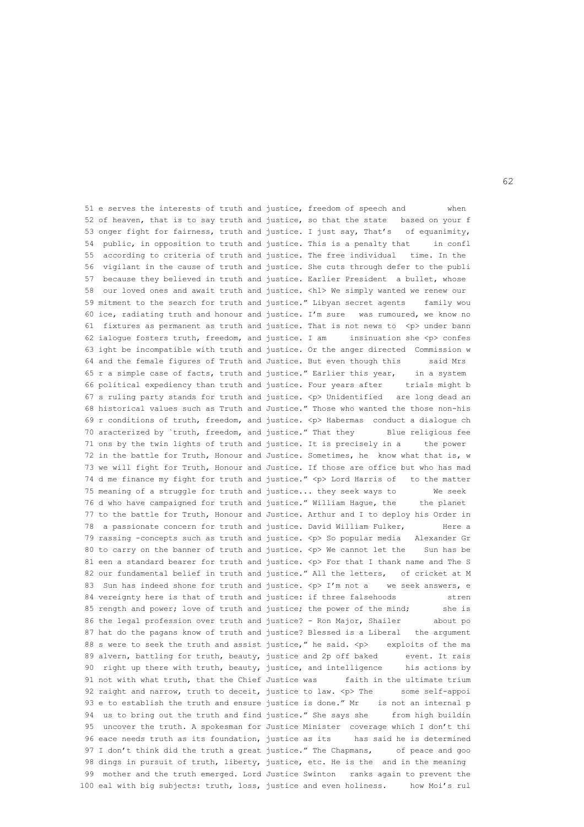51 e serves the interests of truth and justice, freedom of speech and when 52 of heaven, that is to say truth and justice, so that the state based on your f 53 onger fight for fairness, truth and justice. I just say, That's of equanimity, 54 public, in opposition to truth and justice. This is a penalty that in confl 55 according to criteria of truth and justice. The free individual time. In the 56 vigilant in the cause of truth and justice. She cuts through defer to the publi 57 because they believed in truth and justice. Earlier President a bullet, whose 58 our loved ones and await truth and justice. <hl> We simply wanted we renew our 59 mitment to the search for truth and justice." Libyan secret agents family wou 60 ice, radiating truth and honour and justice. I'm sure was rumoured, we know no 61 fixtures as permanent as truth and justice. That is not news to  $\langle p \rangle$  under bann 62 ialogue fosters truth, freedom, and justice. I am insinuation she  $\langle p \rangle$  confes 63 ight be incompatible with truth and justice. Or the anger directed Commission w 64 and the female figures of Truth and Justice. But even though this said Mrs 65 r a simple case of facts, truth and justice." Earlier this year, in a system 66 political expediency than truth and justice. Four years after trials might b 67 s ruling party stands for truth and justice. <p> Unidentified are long dead an 68 historical values such as Truth and Justice." Those who wanted the those non-his 69 r conditions of truth, freedom, and justice. <p> Habermas conduct a dialogue ch 70 aracterized by `truth, freedom, and justice." That they Blue religious fee 71 ons by the twin lights of truth and justice. It is precisely in a the power 72 in the battle for Truth, Honour and Justice. Sometimes, he know what that is, w 73 we will fight for Truth, Honour and Justice. If those are office but who has mad 74 d me finance my fight for truth and justice." <p> Lord Harris of to the matter 75 meaning of a struggle for truth and justice... they seek ways to We seek 76 d who have campaigned for truth and justice." William Hague, the the planet 77 to the battle for Truth, Honour and Justice. Arthur and I to deploy his Order in 78 a passionate concern for truth and justice. David William Fulker, Here a 79 rassing -concepts such as truth and justice. <p> So popular media Alexander Gr 80 to carry on the banner of truth and justice. <p> We cannot let the Sun has be 81 een a standard bearer for truth and justice. <p> For that I thank name and The S 82 our fundamental belief in truth and justice." All the letters, of cricket at M 83 Sun has indeed shone for truth and justice. <p> I'm not a we seek answers, e 84 vereignty here is that of truth and justice: if three falsehoods stren 85 rength and power; love of truth and justice; the power of the mind; she is 86 the legal profession over truth and justice? - Ron Major, Shailer about po 87 hat do the pagans know of truth and justice? Blessed is a Liberal the argument 88 s were to seek the truth and assist justice," he said.  $\langle p \rangle$  exploits of the ma 89 alvern, battling for truth, beauty, justice and 2p off baked event. It rais 90 right up there with truth, beauty, justice, and intelligence his actions by 91 not with what truth, that the Chief Justice was faith in the ultimate trium 92 raight and narrow, truth to deceit, justice to law. <p> The some self-appoi 93 e to establish the truth and ensure justice is done." Mr is not an internal p 94 us to bring out the truth and find justice." She says she from high buildin 95 uncover the truth. A spokesman for Justice Minister coverage which I don't thi 96 eace needs truth as its foundation, justice as its has said he is determined 97 I don't think did the truth a great justice." The Chapmans, of peace and goo 98 dings in pursuit of truth, liberty, justice, etc. He is the and in the meaning 99 mother and the truth emerged. Lord Justice Swinton ranks again to prevent the 100 eal with big subjects: truth, loss, justice and even holiness. how Moi's rul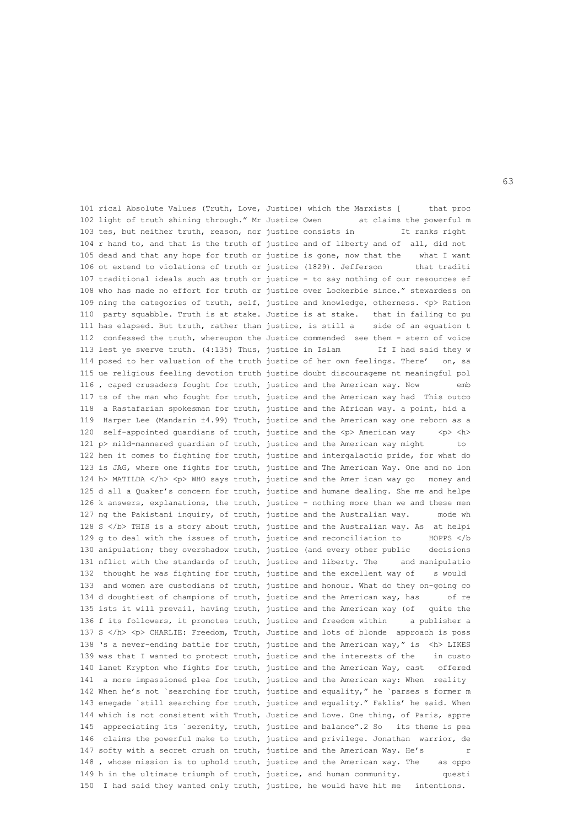101 rical Absolute Values (Truth, Love, Justice) which the Marxists [ that proc 102 light of truth shining through." Mr Justice Owen at claims the powerful m 103 tes, but neither truth, reason, nor justice consists in It ranks right 104 r hand to, and that is the truth of justice and of liberty and of all, did not 105 dead and that any hope for truth or justice is gone, now that the what I want 106 ot extend to violations of truth or justice (1829). Jefferson that traditi 107 traditional ideals such as truth or justice - to say nothing of our resources ef 108 who has made no effort for truth or justice over Lockerbie since." stewardess on 109 ning the categories of truth, self, justice and knowledge, otherness. <p> Ration 110 party squabble. Truth is at stake. Justice is at stake. that in failing to pu 111 has elapsed. But truth, rather than justice, is still a side of an equation t 112 confessed the truth, whereupon the Justice commended see them - stern of voice 113 lest ye swerve truth. (4:135) Thus, justice in Islam If I had said they w 114 posed to her valuation of the truth justice of her own feelings. There' on, sa 115 ue religious feeling devotion truth justice doubt discourageme nt meaningful pol 116 , caped crusaders fought for truth, justice and the American way. Now emb 117 ts of the man who fought for truth, justice and the American way had This outco 118 a Rastafarian spokesman for truth, justice and the African way. a point, hid a 119 Harper Lee (Mandarin ±4.99) Truth, justice and the American way one reborn as a 120 self-appointed guardians of truth, justice and the  $2$  American way  $p < p < h$ 121 p> mild-mannered quardian of truth, justice and the American way might to 122 hen it comes to fighting for truth, justice and intergalactic pride, for what do 123 is JAG, where one fights for truth, justice and The American Way. One and no lon 124 h> MATILDA  $\langle h \rangle$   $\langle p \rangle$  WHO says truth, justice and the Amer ican way go money and 125 d all a Quaker's concern for truth, justice and humane dealing. She me and helpe 126 k answers, explanations, the truth, justice - nothing more than we and these men 127 ng the Pakistani inquiry, of truth, justice and the Australian way. mode wh 128 S </b> THIS is a story about truth, justice and the Australian way. As at helpi 129 g to deal with the issues of truth, justice and reconciliation to HOPPS </b 130 anipulation; they overshadow truth, justice (and every other public decisions 131 nflict with the standards of truth, justice and liberty. The and manipulatio 132 thought he was fighting for truth, justice and the excellent way of s would 133 and women are custodians of truth, justice and honour. What do they on-going co 134 d doughtiest of champions of truth, justice and the American way, has of re 135 ists it will prevail, having truth, justice and the American way (of quite the 136 f its followers, it promotes truth, justice and freedom within a publisher a 137 S </h> <p> CHARLIE: Freedom, Truth, Justice and lots of blonde approach is poss 138 's a never-ending battle for truth, justice and the American way," is <h> LIKES 139 was that I wanted to protect truth, justice and the interests of the in custo 140 lanet Krypton who fights for truth, justice and the American Way, cast offered 141 a more impassioned plea for truth, justice and the American way: When reality 142 When he's not `searching for truth, justice and equality," he `parses s former m 143 enegade `still searching for truth, justice and equality." Faklis' he said. When 144 which is not consistent with Truth, Justice and Love. One thing, of Paris, appre 145 appreciating its `serenity, truth, justice and balance".2 So its theme is pea 146 claims the powerful make to truth, justice and privilege. Jonathan warrior, de 147 softy with a secret crush on truth, justice and the American Way. He's r 148 , whose mission is to uphold truth, justice and the American way. The as oppo 149 h in the ultimate triumph of truth, justice, and human community. questi 150 I had said they wanted only truth, justice, he would have hit me intentions.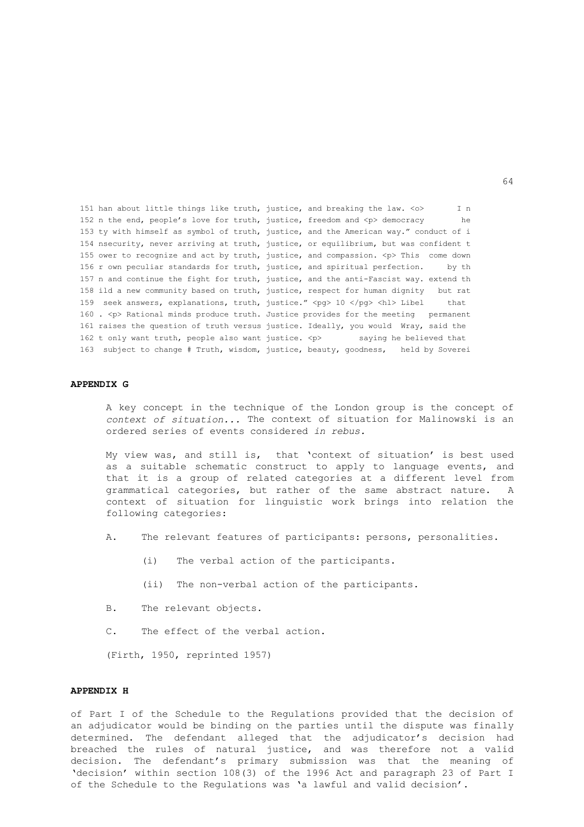151 han about little things like truth, justice, and breaking the law. <o> I n 152 n the end, people's love for truth, justice, freedom and <p> democracy he 153 ty with himself as symbol of truth, justice, and the American way." conduct of i 154 nsecurity, never arriving at truth, justice, or equilibrium, but was confident t 155 ower to recognize and act by truth, justice, and compassion. <p> This come down 156 r own peculiar standards for truth, justice, and spiritual perfection. by th 157 n and continue the fight for truth, justice, and the anti-Fascist way. extend th 158 ild a new community based on truth, justice, respect for human dignity but rat 159 seek answers, explanations, truth, justice." <pg> 10 </pg> <hl> Libel that 160 . <p> Rational minds produce truth. Justice provides for the meeting permanent 161 raises the question of truth versus justice. Ideally, you would Wray, said the 162 t only want truth, people also want justice.  $\langle p \rangle$  saying he believed that 163 subject to change # Truth, wisdom, justice, beauty, goodness, held by Soverei

# **APPENDIX G**

 A key concept in the technique of the London group is the concept of *context of situation...* The context of situation for Malinowski is an ordered series of events considered *in rebus.*

 My view was, and still is, that 'context of situation' is best used as a suitable schematic construct to apply to language events, and that it is a group of related categories at a different level from grammatical categories, but rather of the same abstract nature. A context of situation for linguistic work brings into relation the following categories:

- A. The relevant features of participants: persons, personalities.
	- (i) The verbal action of the participants.
	- (ii) The non-verbal action of the participants.
- B. The relevant objects.
- C. The effect of the verbal action.

(Firth, 1950, reprinted 1957)

# **APPENDIX H**

of Part I of the Schedule to the Regulations provided that the decision of an adjudicator would be binding on the parties until the dispute was finally determined. The defendant alleged that the adjudicator's decision had breached the rules of natural justice, and was therefore not a valid decision. The defendant's primary submission was that the meaning of 'decision' within section 108(3) of the 1996 Act and paragraph 23 of Part I of the Schedule to the Regulations was 'a lawful and valid decision'.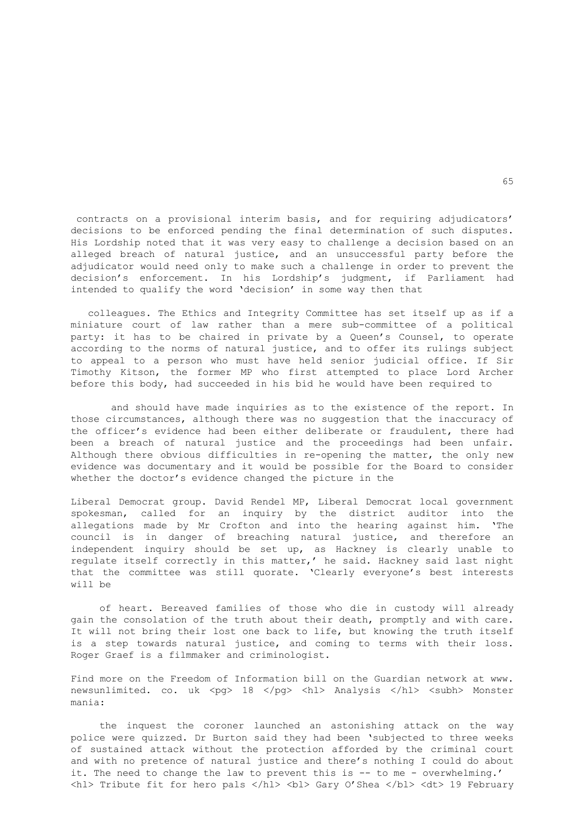contracts on a provisional interim basis, and for requiring adjudicators' decisions to be enforced pending the final determination of such disputes. His Lordship noted that it was very easy to challenge a decision based on an alleged breach of natural justice, and an unsuccessful party before the adjudicator would need only to make such a challenge in order to prevent the decision's enforcement. In his Lordship's judgment, if Parliament had intended to qualify the word 'decision' in some way then that

 colleagues. The Ethics and Integrity Committee has set itself up as if a miniature court of law rather than a mere sub-committee of a political party: it has to be chaired in private by a Queen's Counsel, to operate according to the norms of natural justice, and to offer its rulings subject to appeal to a person who must have held senior judicial office. If Sir Timothy Kitson, the former MP who first attempted to place Lord Archer before this body, had succeeded in his bid he would have been required to

 and should have made inquiries as to the existence of the report. In those circumstances, although there was no suggestion that the inaccuracy of the officer's evidence had been either deliberate or fraudulent, there had been a breach of natural justice and the proceedings had been unfair. Although there obvious difficulties in re-opening the matter, the only new evidence was documentary and it would be possible for the Board to consider whether the doctor's evidence changed the picture in the

Liberal Democrat group. David Rendel MP, Liberal Democrat local government spokesman, called for an inquiry by the district auditor into the allegations made by Mr Crofton and into the hearing against him. 'The council is in danger of breaching natural justice, and therefore an independent inquiry should be set up, as Hackney is clearly unable to regulate itself correctly in this matter,' he said. Hackney said last night that the committee was still quorate. 'Clearly everyone's best interests will be

 of heart. Bereaved families of those who die in custody will already gain the consolation of the truth about their death, promptly and with care. It will not bring their lost one back to life, but knowing the truth itself is a step towards natural justice, and coming to terms with their loss. Roger Graef is a filmmaker and criminologist.

Find more on the Freedom of Information bill on the Guardian network at www. newsunlimited. co. uk <pg> 18 </pg> <hl> Analysis </hl> <subh> Monster mania:

 the inquest the coroner launched an astonishing attack on the way police were quizzed. Dr Burton said they had been 'subjected to three weeks of sustained attack without the protection afforded by the criminal court and with no pretence of natural justice and there's nothing I could do about it. The need to change the law to prevent this is -- to me - overwhelming.' <hl> Tribute fit for hero pals </hl> <bl> Gary O'Shea </bl> <dt> 19 February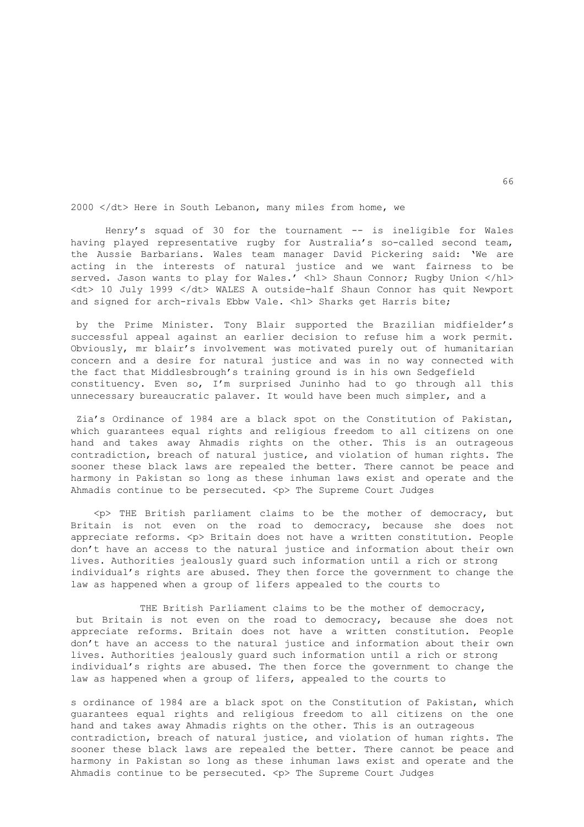2000 </dt> Here in South Lebanon, many miles from home, we

Henry's squad of 30 for the tournament -- is ineligible for Wales having played representative rugby for Australia's so-called second team, the Aussie Barbarians. Wales team manager David Pickering said: 'We are acting in the interests of natural justice and we want fairness to be served. Jason wants to play for Wales.' <hl> Shaun Connor; Rugby Union </hl> <dt> 10 July 1999 </dt> WALES A outside-half Shaun Connor has quit Newport and signed for arch-rivals Ebbw Vale. <hl> Sharks get Harris bite;

 by the Prime Minister. Tony Blair supported the Brazilian midfielder's successful appeal against an earlier decision to refuse him a work permit. Obviously, mr blair's involvement was motivated purely out of humanitarian concern and a desire for natural justice and was in no way connected with the fact that Middlesbrough's training ground is in his own Sedgefield constituency. Even so, I'm surprised Juninho had to go through all this unnecessary bureaucratic palaver. It would have been much simpler, and a

Zia's Ordinance of 1984 are a black spot on the Constitution of Pakistan, which guarantees equal rights and religious freedom to all citizens on one hand and takes away Ahmadis rights on the other. This is an outrageous contradiction, breach of natural justice, and violation of human rights. The sooner these black laws are repealed the better. There cannot be peace and harmony in Pakistan so long as these inhuman laws exist and operate and the Ahmadis continue to be persecuted. <p> The Supreme Court Judges

 <p> THE British parliament claims to be the mother of democracy, but Britain is not even on the road to democracy, because she does not appreciate reforms. <p> Britain does not have a written constitution. People don't have an access to the natural justice and information about their own lives. Authorities jealously guard such information until a rich or strong individual's rights are abused. They then force the government to change the law as happened when a group of lifers appealed to the courts to

THE British Parliament claims to be the mother of democracy, but Britain is not even on the road to democracy, because she does not appreciate reforms. Britain does not have a written constitution. People don't have an access to the natural justice and information about their own lives. Authorities jealously guard such information until a rich or strong individual's rights are abused. The then force the government to change the law as happened when a group of lifers, appealed to the courts to

s ordinance of 1984 are a black spot on the Constitution of Pakistan, which guarantees equal rights and religious freedom to all citizens on the one hand and takes away Ahmadis rights on the other. This is an outrageous contradiction, breach of natural justice, and violation of human rights. The sooner these black laws are repealed the better. There cannot be peace and harmony in Pakistan so long as these inhuman laws exist and operate and the Ahmadis continue to be persecuted. <p> The Supreme Court Judges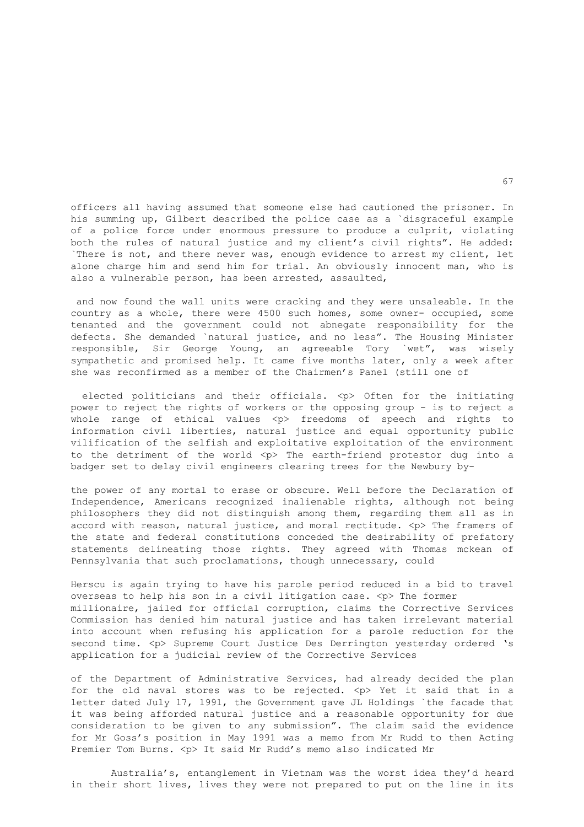officers all having assumed that someone else had cautioned the prisoner. In his summing up, Gilbert described the police case as a `disgraceful example of a police force under enormous pressure to produce a culprit, violating both the rules of natural justice and my client's civil rights". He added: `There is not, and there never was, enough evidence to arrest my client, let alone charge him and send him for trial. An obviously innocent man, who is also a vulnerable person, has been arrested, assaulted,

 and now found the wall units were cracking and they were unsaleable. In the country as a whole, there were 4500 such homes, some owner- occupied, some tenanted and the government could not abnegate responsibility for the defects. She demanded `natural justice, and no less". The Housing Minister responsible, Sir George Young, an agreeable Tory `wet", was wisely sympathetic and promised help. It came five months later, only a week after she was reconfirmed as a member of the Chairmen's Panel (still one of

elected politicians and their officials. <p> Often for the initiating power to reject the rights of workers or the opposing group - is to reject a whole range of ethical values <p> freedoms of speech and rights to information civil liberties, natural justice and equal opportunity public vilification of the selfish and exploitative exploitation of the environment to the detriment of the world <p> The earth-friend protestor dug into a badger set to delay civil engineers clearing trees for the Newbury by-

the power of any mortal to erase or obscure. Well before the Declaration of Independence, Americans recognized inalienable rights, although not being philosophers they did not distinguish among them, regarding them all as in accord with reason, natural justice, and moral rectitude. <p> The framers of the state and federal constitutions conceded the desirability of prefatory statements delineating those rights. They agreed with Thomas mckean of Pennsylvania that such proclamations, though unnecessary, could

Herscu is again trying to have his parole period reduced in a bid to travel overseas to help his son in a civil litigation case. <p> The former millionaire, jailed for official corruption, claims the Corrective Services Commission has denied him natural justice and has taken irrelevant material into account when refusing his application for a parole reduction for the second time. <p> Supreme Court Justice Des Derrington yesterday ordered 's application for a judicial review of the Corrective Services

of the Department of Administrative Services, had already decided the plan for the old naval stores was to be rejected.  $\langle p \rangle$  Yet it said that in a letter dated July 17, 1991, the Government gave JL Holdings `the facade that it was being afforded natural justice and a reasonable opportunity for due consideration to be given to any submission". The claim said the evidence for Mr Goss's position in May 1991 was a memo from Mr Rudd to then Acting Premier Tom Burns. <p> It said Mr Rudd's memo also indicated Mr

 Australia's, entanglement in Vietnam was the worst idea they'd heard in their short lives, lives they were not prepared to put on the line in its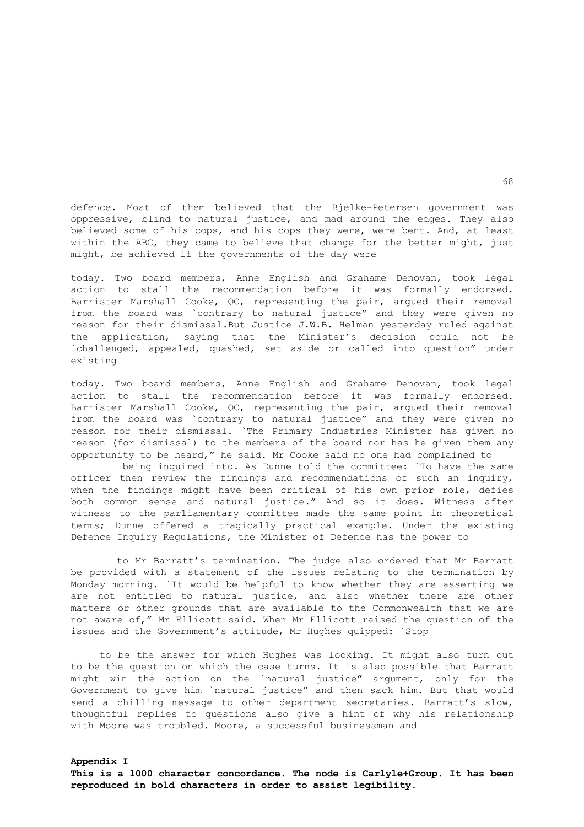defence. Most of them believed that the Bjelke-Petersen government was oppressive, blind to natural justice, and mad around the edges. They also believed some of his cops, and his cops they were, were bent. And, at least within the ABC, they came to believe that change for the better might, just might, be achieved if the governments of the day were

today. Two board members, Anne English and Grahame Denovan, took legal action to stall the recommendation before it was formally endorsed. Barrister Marshall Cooke, QC, representing the pair, argued their removal from the board was `contrary to natural justice" and they were given no reason for their dismissal.But Justice J.W.B. Helman yesterday ruled against the application, saying that the Minister's decision could not be `challenged, appealed, quashed, set aside or called into question" under existing

today. Two board members, Anne English and Grahame Denovan, took legal action to stall the recommendation before it was formally endorsed. Barrister Marshall Cooke, QC, representing the pair, argued their removal from the board was `contrary to natural justice" and they were given no reason for their dismissal. `The Primary Industries Minister has given no reason (for dismissal) to the members of the board nor has he given them any opportunity to be heard," he said. Mr Cooke said no one had complained to

 being inquired into. As Dunne told the committee: `To have the same officer then review the findings and recommendations of such an inquiry, when the findings might have been critical of his own prior role, defies both common sense and natural justice." And so it does. Witness after witness to the parliamentary committee made the same point in theoretical terms; Dunne offered a tragically practical example. Under the existing Defence Inquiry Regulations, the Minister of Defence has the power to

 to Mr Barratt's termination. The judge also ordered that Mr Barratt be provided with a statement of the issues relating to the termination by Monday morning. `It would be helpful to know whether they are asserting we are not entitled to natural justice, and also whether there are other matters or other grounds that are available to the Commonwealth that we are not aware of," Mr Ellicott said. When Mr Ellicott raised the question of the issues and the Government's attitude, Mr Hughes quipped: `Stop

 to be the answer for which Hughes was looking. It might also turn out to be the question on which the case turns. It is also possible that Barratt might win the action on the `natural justice" argument, only for the Government to give him `natural justice" and then sack him. But that would send a chilling message to other department secretaries. Barratt's slow, thoughtful replies to questions also give a hint of why his relationship with Moore was troubled. Moore, a successful businessman and

**Appendix I** 

**This is a 1000 character concordance. The node is Carlyle+Group. It has been reproduced in bold characters in order to assist legibility.**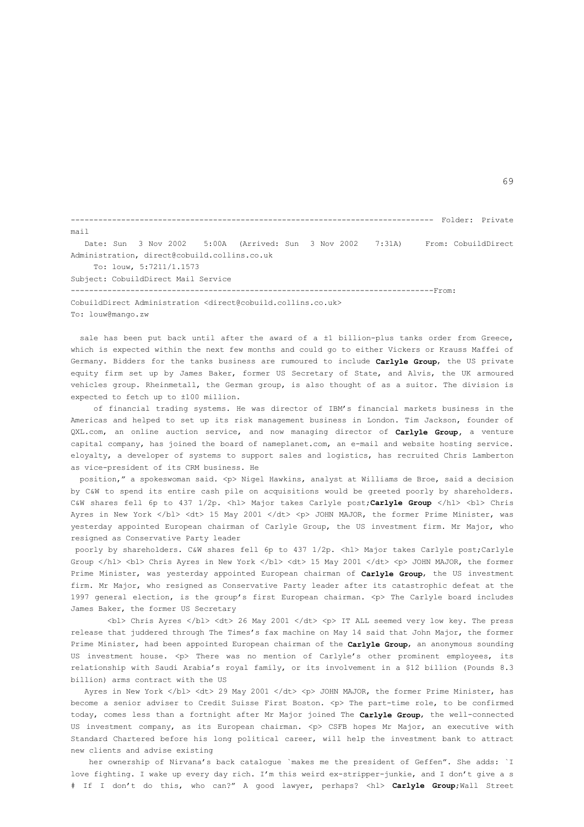------------------------------------------------------------------------------- Folder: Private mail Date: Sun 3 Nov 2002 5:00A (Arrived: Sun 3 Nov 2002 7:31A) From: CobuildDirect Administration, direct@cobuild.collins.co.uk To: louw, 5:7211/1.1573 Subject: CobuildDirect Mail Service -------------------------------------------------------------------------------From: CobuildDirect Administration <direct@cobuild.collins.co.uk>

To: louw@mango.zw

sale has been put back until after the award of a  $\pm 1$  billion-plus tanks order from Greece, which is expected within the next few months and could go to either Vickers or Krauss Maffei of Germany. Bidders for the tanks business are rumoured to include **Carlyle Group**, the US private equity firm set up by James Baker, former US Secretary of State, and Alvis, the UK armoured vehicles group. Rheinmetall, the German group, is also thought of as a suitor. The division is expected to fetch up to ±100 million.

 of financial trading systems. He was director of IBM's financial markets business in the Americas and helped to set up its risk management business in London. Tim Jackson, founder of QXL.com, an online auction service, and now managing director of **Carlyle Group,** a venture capital company, has joined the board of nameplanet.com, an e-mail and website hosting service. eloyalty, a developer of systems to support sales and logistics, has recruited Chris Lamberton as vice-president of its CRM business. He

position," a spokeswoman said. <p> Nigel Hawkins, analyst at Williams de Broe, said a decision by C&W to spend its entire cash pile on acquisitions would be greeted poorly by shareholders. C&W shares fell 6p to 437 1/2p. <hl> Major takes Carlyle post;**Carlyle Group** </hl> <bl> Chris Ayres in New York </bl> <dt> 15 May 2001 </dt> <p> JOHN MAJOR, the former Prime Minister, was yesterday appointed European chairman of Carlyle Group, the US investment firm. Mr Major, who resigned as Conservative Party leader

poorly by shareholders. C&W shares fell 6p to 437 1/2p. <hl> Major takes Carlyle post;Carlyle Group </hl> <br/> <br/> Chris Ayres in New York </bl> <dt> 15 May 2001 </dt></>>> <p> JOHN MAJOR, the former Prime Minister, was yesterday appointed European chairman of **Carlyle Group**, the US investment firm. Mr Major, who resigned as Conservative Party leader after its catastrophic defeat at the 1997 general election, is the group's first European chairman. <p> The Carlyle board includes James Baker, the former US Secretary

 $\langle$ bl> Chris Ayres  $\langle$ /bl>  $\langle$ dt> 26 May 2001  $\langle$ /dt>  $\langle$ p> IT ALL seemed very low key. The press release that juddered through The Times's fax machine on May 14 said that John Major, the former Prime Minister, had been appointed European chairman of the **Carlyle Group**, an anonymous sounding US investment house. <p> There was no mention of Carlyle's other prominent employees, its relationship with Saudi Arabia's royal family, or its involvement in a \$12 billion (Pounds 8.3 billion) arms contract with the US

Ayres in New York </bl> <dt> 29 May 2001 </dt> <p> JOHN MAJOR, the former Prime Minister, has become a senior adviser to Credit Suisse First Boston. <p> The part-time role, to be confirmed today, comes less than a fortnight after Mr Major joined The **Carlyle Group**, the well-connected US investment company, as its European chairman. < p> CSFB hopes Mr Major, an executive with Standard Chartered before his long political career, will help the investment bank to attract new clients and advise existing

 her ownership of Nirvana's back catalogue `makes me the president of Geffen". She adds: `I love fighting. I wake up every day rich. I'm this weird ex-stripper-junkie, and I don't give a s # If I don't do this, who can?" A good lawyer, perhaps? <hl> **Carlyle Group**;Wall Street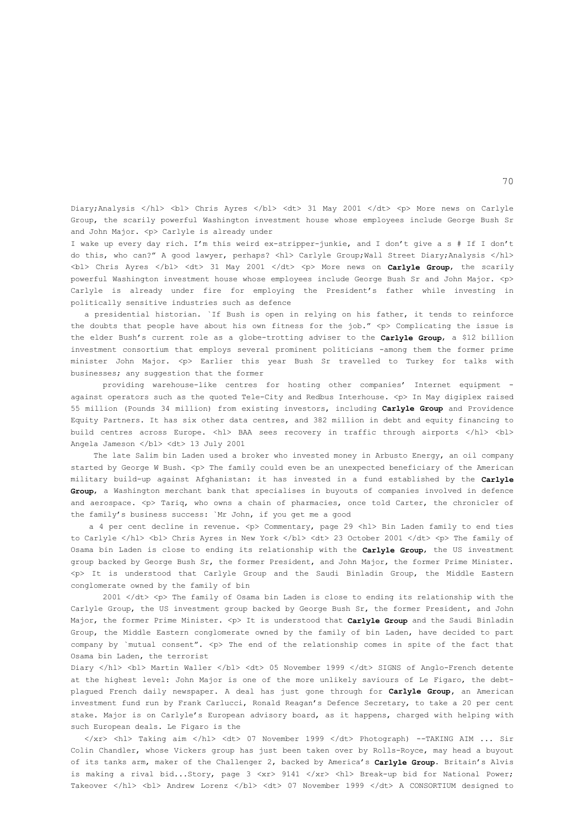Diary;Analysis </hl> <br/> <br/> <br/> Chris Ayres </bl> <dt> 31 May 2001 </dt> </dt> <</> <p> More news on Carlyle Group, the scarily powerful Washington investment house whose employees include George Bush Sr and John Major. < p> Carlyle is already under

I wake up every day rich. I'm this weird ex-stripper-junkie, and I don't give a s # If I don't do this, who can?" A good lawyer, perhaps? <hl> Carlyle Group;Wall Street Diary;Analysis </hl> <bl> Chris Ayres </bl> <dt> 31 May 2001 </dt> <p> More news on **Carlyle Group**, the scarily powerful Washington investment house whose employees include George Bush Sr and John Major. <p> Carlyle is already under fire for employing the President's father while investing in politically sensitive industries such as defence

 a presidential historian. `If Bush is open in relying on his father, it tends to reinforce the doubts that people have about his own fitness for the job."  $\langle p \rangle$  Complicating the issue is the elder Bush's current role as a globe-trotting adviser to the **Carlyle Group**, a \$12 billion investment consortium that employs several prominent politicians -among them the former prime minister John Major. <p> Earlier this year Bush Sr travelled to Turkey for talks with businesses; any suggestion that the former

 providing warehouse-like centres for hosting other companies' Internet equipment against operators such as the quoted Tele-City and Redbus Interhouse. <p> In May digiplex raised 55 million (Pounds 34 million) from existing investors, including **Carlyle Group** and Providence Equity Partners. It has six other data centres, and 382 million in debt and equity financing to build centres across Europe. <hl> BAA sees recovery in traffic through airports </hl> <bl> Angela Jameson </bl> <dt> 13 July 2001

 The late Salim bin Laden used a broker who invested money in Arbusto Energy, an oil company started by George W Bush. <p> The family could even be an unexpected beneficiary of the American military build-up against Afghanistan: it has invested in a fund established by the **Carlyle Group**, a Washington merchant bank that specialises in buyouts of companies involved in defence and aerospace.  $\n The x-axis is a point of the x-axis is a point of the x-axis. The x-axis is a point of the y-axis is a point of the y-axis. The x-axis is a point of the y-axis is a point of the y-axis. The x-axis is a point of the y-axis is a point of the y-axis. The x-axis is a point of the y-axis is a point of the y-axis. The x-axis is a point of the y-axis is a point of the y-axis. The x-axis is a point of the y-axis is a point of the y-axis. The x-axis is a point of the y-axis is a point of the y-axis. The x-axis is a point of the y-axis is a point of the y-axis. The x-axis is a point of the y-axis is a point of the y-axis. The x-axis is a point of the y-axis is a point of the y-axis. The x-axis$ the family's business success: `Mr John, if you get me a good

a 4 per cent decline in revenue. < p> Commentary, page 29 < hl> Bin Laden family to end ties to Carlyle </hl> <br/> <br/> <br/>Chris Ayres in New York </bl> <dt> <dt> 23 October 2001 </dt> </br></br>
</br>
</br>
</br>
</br>
</br>
</br>
</br>
to Carlyle </hl> </br>
</br>
</br>
</br>
</br>
</br>
</br>
</br>
</br>
</ Osama bin Laden is close to ending its relationship with the **Carlyle Group**, the US investment group backed by George Bush Sr, the former President, and John Major, the former Prime Minister. <p> It is understood that Carlyle Group and the Saudi Binladin Group, the Middle Eastern conglomerate owned by the family of bin

2001 </dt> <p> The family of Osama bin Laden is close to ending its relationship with the Carlyle Group, the US investment group backed by George Bush Sr, the former President, and John Major, the former Prime Minister. <p> It is understood that **Carlyle Group** and the Saudi Binladin Group, the Middle Eastern conglomerate owned by the family of bin Laden, have decided to part company by `mutual consent".  $The end of the relationship comes in spite of the fact that$ Osama bin Laden, the terrorist

Diary </hl> <br/> <br/>Martin Waller </bl> </dt> <dt> 05 November 1999 </dt> SIGNS of Anglo-French detente at the highest level: John Major is one of the more unlikely saviours of Le Figaro, the debtplagued French daily newspaper. A deal has just gone through for **Carlyle Group,** an American investment fund run by Frank Carlucci, Ronald Reagan's Defence Secretary, to take a 20 per cent stake. Major is on Carlyle's European advisory board, as it happens, charged with helping with such European deals. Le Figaro is the

 </xr> <hl> Taking aim </hl> <dt> 07 November 1999 </dt> Photograph) --TAKING AIM ... Sir Colin Chandler, whose Vickers group has just been taken over by Rolls-Royce, may head a buyout of its tanks arm, maker of the Challenger 2, backed by America's **Carlyle Group**. Britain's Alvis is making a rival bid...Story, page 3 <xr> 9141 </xr> <hl> Break-up bid for National Power; Takeover </hl> <br />hd> Andrew Lorenz </bl> <dt> 07 November 1999 </dt> A CONSORTIUM designed to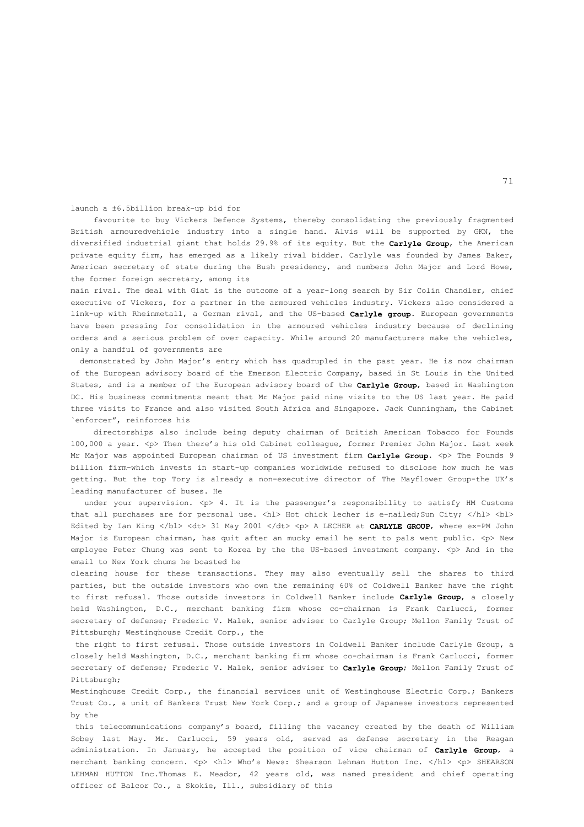launch a ±6.5billion break-up bid for

 favourite to buy Vickers Defence Systems, thereby consolidating the previously fragmented British armouredvehicle industry into a single hand. Alvis will be supported by GKN, the diversified industrial giant that holds 29.9% of its equity. But the **Carlyle Group**, the American private equity firm, has emerged as a likely rival bidder. Carlyle was founded by James Baker, American secretary of state during the Bush presidency, and numbers John Major and Lord Howe, the former foreign secretary, among its

main rival. The deal with Giat is the outcome of a year-long search by Sir Colin Chandler, chief executive of Vickers, for a partner in the armoured vehicles industry. Vickers also considered a link-up with Rheinmetall, a German rival, and the US-based **Carlyle group**. European governments have been pressing for consolidation in the armoured vehicles industry because of declining orders and a serious problem of over capacity. While around 20 manufacturers make the vehicles, only a handful of governments are

 demonstrated by John Major's entry which has quadrupled in the past year. He is now chairman of the European advisory board of the Emerson Electric Company, based in St Louis in the United States, and is a member of the European advisory board of the **Carlyle Group**, based in Washington DC. His business commitments meant that Mr Major paid nine visits to the US last year. He paid three visits to France and also visited South Africa and Singapore. Jack Cunningham, the Cabinet `enforcer", reinforces his

 directorships also include being deputy chairman of British American Tobacco for Pounds 100,000 a year. <p> Then there's his old Cabinet colleague, former Premier John Major. Last week Mr Major was appointed European chairman of US investment firm **Carlyle Group**. <p> The Pounds 9 billion firm-which invests in start-up companies worldwide refused to disclose how much he was getting. But the top Tory is already a non-executive director of The Mayflower Group-the UK's leading manufacturer of buses. He

under your supervision.  $p > 4$ . It is the passenger's responsibility to satisfy HM Customs that all purchases are for personal use. <hl> Hot chick lecher is e-nailed;Sun City; </hl> <br/> <hl> Edited by Ian King </bl> <dt> 31 May 2001 </dt> <p> A LECHER at **CARLYLE GROUP**, where ex-PM John Major is European chairman, has quit after an mucky email he sent to pals went public. < p> New employee Peter Chung was sent to Korea by the the US-based investment company. <p> And in the email to New York chums he boasted he

clearing house for these transactions. They may also eventually sell the shares to third parties, but the outside investors who own the remaining 60% of Coldwell Banker have the right to first refusal. Those outside investors in Coldwell Banker include **Carlyle Group**, a closely held Washington, D.C., merchant banking firm whose co-chairman is Frank Carlucci, former secretary of defense; Frederic V. Malek, senior adviser to Carlyle Group; Mellon Family Trust of Pittsburgh; Westinghouse Credit Corp., the

 the right to first refusal. Those outside investors in Coldwell Banker include Carlyle Group, a closely held Washington, D.C., merchant banking firm whose co-chairman is Frank Carlucci, former secretary of defense; Frederic V. Malek, senior adviser to **Carlyle Group**; Mellon Family Trust of Pittsburgh;

Westinghouse Credit Corp., the financial services unit of Westinghouse Electric Corp.; Bankers Trust Co., a unit of Bankers Trust New York Corp.; and a group of Japanese investors represented by the

 this telecommunications company's board, filling the vacancy created by the death of William Sobey last May. Mr. Carlucci, 59 years old, served as defense secretary in the Reagan administration. In January, he accepted the position of vice chairman of **Carlyle Group**, a merchant banking concern. <p> <hl> Who's News: Shearson Lehman Hutton Inc. </hl> <p> SHEARSON LEHMAN HUTTON Inc.Thomas E. Meador, 42 years old, was named president and chief operating officer of Balcor Co., a Skokie, Ill., subsidiary of this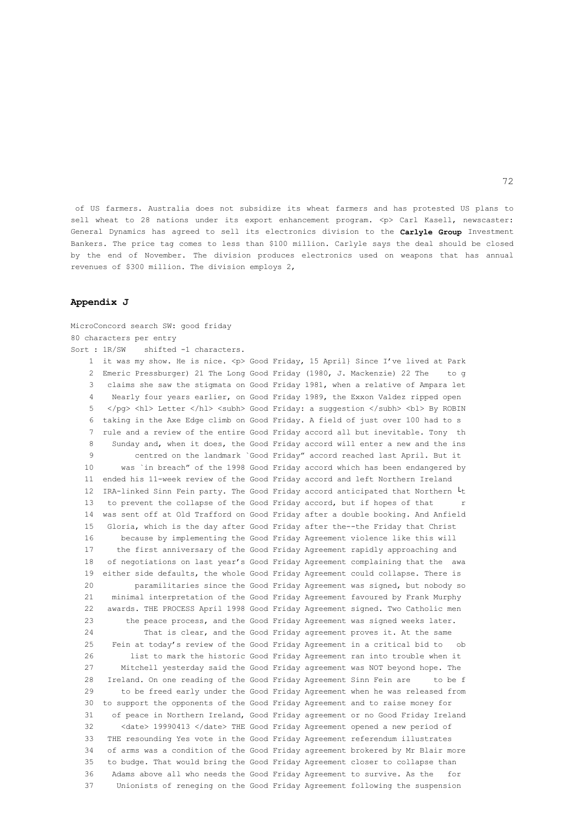of US farmers. Australia does not subsidize its wheat farmers and has protested US plans to sell wheat to 28 nations under its export enhancement program. <p> Carl Kasell, newscaster: General Dynamics has agreed to sell its electronics division to the **Carlyle Group** Investment Bankers. The price tag comes to less than \$100 million. Carlyle says the deal should be closed by the end of November. The division produces electronics used on weapons that has annual revenues of \$300 million. The division employs 2,

## **Appendix J**

MicroConcord search SW: good friday 80 characters per entry Sort : 1R/SW shifted -1 characters. 1 it was my show. He is nice. <p> Good Friday, 15 April} Since I've lived at Park 2 Emeric Pressburger) 21 The Long Good Friday (1980, J. Mackenzie) 22 The to g 3 claims she saw the stigmata on Good Friday 1981, when a relative of Ampara let 4 Nearly four years earlier, on Good Friday 1989, the Exxon Valdez ripped open 5 </pg> <hl> Letter </hl> <subh> Good Friday: a suggestion </subh> <br/> <br/> <br/> App ROBIN 6 taking in the Axe Edge climb on Good Friday. A field of just over 100 had to s 7 rule and a review of the entire Good Friday accord all but inevitable. Tony th 8 Sunday and, when it does, the Good Friday accord will enter a new and the ins 9 centred on the landmark `Good Friday" accord reached last April. But it 10 was `in breach" of the 1998 Good Friday accord which has been endangered by 11 ended his 11-week review of the Good Friday accord and left Northern Ireland 12 IRA-linked Sinn Fein party. The Good Friday accord anticipated that Northern └t 13 to prevent the collapse of the Good Friday accord, but if hopes of that r 14 was sent off at Old Trafford on Good Friday after a double booking. And Anfield 15 Gloria, which is the day after Good Friday after the--the Friday that Christ 16 because by implementing the Good Friday Agreement violence like this will 17 the first anniversary of the Good Friday Agreement rapidly approaching and 18 of negotiations on last year's Good Friday Agreement complaining that the awa 19 either side defaults, the whole Good Friday Agreement could collapse. There is 20 paramilitaries since the Good Friday Agreement was signed, but nobody so 21 minimal interpretation of the Good Friday Agreement favoured by Frank Murphy 22 awards. THE PROCESS April 1998 Good Friday Agreement signed. Two Catholic men 23 the peace process, and the Good Friday Agreement was signed weeks later. 24 That is clear, and the Good Friday agreement proves it. At the same 25 Fein at today's review of the Good Friday Agreement in a critical bid to ob 26 list to mark the historic Good Friday Agreement ran into trouble when it 27 Mitchell yesterday said the Good Friday agreement was NOT beyond hope. The 28 Ireland. On one reading of the Good Friday Agreement Sinn Fein are to be f 29 to be freed early under the Good Friday Agreement when he was released from 30 to support the opponents of the Good Friday Agreement and to raise money for 31 of peace in Northern Ireland, Good Friday agreement or no Good Friday Ireland 32 <date> 19990413 </date> THE Good Friday Agreement opened a new period of 33 THE resounding Yes vote in the Good Friday Agreement referendum illustrates 34 of arms was a condition of the Good Friday agreement brokered by Mr Blair more 35 to budge. That would bring the Good Friday Agreement closer to collapse than 36 Adams above all who needs the Good Friday Agreement to survive. As the for 37 Unionists of reneging on the Good Friday Agreement following the suspension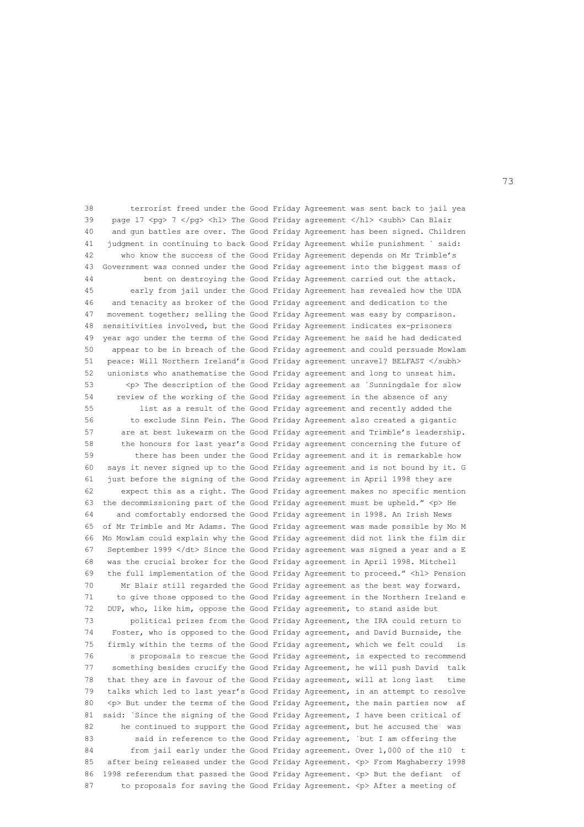38 terrorist freed under the Good Friday Agreement was sent back to jail yea 39 page 17 <pg> 7 </pg> <hl> The Good Friday agreement </hl> <subh> Can Blair 40 and gun battles are over. The Good Friday Agreement has been signed. Children 41 judgment in continuing to back Good Friday Agreement while punishment ` said: 42 who know the success of the Good Friday Agreement depends on Mr Trimble's 43 Government was conned under the Good Friday agreement into the biggest mass of 44 bent on destroying the Good Friday Agreement carried out the attack. 45 early from jail under the Good Friday Agreement has revealed how the UDA 46 and tenacity as broker of the Good Friday agreement and dedication to the 47 movement together; selling the Good Friday Agreement was easy by comparison. 48 sensitivities involved, but the Good Friday Agreement indicates ex-prisoners 49 year ago under the terms of the Good Friday Agreement he said he had dedicated 50 appear to be in breach of the Good Friday agreement and could persuade Mowlam 51 peace: Will Northern Ireland's Good Friday agreement unravel? BELFAST </subh> 52 unionists who anathematise the Good Friday agreement and long to unseat him. 53 <p> The description of the Good Friday agreement as `Sunningdale for slow 54 review of the working of the Good Friday agreement in the absence of any 55 list as a result of the Good Friday agreement and recently added the 56 to exclude Sinn Fein. The Good Friday Agreement also created a gigantic 57 are at best lukewarm on the Good Friday agreement and Trimble's leadership. 58 the honours for last year's Good Friday agreement concerning the future of 59 there has been under the Good Friday agreement and it is remarkable how 60 says it never signed up to the Good Friday agreement and is not bound by it. G 61 just before the signing of the Good Friday agreement in April 1998 they are 62 expect this as a right. The Good Friday agreement makes no specific mention 63 the decommissioning part of the Good Friday agreement must be upheld." <p> He 64 and comfortably endorsed the Good Friday agreement in 1998. An Irish News 65 of Mr Trimble and Mr Adams. The Good Friday agreement was made possible by Mo M 66 Mo Mowlam could explain why the Good Friday agreement did not link the film dir 67 September 1999 </dt> Since the Good Friday agreement was signed a year and a E 68 was the crucial broker for the Good Friday agreement in April 1998. Mitchell 69 the full implementation of the Good Friday Agreement to proceed." <hl> Pension 70 Mr Blair still regarded the Good Friday agreement as the best way forward. 71 to give those opposed to the Good Friday agreement in the Northern Ireland e 72 DUP, who, like him, oppose the Good Friday agreement, to stand aside but 73 political prizes from the Good Friday Agreement, the IRA could return to 74 Foster, who is opposed to the Good Friday agreement, and David Burnside, the 75 firmly within the terms of the Good Friday agreement, which we felt could is 76 s proposals to rescue the Good Friday agreement, is expected to recommend 77 something besides crucify the Good Friday Agreement, he will push David talk 78 that they are in favour of the Good Friday agreement, will at long last time 79 talks which led to last year's Good Friday Agreement, in an attempt to resolve 80 <p> But under the terms of the Good Friday Agreement, the main parties now af 81 said: `Since the signing of the Good Friday Agreement, I have been critical of 82 he continued to support the Good Friday agreement, but he accused the was 83 said in reference to the Good Friday agreement, `but I am offering the 84 from jail early under the Good Friday agreement. Over 1,000 of the ±10 t 85 after being released under the Good Friday Agreement. <p> From Maghaberry 1998 86 1998 referendum that passed the Good Friday Agreement. <p> But the defiant of 87 to proposals for saving the Good Friday Agreement. <p> After a meeting of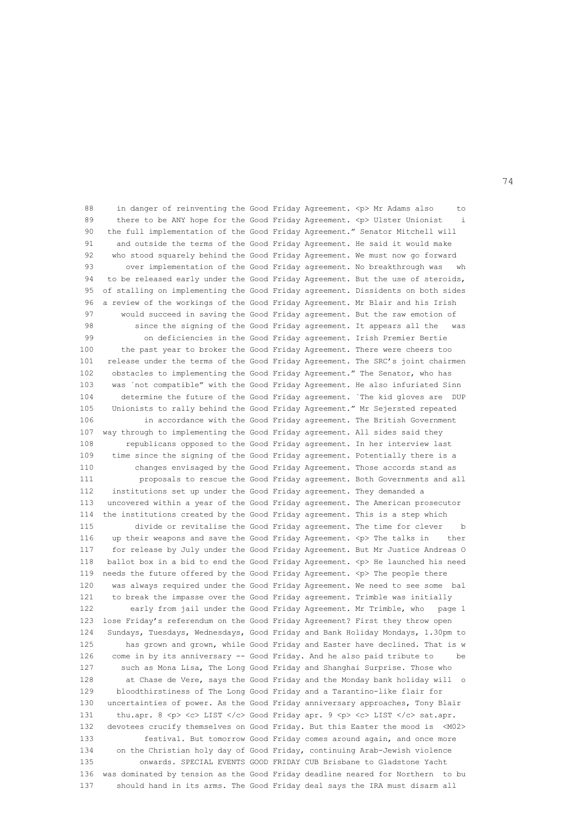88 in danger of reinventing the Good Friday Agreement. <p> Mr Adams also to 89 there to be ANY hope for the Good Friday Agreement. <p> Ulster Unionist 90 the full implementation of the Good Friday Agreement." Senator Mitchell will 91 and outside the terms of the Good Friday Agreement. He said it would make 92 who stood squarely behind the Good Friday Agreement. We must now go forward 93 over implementation of the Good Friday agreement. No breakthrough was wh 94 to be released early under the Good Friday Agreement. But the use of steroids, 95 of stalling on implementing the Good Friday agreement. Dissidents on both sides 96 a review of the workings of the Good Friday Agreement. Mr Blair and his Irish 97 would succeed in saving the Good Friday agreement. But the raw emotion of 98 since the signing of the Good Friday agreement. It appears all the was 99 on deficiencies in the Good Friday agreement. Irish Premier Bertie 100 the past year to broker the Good Friday Agreement. There were cheers too 101 release under the terms of the Good Friday Agreement. The SRC's joint chairmen 102 obstacles to implementing the Good Friday Agreement." The Senator, who has 103 was `not compatible" with the Good Friday Agreement. He also infuriated Sinn 104 determine the future of the Good Friday agreement. `The kid gloves are DUP 105 Unionists to rally behind the Good Friday Agreement." Mr Sejersted repeated 106 in accordance with the Good Friday agreement. The British Government 107 way through to implementing the Good Friday agreement. All sides said they 108 republicans opposed to the Good Friday agreement. In her interview last 109 time since the signing of the Good Friday agreement. Potentially there is a 110 changes envisaged by the Good Friday Agreement. Those accords stand as 111 proposals to rescue the Good Friday agreement. Both Governments and all 112 institutions set up under the Good Friday agreement. They demanded a 113 uncovered within a year of the Good Friday agreement. The American prosecutor 114 the institutions created by the Good Friday agreement. This is a step which 115 divide or revitalise the Good Friday agreement. The time for clever b 116 up their weapons and save the Good Friday Agreement. <p> The talks in ther 117 for release by July under the Good Friday Agreement. But Mr Justice Andreas O 118 ballot box in a bid to end the Good Friday Agreement. <p> He launched his need 119 needs the future offered by the Good Friday Agreement. <p> The people there 120 was always required under the Good Friday Agreement. We need to see some bal 121 to break the impasse over the Good Friday agreement. Trimble was initially 122 early from jail under the Good Friday Agreement. Mr Trimble, who page 1 123 lose Friday's referendum on the Good Friday Agreement? First they throw open 124 Sundays, Tuesdays, Wednesdays, Good Friday and Bank Holiday Mondays, 1.30pm to 125 has grown and grown, while Good Friday and Easter have declined. That is w 126 come in by its anniversary -- Good Friday. And he also paid tribute to 127 such as Mona Lisa, The Long Good Friday and Shanghai Surprise. Those who 128 at Chase de Vere, says the Good Friday and the Monday bank holiday will o 129 bloodthirstiness of The Long Good Friday and a Tarantino-like flair for 130 uncertainties of power. As the Good Friday anniversary approaches, Tony Blair 131 thu.apr. 8 <p> <c> LIST </c></c>> Good Friday apr. 9 <p> <c> LIST </c> <c> sat.apr. 132 devotees crucify themselves on Good Friday. But this Easter the mood is <M02> 133 festival. But tomorrow Good Friday comes around again, and once more 134 on the Christian holy day of Good Friday, continuing Arab-Jewish violence 135 onwards. SPECIAL EVENTS GOOD FRIDAY CUB Brisbane to Gladstone Yacht 136 was dominated by tension as the Good Friday deadline neared for Northern to bu 137 should hand in its arms. The Good Friday deal says the IRA must disarm all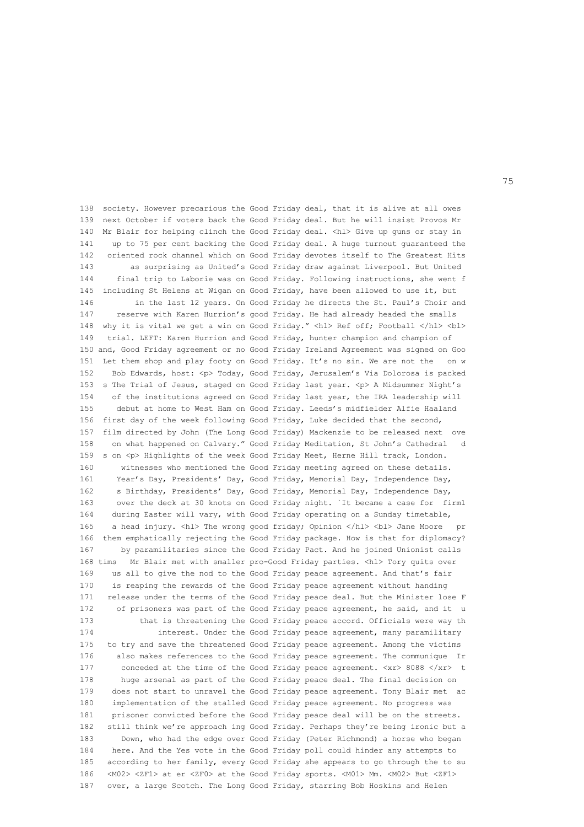138 society. However precarious the Good Friday deal, that it is alive at all owes 139 next October if voters back the Good Friday deal. But he will insist Provos Mr 140 Mr Blair for helping clinch the Good Friday deal. <hl> Give up guns or stay in 141 up to 75 per cent backing the Good Friday deal. A huge turnout guaranteed the 142 oriented rock channel which on Good Friday devotes itself to The Greatest Hits 143 as surprising as United's Good Friday draw against Liverpool. But United 144 final trip to Laborie was on Good Friday. Following instructions, she went f 145 including St Helens at Wigan on Good Friday, have been allowed to use it, but 146 in the last 12 years. On Good Friday he directs the St. Paul's Choir and 147 reserve with Karen Hurrion's good Friday. He had already headed the smalls 148 why it is vital we get a win on Good Friday." <hl> Ref off; Football </hl> <br/> <br/> <br/> <hl> 149 trial. LEFT: Karen Hurrion and Good Friday, hunter champion and champion of 150 and, Good Friday agreement or no Good Friday Ireland Agreement was signed on Goo 151 Let them shop and play footy on Good Friday. It's no sin. We are not the on w 152 Bob Edwards, host: <p> Today, Good Friday, Jerusalem's Via Dolorosa is packed 153 s The Trial of Jesus, staged on Good Friday last year. <p> A Midsummer Night's 154 of the institutions agreed on Good Friday last year, the IRA leadership will 155 debut at home to West Ham on Good Friday. Leeds's midfielder Alfie Haaland 156 first day of the week following Good Friday, Luke decided that the second, 157 film directed by John (The Long Good Friday) Mackenzie to be released next ove 158 on what happened on Calvary." Good Friday Meditation, St John's Cathedral d 159 s on <p> Highlights of the week Good Friday Meet, Herne Hill track, London. 160 witnesses who mentioned the Good Friday meeting agreed on these details. 161 Year's Day, Presidents' Day, Good Friday, Memorial Day, Independence Day, 162 s Birthday, Presidents' Day, Good Friday, Memorial Day, Independence Day, 163 over the deck at 30 knots on Good Friday night. `It became a case for firml 164 during Easter will vary, with Good Friday operating on a Sunday timetable, 165 a head injury. <hl> The wrong good friday; Opinion </hl> <br/> <br/> Vane Moore pr 166 them emphatically rejecting the Good Friday package. How is that for diplomacy? 167 by paramilitaries since the Good Friday Pact. And he joined Unionist calls 168 tims Mr Blair met with smaller pro-Good Friday parties. <hl> Tory quits over 169 us all to give the nod to the Good Friday peace agreement. And that's fair 170 is reaping the rewards of the Good Friday peace agreement without handing 171 release under the terms of the Good Friday peace deal. But the Minister lose F 172 of prisoners was part of the Good Friday peace agreement, he said, and it u 173 that is threatening the Good Friday peace accord. Officials were way th 174 interest. Under the Good Friday peace agreement, many paramilitary 175 to try and save the threatened Good Friday peace agreement. Among the victims 176 also makes references to the Good Friday peace agreement. The communique Ir 177 conceded at the time of the Good Friday peace agreement. <xr> 8088 </xr> t 178 huge arsenal as part of the Good Friday peace deal. The final decision on 179 does not start to unravel the Good Friday peace agreement. Tony Blair met ac 180 implementation of the stalled Good Friday peace agreement. No progress was 181 prisoner convicted before the Good Friday peace deal will be on the streets. 182 still think we're approach ing Good Friday. Perhaps they're being ironic but a 183 Down, who had the edge over Good Friday (Peter Richmond) a horse who began 184 here. And the Yes vote in the Good Friday poll could hinder any attempts to 185 according to her family, every Good Friday she appears to go through the to su 186 <M02> <ZF1> at er <ZF0> at the Good Friday sports. <M01> Mm. <M02> But <ZF1> 187 over, a large Scotch. The Long Good Friday, starring Bob Hoskins and Helen